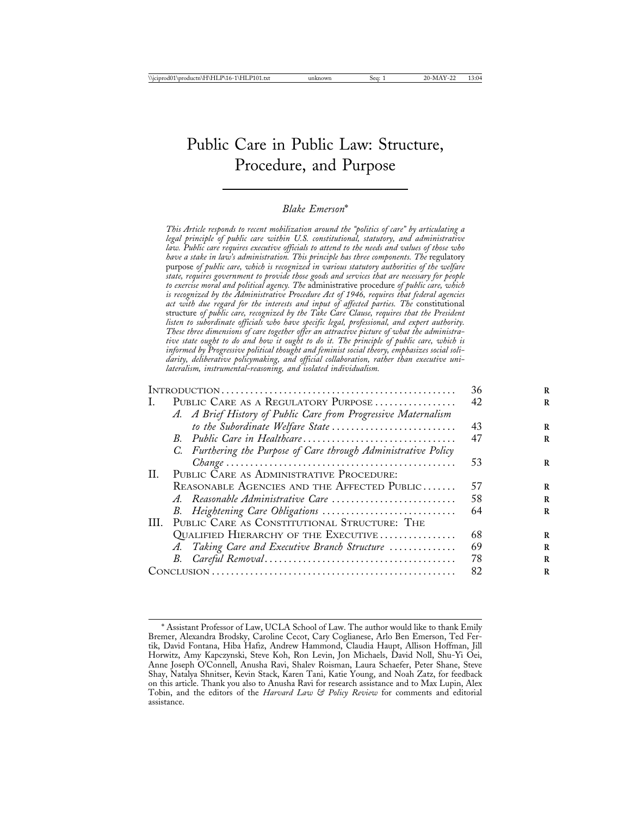# Public Care in Public Law: Structure, Procedure, and Purpose

#### *Blake Emerson*\*

*This Article responds to recent mobilization around the "politics of care" by articulating a legal principle of public care within U.S. constitutional, statutory, and administrative law. Public care requires executive officials to attend to the needs and values of those who have a stake in law's administration. This principle has three components. The* regulatory purpose *of public care, which is recognized in various statutory authorities of the welfare state, requires government to provide those goods and services that are necessary for people to exercise moral and political agency. The* administrative procedure *of public care, which is recognized by the Administrative Procedure Act of 1946, requires that federal agencies act with due regard for the interests and input of affected parties. The* constitutional structure *of public care, recognized by the Take Care Clause, requires that the President listen to subordinate officials who have specific legal, professional, and expert authority. These three dimensions of care together offer an attractive picture of what the administrative state ought to do and how it ought to do it. The principle of public care, which is informed by Progressive political thought and feminist social theory, emphasizes social solidarity, deliberative policymaking, and official collaboration, rather than executive unilateralism, instrumental-reasoning, and isolated individualism.* INTRODUCTION . . . . . . . . . . . . . . . . . . . . . . . . . . . . . . . . . . . . . . . . . . . . . . . . . 36 **<sup>R</sup>** I. PUBLIC CARE AS A REGULATORY PURPOSE . . . . . . . . . . . . . . . . 42 *A. A Brief History of Public Care from Progressive Maternalism to the Subordinate Welfare State* . . . . . . . . . . . . . . . . . . . . . . . . . . 43 **<sup>R</sup>** *B. Public Care in Healthcare*. . . . . . . . . . . . . . . . . . . . . . . . . . . . . . . . 47 **<sup>R</sup>** *C. Furthering the Purpose of Care through Administrative Policy Change* . . . . . . . . . . . . . . . . . . . . . . . . . . . . . . . . . . . . . . . . . . . . . . . . 53 **<sup>R</sup>** II. PUBLIC CARE AS ADMINISTRATIVE PROCEDURE: REASONABLE AGENCIES AND THE AFFECTED PUBLIC....... 57 *A. Reasonable Administrative Care* . . . . . . . . . . . . . . . . . . . . . . . . . . 58 **<sup>R</sup>** *B. Heightening Care Obligations* . . . . . . . . . . . . . . . . . . . . . . . . . . . . 64 **<sup>R</sup>** III. PUBLIC CARE AS CONSTITUTIONAL STRUCTURE: THE QUALIFIED HIERARCHY OF THE EXECUTIVE . . . . . . . . . . . . . . . . 68 *A. Taking Care and Executive Branch Structure* . . . . . . . . . . . . . . 69 **<sup>R</sup>** *B. Careful Removal* . . . . . . . . . . . . . . . . . . . . . . . . . . . . . . . . . . . . . . . . 78 **<sup>R</sup>** CONCLUSION . . . . . . . . . . . . . . . . . . . . . . . . . . . . . . . . . . . . . . . . . . . . . . . . . . . 82 **<sup>R</sup>**

<sup>\*</sup> Assistant Professor of Law, UCLA School of Law. The author would like to thank Emily Bremer, Alexandra Brodsky, Caroline Cecot, Cary Coglianese, Arlo Ben Emerson, Ted Fertik, David Fontana, Hiba Hafiz, Andrew Hammond, Claudia Haupt, Allison Hoffman, Jill Horwitz, Amy Kapczynski, Steve Koh, Ron Levin, Jon Michaels, David Noll, Shu-Yi Oei, Anne Joseph O'Connell, Anusha Ravi, Shalev Roisman, Laura Schaefer, Peter Shane, Steve Shay, Natalya Shnitser, Kevin Stack, Karen Tani, Katie Young, and Noah Zatz, for feedback on this article. Thank you also to Anusha Ravi for research assistance and to Max Lupin, Alex Tobin, and the editors of the *Harvard Law & Policy Review* for comments and editorial assistance.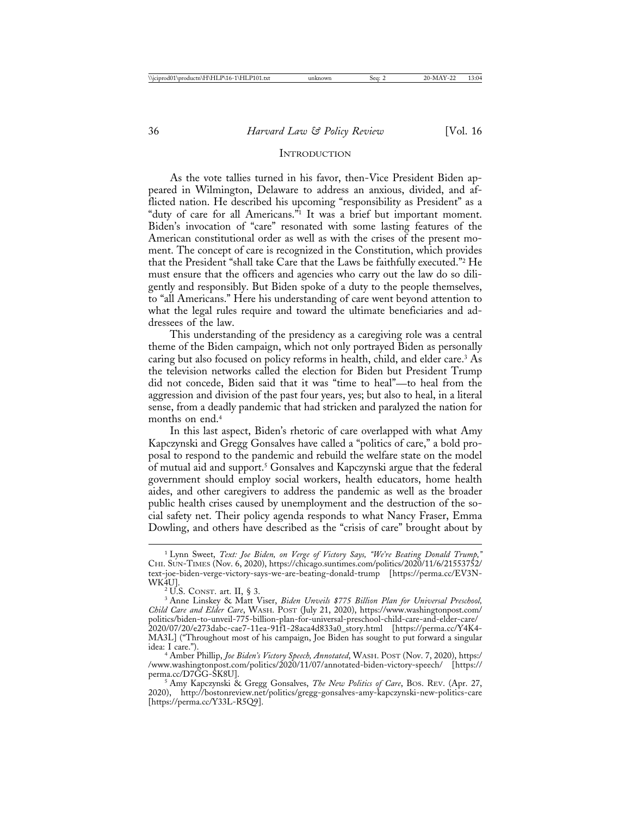#### **INTRODUCTION**

As the vote tallies turned in his favor, then-Vice President Biden appeared in Wilmington, Delaware to address an anxious, divided, and afflicted nation. He described his upcoming "responsibility as President" as a "duty of care for all Americans."1 It was a brief but important moment. Biden's invocation of "care" resonated with some lasting features of the American constitutional order as well as with the crises of the present moment. The concept of care is recognized in the Constitution, which provides that the President "shall take Care that the Laws be faithfully executed."2 He must ensure that the officers and agencies who carry out the law do so diligently and responsibly. But Biden spoke of a duty to the people themselves, to "all Americans." Here his understanding of care went beyond attention to what the legal rules require and toward the ultimate beneficiaries and addressees of the law.

This understanding of the presidency as a caregiving role was a central theme of the Biden campaign, which not only portrayed Biden as personally caring but also focused on policy reforms in health, child, and elder care.<sup>3</sup> As the television networks called the election for Biden but President Trump did not concede, Biden said that it was "time to heal"—to heal from the aggression and division of the past four years, yes; but also to heal, in a literal sense, from a deadly pandemic that had stricken and paralyzed the nation for months on end.4

In this last aspect, Biden's rhetoric of care overlapped with what Amy Kapczynski and Gregg Gonsalves have called a "politics of care," a bold proposal to respond to the pandemic and rebuild the welfare state on the model of mutual aid and support.5 Gonsalves and Kapczynski argue that the federal government should employ social workers, health educators, home health aides, and other caregivers to address the pandemic as well as the broader public health crises caused by unemployment and the destruction of the social safety net. Their policy agenda responds to what Nancy Fraser, Emma Dowling, and others have described as the "crisis of care" brought about by

<sup>1</sup> Lynn Sweet, *Text: Joe Biden, on Verge of Victory Says, "We're Beating Donald Trump,"* CHI. SUN-TIMES (Nov. 6, 2020), https://chicago.suntimes.com/politics/2020/11/6/21553752/ text-joe-biden-verge-victory-says-we-are-beating-donald-trump [https://perma.cc/EV3N-

<sup>&</sup>lt;sup>2</sup> U.S. CONST. art. II, § 3.<br><sup>3</sup> Anne Linskey & Matt Viser, *Biden Unveils \$775 Billion Plan for Universal Preschool*, *Child Care and Elder Care*, WASH. POST (July 21, 2020), https://www.washingtonpost.com/ politics/biden-to-unveil-775-billion-plan-for-universal-preschool-child-care-and-elder-care/ 2020/07/20/e273dabc-cae7-11ea-91f1-28aca4d833a0\_story.html [https://perma.cc/Y4K4- MA3L] ("Throughout most of his campaign, Joe Biden has sought to put forward a singular

<sup>&</sup>lt;sup>4</sup> Amber Phillip, *Joe Biden's Victory Speech, Annotated*, WASH. POST (Nov. 7, 2020), https:/ /www.washingtonpost.com/politics/2020/11/07/annotated-biden-victory-speech/ [https://

<sup>&</sup>lt;sup>5</sup> Amy Kapczynski & Gregg Gonsalves, *The New Politics of Care*, BOS. REV. (Apr. 27, 2020), http://bostonreview.net/politics/gregg-gonsalves-amy-kapczynski-new-politics-care [https://perma.cc/Y33L-R5Q9].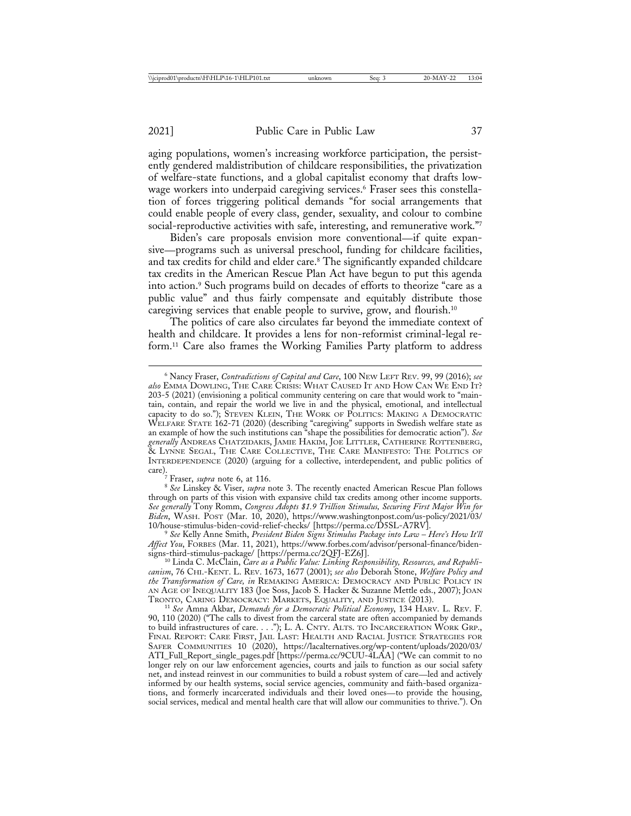aging populations, women's increasing workforce participation, the persistently gendered maldistribution of childcare responsibilities, the privatization of welfare-state functions, and a global capitalist economy that drafts lowwage workers into underpaid caregiving services.<sup>6</sup> Fraser sees this constellation of forces triggering political demands "for social arrangements that could enable people of every class, gender, sexuality, and colour to combine social-reproductive activities with safe, interesting, and remunerative work."7

Biden's care proposals envision more conventional—if quite expansive—programs such as universal preschool, funding for childcare facilities, and tax credits for child and elder care.<sup>8</sup> The significantly expanded childcare tax credits in the American Rescue Plan Act have begun to put this agenda into action.9 Such programs build on decades of efforts to theorize "care as a public value" and thus fairly compensate and equitably distribute those caregiving services that enable people to survive, grow, and flourish.10

The politics of care also circulates far beyond the immediate context of health and childcare. It provides a lens for non-reformist criminal-legal reform.11 Care also frames the Working Families Party platform to address

<sup>6</sup> Nancy Fraser, *Contradictions of Capital and Care*, 100 NEW LEFT REV. 99, 99 (2016); *see also* EMMA DOWLING, THE CARE CRISIS: WHAT CAUSED IT AND HOW CAN WE END IT? 203-5 (2021) (envisioning a political community centering on care that would work to "maintain, contain, and repair the world we live in and the physical, emotional, and intellectual capacity to do so."); STEVEN KLEIN, THE WORK OF POLITICS: MAKING A DEMOCRATIC WELFARE STATE 162-71 (2020) (describing "caregiving" supports in Swedish welfare state as an example of how the such institutions can "shape the possibilities for democratic action"). *See generally* ANDREAS CHATZIDAKIS, JAMIE HAKIM, JOE LITTLER, CATHERINE ROTTENBERG, & LYNNE SEGAL, THE CARE COLLECTIVE, THE CARE MANIFESTO: THE POLITICS OF INTERDEPENDENCE (2020) (arguing for a collective, interdependent, and public politics of care).<br>
<sup>7</sup> Fraser, *supra* note 6, at 116.

<sup>&</sup>lt;sup>8</sup> See Linskey & Viser, *supra* note 3. The recently enacted American Rescue Plan follows through on parts of this vision with expansive child tax credits among other income supports. *See generally* Tony Romm, *Congress Adopts \$1.9 Trillion Stimulus, Securing First Major Win for Biden*, WASH. POST (Mar. 10, 2020), https://www.washingtonpost.com/us-policy/2021/03/

See Kelly Anne Smith, *President Biden Signs Stimulus Package into Law – Here's How It'll Affect You*, FORBES (Mar. 11, 2021), https://www.forbes.com/advisor/personal-finance/biden-

signs-third-stimulus-package/ [https://perma.cc/2QFJ-EZ6J]. <sup>10</sup> Linda C. McClain, *Care as a Public Value: Linking Responsibility, Resources, and Republicanism*, 76 CHI.-KENT. L. REV. 1673, 1677 (2001); *see also* Deborah Stone, *Welfare Policy and the Transformation of Care, in* REMAKING AMERICA: DEMOCRACY AND PUBLIC POLICY IN AN AGE OF INEQUALITY 183 (Joe Soss, Jacob S. Hacker & Suzanne Mettle eds., 2007); JOAN TRONTO, CARING DEMOCRACY: MARKETS, EQUALITY, AND JUSTICE (2013). <sup>11</sup> *See* Amna Akbar, *Demands for a Democratic Political Economy*, 134 HARV. L. REV. F.

<sup>90, 110 (2020) (&</sup>quot;The calls to divest from the carceral state are often accompanied by demands to build infrastructures of care. . . ."); L. A. CNTY. ALTS. TO INCARCERATION WORK GRP., FINAL REPORT: CARE FIRST, JAIL LAST: HEALTH AND RACIAL JUSTICE STRATEGIES FOR SAFER COMMUNITIES 10 (2020), https://lacalternatives.org/wp-content/uploads/2020/03/ ATI\_Full\_Report\_single\_pages.pdf [https://perma.cc/9CUU-4LAA] ("We can commit to no longer rely on our law enforcement agencies, courts and jails to function as our social safety net, and instead reinvest in our communities to build a robust system of care—led and actively informed by our health systems, social service agencies, community and faith-based organizations, and formerly incarcerated individuals and their loved ones—to provide the housing, social services, medical and mental health care that will allow our communities to thrive."). On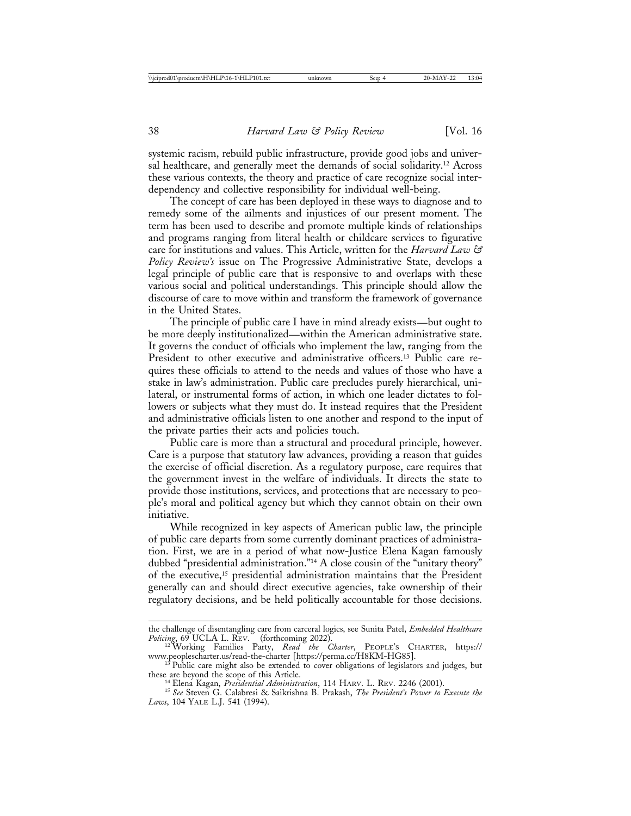systemic racism, rebuild public infrastructure, provide good jobs and universal healthcare, and generally meet the demands of social solidarity.12 Across these various contexts, the theory and practice of care recognize social interdependency and collective responsibility for individual well-being.

The concept of care has been deployed in these ways to diagnose and to remedy some of the ailments and injustices of our present moment. The term has been used to describe and promote multiple kinds of relationships and programs ranging from literal health or childcare services to figurative care for institutions and values. This Article, written for the *Harvard Law & Policy Review's* issue on The Progressive Administrative State, develops a legal principle of public care that is responsive to and overlaps with these various social and political understandings. This principle should allow the discourse of care to move within and transform the framework of governance in the United States.

The principle of public care I have in mind already exists—but ought to be more deeply institutionalized—within the American administrative state. It governs the conduct of officials who implement the law, ranging from the President to other executive and administrative officers.<sup>13</sup> Public care requires these officials to attend to the needs and values of those who have a stake in law's administration. Public care precludes purely hierarchical, unilateral, or instrumental forms of action, in which one leader dictates to followers or subjects what they must do. It instead requires that the President and administrative officials listen to one another and respond to the input of the private parties their acts and policies touch.

Public care is more than a structural and procedural principle, however. Care is a purpose that statutory law advances, providing a reason that guides the exercise of official discretion. As a regulatory purpose, care requires that the government invest in the welfare of individuals. It directs the state to provide those institutions, services, and protections that are necessary to people's moral and political agency but which they cannot obtain on their own initiative.

While recognized in key aspects of American public law, the principle of public care departs from some currently dominant practices of administration. First, we are in a period of what now-Justice Elena Kagan famously dubbed "presidential administration."14 A close cousin of the "unitary theory" of the executive,15 presidential administration maintains that the President generally can and should direct executive agencies, take ownership of their regulatory decisions, and be held politically accountable for those decisions.

the challenge of disentangling care from carceral logics, see Sunita Patel, *Embedded Healthcare*

*Policing*, 69 UCLA L. REV. \_ (forthcoming 2022). <sup>12</sup> Working Families Party, *Read the Charter*, PEOPLE'S CHARTER, https://

 $\frac{13}{18}$  Public care might also be extended to cover obligations of legislators and judges, but these are beyond the scope of this Article.

<sup>&</sup>lt;sup>14</sup> Elena Kagan, *Presidential Administration*, 114 HARV. L. REV. 2246 (2001).<br><sup>15</sup> See Steven G. Calabresi & Saikrishna B. Prakash, *The President's Power to Execute the Laws*, 104 YALE L.J. 541 (1994).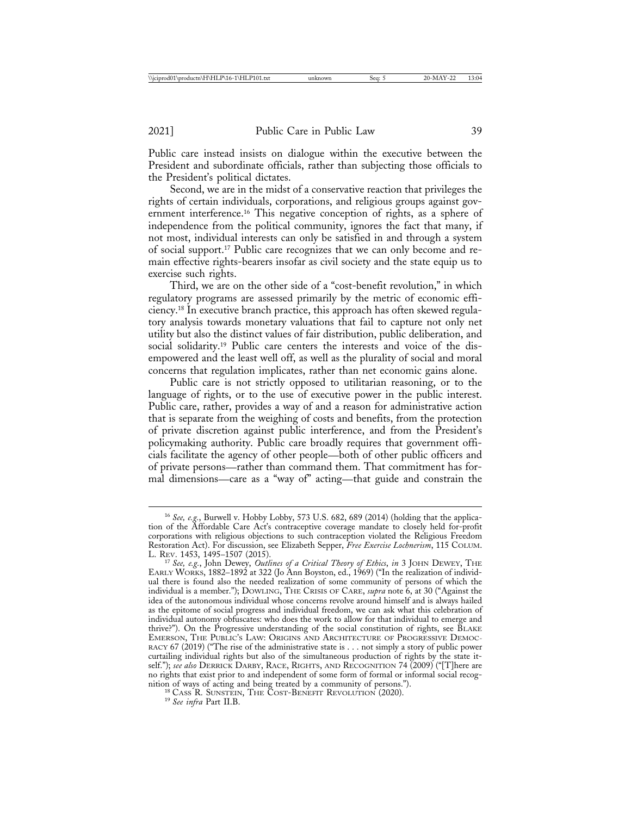Public care instead insists on dialogue within the executive between the President and subordinate officials, rather than subjecting those officials to the President's political dictates.

Second, we are in the midst of a conservative reaction that privileges the rights of certain individuals, corporations, and religious groups against government interference.16 This negative conception of rights, as a sphere of independence from the political community, ignores the fact that many, if not most, individual interests can only be satisfied in and through a system of social support.17 Public care recognizes that we can only become and remain effective rights-bearers insofar as civil society and the state equip us to exercise such rights.

Third, we are on the other side of a "cost-benefit revolution," in which regulatory programs are assessed primarily by the metric of economic efficiency.18 In executive branch practice, this approach has often skewed regulatory analysis towards monetary valuations that fail to capture not only net utility but also the distinct values of fair distribution, public deliberation, and social solidarity.<sup>19</sup> Public care centers the interests and voice of the disempowered and the least well off, as well as the plurality of social and moral concerns that regulation implicates, rather than net economic gains alone.

Public care is not strictly opposed to utilitarian reasoning, or to the language of rights, or to the use of executive power in the public interest. Public care, rather, provides a way of and a reason for administrative action that is separate from the weighing of costs and benefits, from the protection of private discretion against public interference, and from the President's policymaking authority. Public care broadly requires that government officials facilitate the agency of other people—both of other public officers and of private persons—rather than command them. That commitment has formal dimensions—care as a "way of" acting—that guide and constrain the

<sup>16</sup> *See, e.g.*, Burwell v. Hobby Lobby, 573 U.S. 682, 689 (2014) (holding that the application of the Affordable Care Act's contraceptive coverage mandate to closely held for-profit corporations with religious objections to such contraception violated the Religious Freedom Restoration Act). For discussion, see Elizabeth Sepper, *Free Exercise Lochnerism*, 115 COLUM.

<sup>&</sup>lt;sup>17</sup> See, e.g., John Dewey, Outlines of a Critical Theory of Ethics, in 3 JOHN DEWEY, THE EARLY WORKS, 1882–1892 at 322 (Jo Ann Boyston, ed., 1969) ("In the realization of individual there is found also the needed realization of some community of persons of which the individual is a member."); DOWLING, THE CRISIS OF CARE, *supra* note 6, at 30 ("Against the idea of the autonomous individual whose concerns revolve around himself and is always hailed as the epitome of social progress and individual freedom, we can ask what this celebration of individual autonomy obfuscates: who does the work to allow for that individual to emerge and thrive?"). On the Progressive understanding of the social constitution of rights, see BLAKE EMERSON, THE PUBLIC'S LAW: ORIGINS AND ARCHITECTURE OF PROGRESSIVE DEMOC-RACY 67 (2019) ("The rise of the administrative state is . . . not simply a story of public power curtailing individual rights but also of the simultaneous production of rights by the state itself."); *see also* DERRICK DARBY, RACE, RIGHTS, AND RECOGNITION 74 (2009) ("[T]here are no rights that exist prior to and independent of some form of formal or informal social recognition of ways of acting and being treated by a community of persons."). <sup>18</sup> CASS R. SUNSTEIN, THE COST-BENEFIT REVOLUTION (2020). <sup>19</sup> *See infra* Part II.B.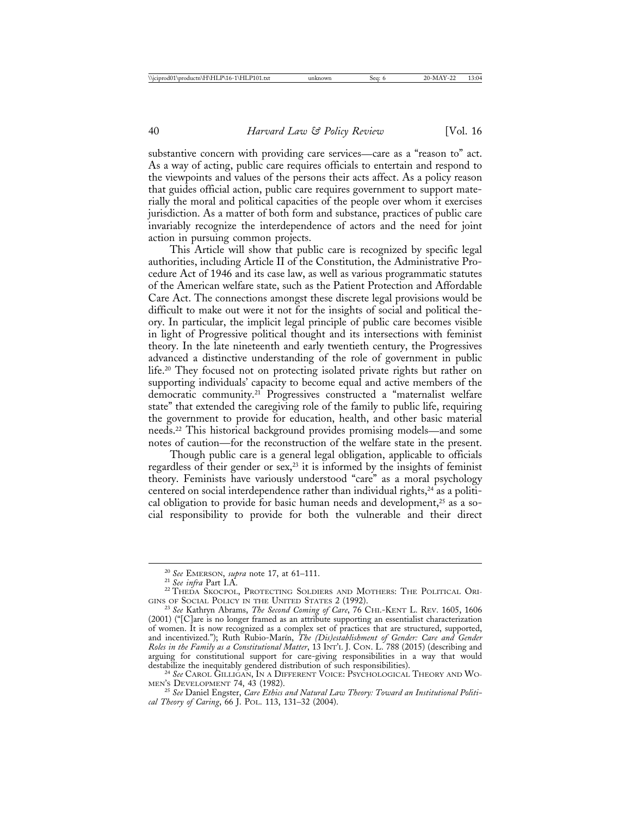substantive concern with providing care services—care as a "reason to" act. As a way of acting, public care requires officials to entertain and respond to the viewpoints and values of the persons their acts affect. As a policy reason that guides official action, public care requires government to support materially the moral and political capacities of the people over whom it exercises jurisdiction. As a matter of both form and substance, practices of public care invariably recognize the interdependence of actors and the need for joint action in pursuing common projects.

This Article will show that public care is recognized by specific legal authorities, including Article II of the Constitution, the Administrative Procedure Act of 1946 and its case law, as well as various programmatic statutes of the American welfare state, such as the Patient Protection and Affordable Care Act. The connections amongst these discrete legal provisions would be difficult to make out were it not for the insights of social and political theory. In particular, the implicit legal principle of public care becomes visible in light of Progressive political thought and its intersections with feminist theory. In the late nineteenth and early twentieth century, the Progressives advanced a distinctive understanding of the role of government in public life.20 They focused not on protecting isolated private rights but rather on supporting individuals' capacity to become equal and active members of the democratic community.21 Progressives constructed a "maternalist welfare state" that extended the caregiving role of the family to public life, requiring the government to provide for education, health, and other basic material needs.22 This historical background provides promising models—and some notes of caution—for the reconstruction of the welfare state in the present.

Though public care is a general legal obligation, applicable to officials regardless of their gender or  $sex$ <sup>23</sup> it is informed by the insights of feminist theory. Feminists have variously understood "care" as a moral psychology centered on social interdependence rather than individual rights,<sup>24</sup> as a political obligation to provide for basic human needs and development, $25$  as a social responsibility to provide for both the vulnerable and their direct

<sup>&</sup>lt;sup>20</sup> See EMERSON, *supra* note 17, at 61–111.<br><sup>21</sup> See infra Part I.A.<br><sup>22</sup> THEDA SKOCPOL, PROTECTING SOLDIERS AND MOTHERS: THE POLITICAL ORI-GINS OF SOCIAL POLICY IN THE UNITED STATES 2 (1992).<br><sup>23</sup> *See* Kathryn Abrams, *The Second Coming of Care*, 76 CHI.-KENT L. REV. 1605, 1606

<sup>(2001) (&</sup>quot;[C]are is no longer framed as an attribute supporting an essentialist characterization of women. It is now recognized as a complex set of practices that are structured, supported, and incentivized."); Ruth Rubio-Marín, *The (Dis)establishment of Gender: Care and Gender Roles in the Family as a Constitutional Matter*, 13 INT'L J. CON. L. 788 (2015) (describing and arguing for constitutional support for care-giving responsibilities in a way that would destabilize the inequitably gendered distribution of such responsibilities).

<sup>&</sup>lt;sup>24</sup> See CAROL GILLIGAN, IN A DIFFERENT VOICE: PSYCHOLOGICAL THEORY AND WOMEN'S DEVELOPMENT 74, 43 (1982).

<sup>&</sup>lt;sup>25</sup> See Daniel Engster, Care Ethics and Natural Law Theory: Toward an Institutional Politi*cal Theory of Caring*, 66 J. POL. 113, 131–32 (2004).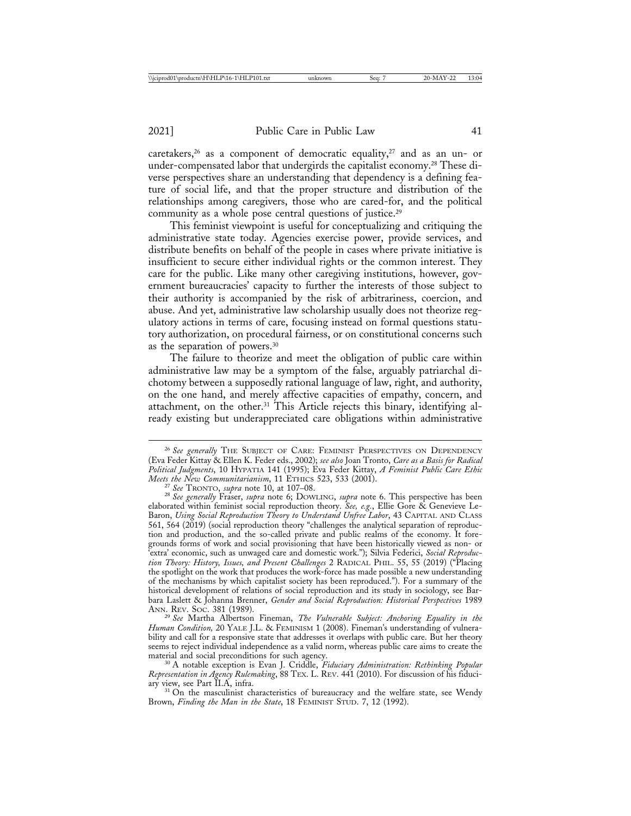relationships among caregivers, those who are cared-for, and the political

caretakers,<sup>26</sup> as a component of democratic equality,<sup>27</sup> and as an un- or under-compensated labor that undergirds the capitalist economy.28 These diverse perspectives share an understanding that dependency is a defining feature of social life, and that the proper structure and distribution of the

community as a whole pose central questions of justice.29 This feminist viewpoint is useful for conceptualizing and critiquing the administrative state today. Agencies exercise power, provide services, and distribute benefits on behalf of the people in cases where private initiative is insufficient to secure either individual rights or the common interest. They care for the public. Like many other caregiving institutions, however, government bureaucracies' capacity to further the interests of those subject to their authority is accompanied by the risk of arbitrariness, coercion, and abuse. And yet, administrative law scholarship usually does not theorize regulatory actions in terms of care, focusing instead on formal questions statutory authorization, on procedural fairness, or on constitutional concerns such as the separation of powers.30

The failure to theorize and meet the obligation of public care within administrative law may be a symptom of the false, arguably patriarchal dichotomy between a supposedly rational language of law, right, and authority, on the one hand, and merely affective capacities of empathy, concern, and attachment, on the other.<sup>31</sup> This Article rejects this binary, identifying already existing but underappreciated care obligations within administrative

<sup>29</sup> See Martha Albertson Fineman, *The Vulnerable Subject: Anchoring Equality in the Human Condition,* 20 YALE J.L. & FEMINISM 1 (2008). Fineman's understanding of vulnerability and call for a responsive state that addresses it overlaps with public care. But her theory seems to reject individual independence as a valid norm, whereas public care aims to create the

material and social preconditions for such agency. <sup>30</sup> A notable exception is Evan J. Criddle, *Fiduciary Administration: Rethinking Popular Representation in Agency Rulemaking*, 88 TEX. L. REV. 441 (2010). For discussion of his fiduciary view, see Part II.A, infra.<br><sup>31</sup> On the masculinist characteristics of bureaucracy and the welfare state, see Wendy

Brown, *Finding the Man in the State*, 18 FEMINIST STUD. 7, 12 (1992).

<sup>&</sup>lt;sup>26</sup> See generally THE SUBJECT OF CARE: FEMINIST PERSPECTIVES ON DEPENDENCY (Eva Feder Kittay & Ellen K. Feder eds., 2002); *see also* Joan Tronto, *Care as a Basis for Radical Political Judgments*, 10 HYPATIA 141 (1995); Eva Feder Kittay, *A Feminist Public Care Ethic*

<sup>&</sup>lt;sup>27</sup> See TRONTO, supra note 10, at 107–08.<br><sup>28</sup> See generally Fraser, supra note 6; DOWLING, supra note 6. This perspective has been elaborated within feminist social reproduction theory. *See, e.g.*, Ellie Gore & Genevieve Le-Baron, *Using Social Reproduction Theory to Understand Unfree Labor*, 43 CAPITAL AND CLASS 561, 564 (2019) (social reproduction theory "challenges the analytical separation of reproduction and production, and the so-called private and public realms of the economy. It foregrounds forms of work and social provisioning that have been historically viewed as non- or 'extra' economic, such as unwaged care and domestic work."); Silvia Federici, *Social Reproduction Theory: History, Issues, and Present Challenges* 2 RADICAL PHIL. 55, 55 (2019) ("Placing the spotlight on the work that produces the work-force has made possible a new understanding of the mechanisms by which capitalist society has been reproduced."). For a summary of the historical development of relations of social reproduction and its study in sociology, see Barbara Laslett & Johanna Brenner, *Gender and Social Reproduction: Historical Perspectives* 1989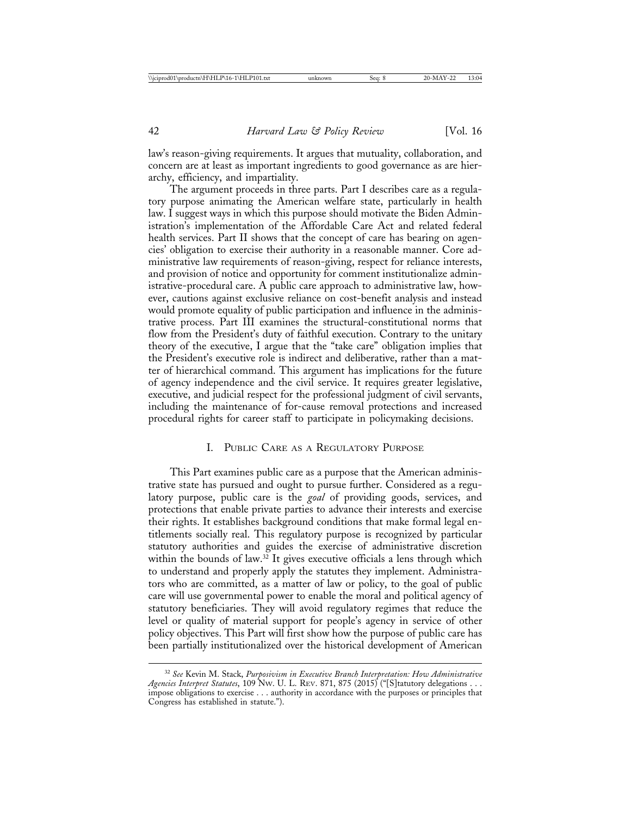law's reason-giving requirements. It argues that mutuality, collaboration, and concern are at least as important ingredients to good governance as are hierarchy, efficiency, and impartiality.

The argument proceeds in three parts. Part I describes care as a regulatory purpose animating the American welfare state, particularly in health law. I suggest ways in which this purpose should motivate the Biden Administration's implementation of the Affordable Care Act and related federal health services. Part II shows that the concept of care has bearing on agencies' obligation to exercise their authority in a reasonable manner. Core administrative law requirements of reason-giving, respect for reliance interests, and provision of notice and opportunity for comment institutionalize administrative-procedural care. A public care approach to administrative law, however, cautions against exclusive reliance on cost-benefit analysis and instead would promote equality of public participation and influence in the administrative process. Part III examines the structural-constitutional norms that flow from the President's duty of faithful execution. Contrary to the unitary theory of the executive, I argue that the "take care" obligation implies that the President's executive role is indirect and deliberative, rather than a matter of hierarchical command. This argument has implications for the future of agency independence and the civil service. It requires greater legislative, executive, and judicial respect for the professional judgment of civil servants, including the maintenance of for-cause removal protections and increased procedural rights for career staff to participate in policymaking decisions.

#### I. PUBLIC CARE AS A REGULATORY PURPOSE

This Part examines public care as a purpose that the American administrative state has pursued and ought to pursue further. Considered as a regulatory purpose, public care is the *goal* of providing goods, services, and protections that enable private parties to advance their interests and exercise their rights. It establishes background conditions that make formal legal entitlements socially real. This regulatory purpose is recognized by particular statutory authorities and guides the exercise of administrative discretion within the bounds of law.<sup>32</sup> It gives executive officials a lens through which to understand and properly apply the statutes they implement. Administrators who are committed, as a matter of law or policy, to the goal of public care will use governmental power to enable the moral and political agency of statutory beneficiaries. They will avoid regulatory regimes that reduce the level or quality of material support for people's agency in service of other policy objectives. This Part will first show how the purpose of public care has been partially institutionalized over the historical development of American

<sup>32</sup> *See* Kevin M. Stack, *Purposivism in Executive Branch Interpretation: How Administrative Agencies Interpret Statutes*, 109 NW. U. L. REV. 871, 875 (2015) ("[S]tatutory delegations . . . impose obligations to exercise . . . authority in accordance with the purposes or principles that Congress has established in statute.").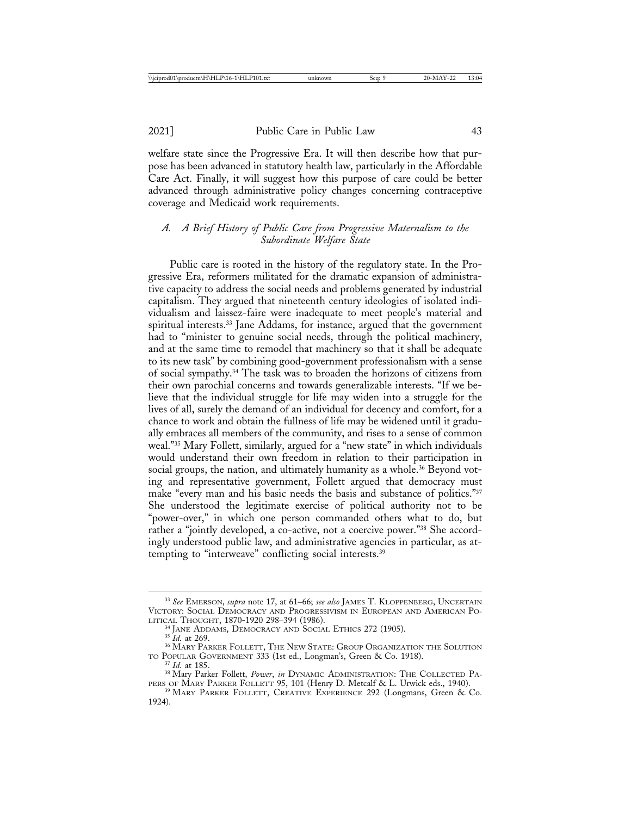welfare state since the Progressive Era. It will then describe how that purpose has been advanced in statutory health law, particularly in the Affordable Care Act. Finally, it will suggest how this purpose of care could be better advanced through administrative policy changes concerning contraceptive coverage and Medicaid work requirements.

## *A. A Brief History of Public Care from Progressive Maternalism to the Subordinate Welfare State*

Public care is rooted in the history of the regulatory state. In the Progressive Era, reformers militated for the dramatic expansion of administrative capacity to address the social needs and problems generated by industrial capitalism. They argued that nineteenth century ideologies of isolated individualism and laissez-faire were inadequate to meet people's material and spiritual interests.<sup>33</sup> Jane Addams, for instance, argued that the government had to "minister to genuine social needs, through the political machinery, and at the same time to remodel that machinery so that it shall be adequate to its new task" by combining good-government professionalism with a sense of social sympathy.34 The task was to broaden the horizons of citizens from their own parochial concerns and towards generalizable interests. "If we believe that the individual struggle for life may widen into a struggle for the lives of all, surely the demand of an individual for decency and comfort, for a chance to work and obtain the fullness of life may be widened until it gradually embraces all members of the community, and rises to a sense of common weal."35 Mary Follett, similarly, argued for a "new state" in which individuals would understand their own freedom in relation to their participation in social groups, the nation, and ultimately humanity as a whole.<sup>36</sup> Beyond voting and representative government, Follett argued that democracy must make "every man and his basic needs the basis and substance of politics."<sup>37</sup> She understood the legitimate exercise of political authority not to be "power-over," in which one person commanded others what to do, but rather a "jointly developed, a co-active, not a coercive power."38 She accordingly understood public law, and administrative agencies in particular, as attempting to "interweave" conflicting social interests.39

<sup>33</sup> *See* EMERSON, *supra* note 17, at 61–66; *see also* JAMES T. KLOPPENBERG, UNCERTAIN VICTORY: SOCIAL DEMOCRACY AND PROGRESSIVISM IN EUROPEAN AND AMERICAN POLITICAL THOUGHT, 1870-1920 298-394 (1986).

<sup>&</sup>lt;sup>34</sup> JANE ADDAMS, DEMOCRACY AND SOCIAL ETHICS 272 (1905).<br><sup>35</sup> *Id.* at 269. **36 MARY PARKER FOLLETT, THE NEW STATE: GROUP ORGANIZATION THE SOLUTION**<br>TO POPULAR GOVERNMENT 333 (1st ed., Longman's, Green & Co. 1918).

<sup>&</sup>lt;sup>37</sup> Id. at 185.<br><sup>38</sup> Mary Parker Follett, *Power*, *in* DYNAMIC ADMINISTRATION: THE COLLECTED PA-<br>PERS OF MARY PARKER FOLLETT 95, 101 (Henry D. Metcalf & L. Urwick eds., 1940).

<sup>&</sup>lt;sup>39</sup> MARY PARKER FOLLETT, CREATIVE EXPERIENCE 292 (Longmans, Green & Co. 1924).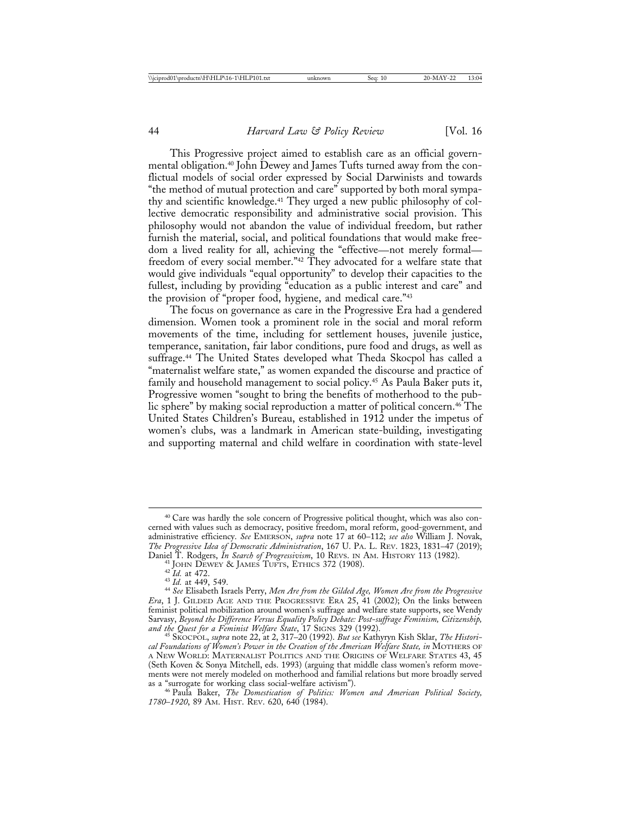This Progressive project aimed to establish care as an official governmental obligation.40 John Dewey and James Tufts turned away from the conflictual models of social order expressed by Social Darwinists and towards "the method of mutual protection and care" supported by both moral sympathy and scientific knowledge.41 They urged a new public philosophy of collective democratic responsibility and administrative social provision. This philosophy would not abandon the value of individual freedom, but rather furnish the material, social, and political foundations that would make freedom a lived reality for all, achieving the "effective—not merely formal freedom of every social member."42 They advocated for a welfare state that would give individuals "equal opportunity" to develop their capacities to the fullest, including by providing "education as a public interest and care" and the provision of "proper food, hygiene, and medical care."43

The focus on governance as care in the Progressive Era had a gendered dimension. Women took a prominent role in the social and moral reform movements of the time, including for settlement houses, juvenile justice, temperance, sanitation, fair labor conditions, pure food and drugs, as well as suffrage.44 The United States developed what Theda Skocpol has called a "maternalist welfare state," as women expanded the discourse and practice of family and household management to social policy.<sup>45</sup> As Paula Baker puts it, Progressive women "sought to bring the benefits of motherhood to the public sphere" by making social reproduction a matter of political concern.<sup>46</sup> The United States Children's Bureau, established in 1912 under the impetus of women's clubs, was a landmark in American state-building, investigating and supporting maternal and child welfare in coordination with state-level

<sup>&</sup>lt;sup>40</sup> Care was hardly the sole concern of Progressive political thought, which was also concerned with values such as democracy, positive freedom, moral reform, good-government, and administrative efficiency. *See* EMERSON, *supra* note 17 at 60–112; *see also* William J. Novak, *The Progressive Idea of Democratic Administration*, 167 U. PA. L. REV. 1823, 1831–47 (2019);

<sup>&</sup>lt;sup>41</sup> JOHN DEWEY & JAMES TUFTS, ETHICS 372 (1908).<br><sup>42</sup> Id. at 472.<br><sup>43</sup> Id. at 449, 549.<br><sup>44</sup> See Elisabeth Israels Perry, *Men Are from the Gilded Age, Women Are from the Progressive Era*, 1 J. GILDED AGE AND THE PROGRESSIVE ERA 25, 41 (2002); On the links between feminist political mobilization around women's suffrage and welfare state supports, see Wendy Sarvasy, *Beyond the Difference Versus Equality Policy Debate: Post-suffrage Feminism, Citizenship,*

*and the Quest for a Feminist Welfare State*, 17 SIGNS 329 (1992). <sup>45</sup> SKOCPOL, *supra* note 22, at 2, 317–20 (1992). *But see* Kathyryn Kish Sklar, *The Historical Foundations of Women's Power in the Creation of the American Welfare State, in* MOTHERS OF A NEW WORLD: MATERNALIST POLITICS AND THE ORIGINS OF WELFARE STATES 43, 45 (Seth Koven & Sonya Mitchell, eds. 1993) (arguing that middle class women's reform movements were not merely modeled on motherhood and familial relations but more broadly served as a "surrogate for working class social-welfare activism"). <sup>46</sup> Paula Baker, *The Domestication of Politics: Women and American Political Society,*

*<sup>1780</sup>*–*1920*, 89 AM. HIST. REV. 620, 640 (1984).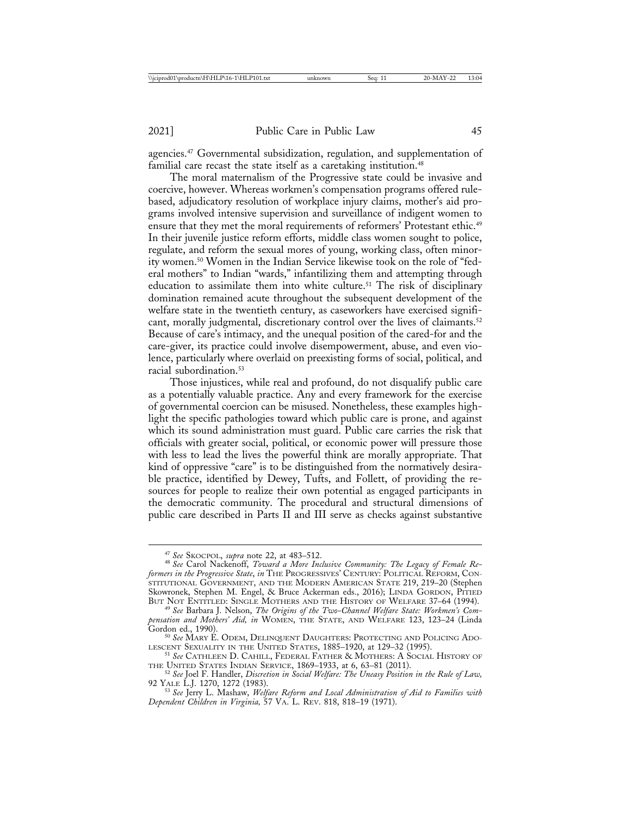agencies.47 Governmental subsidization, regulation, and supplementation of familial care recast the state itself as a caretaking institution.<sup>48</sup>

The moral maternalism of the Progressive state could be invasive and coercive, however. Whereas workmen's compensation programs offered rulebased, adjudicatory resolution of workplace injury claims, mother's aid programs involved intensive supervision and surveillance of indigent women to ensure that they met the moral requirements of reformers' Protestant ethic.<sup>49</sup> In their juvenile justice reform efforts, middle class women sought to police, regulate, and reform the sexual mores of young, working class, often minority women.50 Women in the Indian Service likewise took on the role of "federal mothers" to Indian "wards," infantilizing them and attempting through education to assimilate them into white culture.<sup>51</sup> The risk of disciplinary domination remained acute throughout the subsequent development of the welfare state in the twentieth century, as caseworkers have exercised significant, morally judgmental, discretionary control over the lives of claimants.<sup>52</sup> Because of care's intimacy, and the unequal position of the cared-for and the care-giver, its practice could involve disempowerment, abuse, and even violence, particularly where overlaid on preexisting forms of social, political, and racial subordination.<sup>53</sup>

Those injustices, while real and profound, do not disqualify public care as a potentially valuable practice. Any and every framework for the exercise of governmental coercion can be misused. Nonetheless, these examples highlight the specific pathologies toward which public care is prone, and against which its sound administration must guard. Public care carries the risk that officials with greater social, political, or economic power will pressure those with less to lead the lives the powerful think are morally appropriate. That kind of oppressive "care" is to be distinguished from the normatively desirable practice, identified by Dewey, Tufts, and Follett, of providing the resources for people to realize their own potential as engaged participants in the democratic community. The procedural and structural dimensions of public care described in Parts II and III serve as checks against substantive

<sup>47</sup> *See* SKOCPOL, *supra* note 22, at 483–512. <sup>48</sup> *See* Carol Nackenoff, *Toward a More Inclusive Community: The Legacy of Female Reformers in the Progressive State*, *in* THE PROGRESSIVES' CENTURY: POLITICAL REFORM, CON-STITUTIONAL GOVERNMENT, AND THE MODERN AMERICAN STATE 219, 219–20 (Stephen Skowronek, Stephen M. Engel, & Bruce Ackerman eds., 2016); LINDA GORDON, PITIED<br>BUT NOT ENTITLED: SINGLE MOTHERS AND THE HISTORY OF WELFARE 37–64 (1994).

<sup>&</sup>lt;sup>49</sup> See Barbara J. Nelson, The Origins of the Two-Channel Welfare State: Workmen's Com*pensation and Mothers' Aid, in* WOMEN, THE STATE, AND WELFARE 123, 123–24 (Linda

Gordon ed., 1990).<br><sup>50</sup> See Mary E. Odem, Delinquent Daughters: Protecting and Policing Ado-<br>lescent Sexuality in the United States, 1885–1920, at 129–32 (1995).

<sup>&</sup>lt;sup>51</sup> See Cathleen D. Cahill, Federal Father & Mothers: A Social History of

THE UNITED STATES INDIAN SERVICE, 1869–1933, at 6, 63–81 (2011). <sup>52</sup> *See* Joel F. Handler, *Discretion in Social Welfare: The Uneasy Position in the Rule of Law,*

<sup>&</sup>lt;sup>53</sup> See Jerry L. Mashaw, *Welfare Reform and Local Administration of Aid to Families with Dependent Children in Virginia,* 57 VA. L. REV. 818, 818–19 (1971).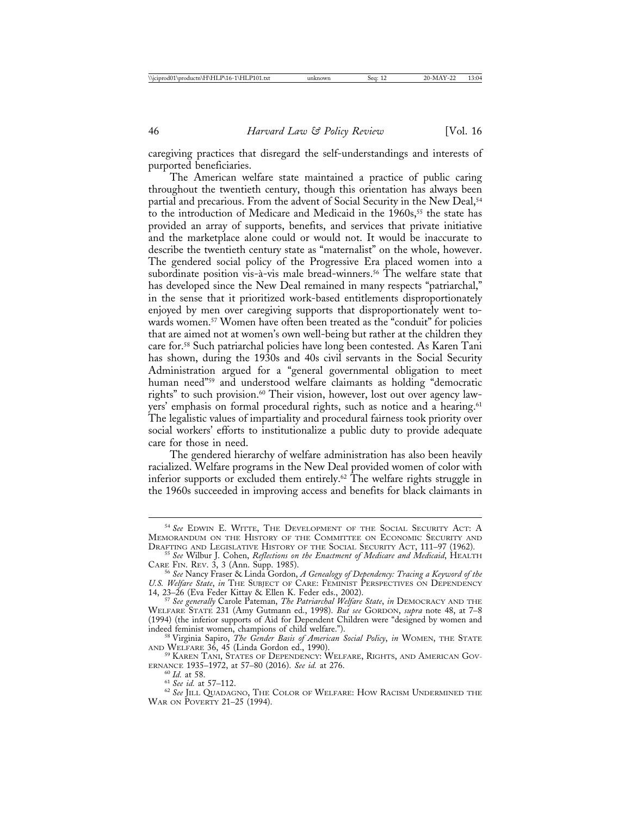caregiving practices that disregard the self-understandings and interests of purported beneficiaries.

The American welfare state maintained a practice of public caring throughout the twentieth century, though this orientation has always been partial and precarious. From the advent of Social Security in the New Deal,<sup>54</sup> to the introduction of Medicare and Medicaid in the 1960s,<sup>55</sup> the state has provided an array of supports, benefits, and services that private initiative and the marketplace alone could or would not. It would be inaccurate to describe the twentieth century state as "maternalist" on the whole, however. The gendered social policy of the Progressive Era placed women into a subordinate position vis-à-vis male bread-winners.<sup>56</sup> The welfare state that has developed since the New Deal remained in many respects "patriarchal," in the sense that it prioritized work-based entitlements disproportionately enjoyed by men over caregiving supports that disproportionately went towards women.<sup>57</sup> Women have often been treated as the "conduit" for policies that are aimed not at women's own well-being but rather at the children they care for.58 Such patriarchal policies have long been contested. As Karen Tani has shown, during the 1930s and 40s civil servants in the Social Security Administration argued for a "general governmental obligation to meet human need"<sup>59</sup> and understood welfare claimants as holding "democratic rights" to such provision.<sup>60</sup> Their vision, however, lost out over agency lawyers' emphasis on formal procedural rights, such as notice and a hearing.<sup>61</sup> The legalistic values of impartiality and procedural fairness took priority over social workers' efforts to institutionalize a public duty to provide adequate care for those in need.

The gendered hierarchy of welfare administration has also been heavily racialized. Welfare programs in the New Deal provided women of color with inferior supports or excluded them entirely.<sup>62</sup> The welfare rights struggle in the 1960s succeeded in improving access and benefits for black claimants in

<sup>54</sup> *See* EDWIN E. WITTE, THE DEVELOPMENT OF THE SOCIAL SECURITY ACT: A MEMORANDUM ON THE HISTORY OF THE COMMITTEE ON ECONOMIC SECURITY AND DRAFTING AND LEGISLATIVE HISTORY OF THE SOCIAL SECURITY ACT, 111–97 (1962).

<sup>&</sup>lt;sup>55</sup> See Wilbur J. Cohen, *Reflections on the Enactment of Medicare and Medicaid*, HEALTH CARE FIN. REV. 3, 3 (Ann. Supp. 1985).

<sup>&</sup>lt;sup>56</sup> See Nancy Fraser & Linda Gordon, *A Genealogy of Dependency: Tracing a Keyword of the U.S. Welfare State*, *in* THE SUBJECT OF CARE: FEMINIST PERSPECTIVES ON DEPENDENCY 14, 23–26 (Eva Feder Kittay & Ellen K. Feder eds., 2002).

<sup>&</sup>lt;sup>57</sup> See generally Carole Pateman, *The Patriarchal Welfare State*, *in* DEMOCRACY AND THE WELFARE STATE 231 (Amy Gutmann ed., 1998). *But see* GORDON, *supra* note 48, at 7–8 (1994) (the inferior supports of Aid for Dependent Children were "designed by women and indeed feminist women, champions of child welfare."). <sup>58</sup> Virginia Sapiro, *The Gender Basis of American Social Policy*, *in* WOMEN, THE STATE

AND WELFARE 36, 45 (Linda Gordon ed., 1990). <sup>59</sup> KAREN TANI, STATES OF DEPENDENCY: WELFARE, RIGHTS, AND AMERICAN GOV-

ERNANCE 1935–1972, at 57–80 (2016). *See id.* at 276.<br><sup>60</sup> *Id.* at 58. <sup>61</sup> *See id.* at 57–112. <sup>62</sup> *See* JILL QUADAGNO, THE COLOR OF WELFARE: HOW RACISM UNDERMINED THE

WAR ON POVERTY 21–25 (1994).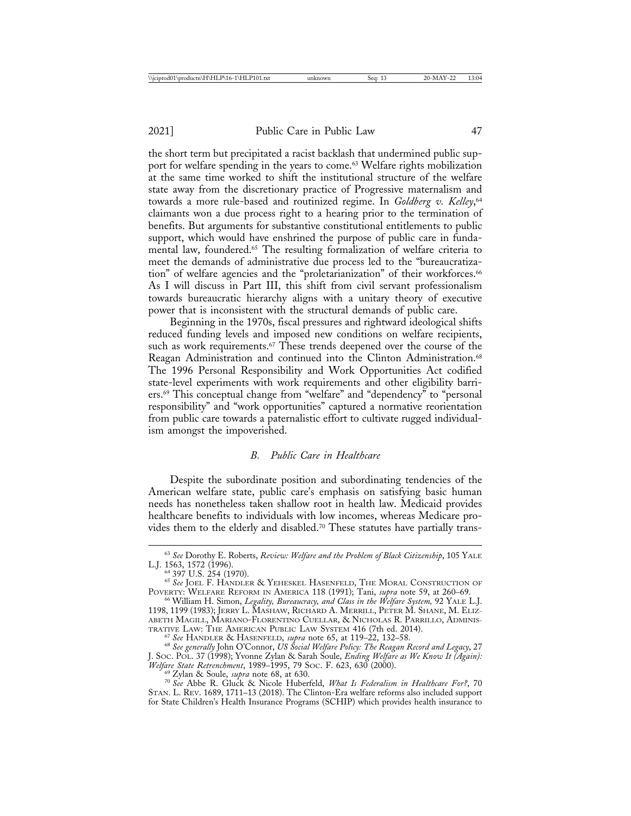the short term but precipitated a racist backlash that undermined public support for welfare spending in the years to come.<sup>63</sup> Welfare rights mobilization at the same time worked to shift the institutional structure of the welfare state away from the discretionary practice of Progressive maternalism and towards a more rule-based and routinized regime. In *Goldberg v. Kelley*, 64 claimants won a due process right to a hearing prior to the termination of benefits. But arguments for substantive constitutional entitlements to public support, which would have enshrined the purpose of public care in fundamental law, foundered.65 The resulting formalization of welfare criteria to meet the demands of administrative due process led to the "bureaucratization" of welfare agencies and the "proletarianization" of their workforces.<sup>66</sup> As I will discuss in Part III, this shift from civil servant professionalism towards bureaucratic hierarchy aligns with a unitary theory of executive power that is inconsistent with the structural demands of public care.

Beginning in the 1970s, fiscal pressures and rightward ideological shifts reduced funding levels and imposed new conditions on welfare recipients, such as work requirements.<sup>67</sup> These trends deepened over the course of the Reagan Administration and continued into the Clinton Administration.<sup>68</sup> The 1996 Personal Responsibility and Work Opportunities Act codified state-level experiments with work requirements and other eligibility barriers.69 This conceptual change from "welfare" and "dependency" to "personal responsibility" and "work opportunities" captured a normative reorientation from public care towards a paternalistic effort to cultivate rugged individualism amongst the impoverished.

## *B. Public Care in Healthcare*

Despite the subordinate position and subordinating tendencies of the American welfare state, public care's emphasis on satisfying basic human needs has nonetheless taken shallow root in health law. Medicaid provides healthcare benefits to individuals with low incomes, whereas Medicare provides them to the elderly and disabled.<sup>70</sup> These statutes have partially trans-

<sup>&</sup>lt;sup>63</sup> See Dorothy E. Roberts, *Review: Welfare and the Problem of Black Citizenship*, 105 YALE L.J. 1563, 1572 (1996).<br><sup>64</sup> 397 U.S. 254 (1970).

<sup>&</sup>lt;sup>65</sup> See JOEL F. HANDLER & YEHESKEL HASENFELD, THE MORAL CONSTRUCTION OF POVERTY: WELFARE REFORM IN AMERICA 118 (1991); Tani, *supra* note 59, at 260–69.

<sup>&</sup>lt;sup>66</sup> William H. Simon, *Legality, Bureaucracy, and Class in the Welfare System*, 92 YALE L.J. 1198, 1199 (1983); JERRY L. MASHAW, RICHARD A. MERRILL, PETER M. SHANE, M. ELIZ-ABETH MAGILL, MARIANO-FLORENTINO CUELLAR, & NICHOLAS R. PARRILLO, ADMINIS-TRATIVE LAW: THE AMERICAN PUBLIC LAW SYSTEM 416 (7th ed. 2014).<br><sup>67</sup> See HANDLER & HASENFELD, *supra* note 65, at 119–22, 132–58.<br><sup>68</sup> See generally John O'Connor, US Social Welfare Policy: *The Reagan Record and Legacy*,

J. SOC. POL. 37 (1998); Yvonne Zylan & Sarah Soule, *Ending Welfare as We Know It (Again): Welfare State Retrenchment*, 1989–1995, 79 Soc. F. 623, 630 (2000).<br><sup>69</sup> Zylan & Soule, *supra* note 68, at 630.<br><sup>70</sup> *See* Abbe R. Gluck & Nicole Huberfeld, *What Is Federalism in Healthcare For?*, 70

 $\frac{576}{100}$  See Abbe R. Gluck & Nicole Huberfeld, *What Is Federalism in Healthcare For?*, 70 STAN. L. REV. 1689, 1711–13 (2018). The Clinton-Era welfare reforms also included support for State Children's Health Insurance Programs (SCHIP) which provides health insurance to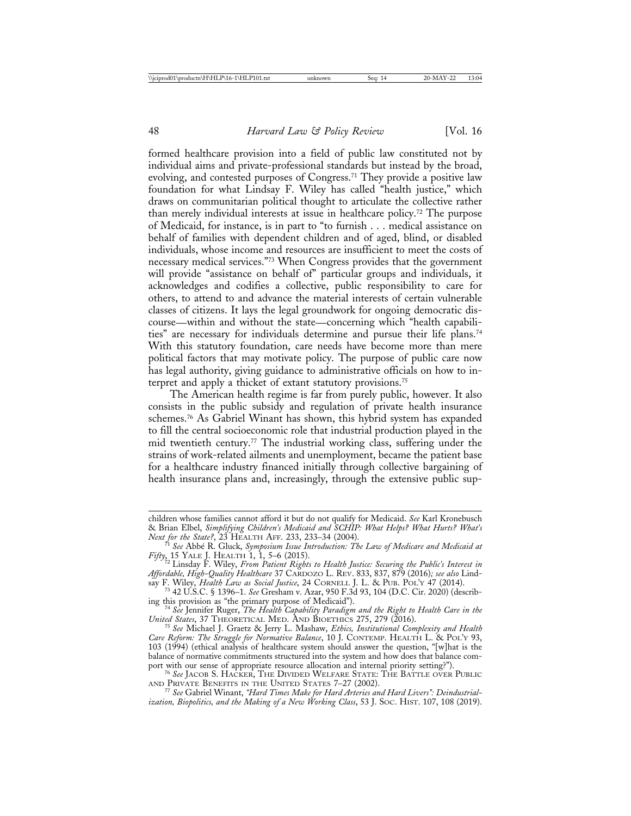formed healthcare provision into a field of public law constituted not by individual aims and private-professional standards but instead by the broad, evolving, and contested purposes of Congress.71 They provide a positive law foundation for what Lindsay F. Wiley has called "health justice," which draws on communitarian political thought to articulate the collective rather than merely individual interests at issue in healthcare policy.72 The purpose of Medicaid, for instance, is in part to "to furnish . . . medical assistance on behalf of families with dependent children and of aged, blind, or disabled individuals, whose income and resources are insufficient to meet the costs of necessary medical services."73 When Congress provides that the government will provide "assistance on behalf of" particular groups and individuals, it acknowledges and codifies a collective, public responsibility to care for others, to attend to and advance the material interests of certain vulnerable classes of citizens. It lays the legal groundwork for ongoing democratic discourse—within and without the state—concerning which "health capabilities" are necessary for individuals determine and pursue their life plans.74 With this statutory foundation, care needs have become more than mere political factors that may motivate policy. The purpose of public care now has legal authority, giving guidance to administrative officials on how to interpret and apply a thicket of extant statutory provisions.75

The American health regime is far from purely public, however. It also consists in the public subsidy and regulation of private health insurance schemes.76 As Gabriel Winant has shown, this hybrid system has expanded to fill the central socioeconomic role that industrial production played in the mid twentieth century.77 The industrial working class, suffering under the strains of work-related ailments and unemployment, became the patient base for a healthcare industry financed initially through collective bargaining of health insurance plans and, increasingly, through the extensive public sup-

children whose families cannot afford it but do not qualify for Medicaid. *See* Karl Kronebusch & Brian Elbel, *Simplifying Children's Medicaid and SCHIP: What Helps? What Hurts? What's Next for the State?*, 23 HEALTH AFF. 233, 233–34 (2004).<br><sup>71</sup> *See Abbé R. Gluck, Symposium Issue Introduction: The Law of Medicare and Medicaid at* 

*Fifty*, 15 YALE J. HEALTH 1, 1, 5–6 (2015). <sup>72</sup> Linsday F. Wiley, *From Patient Rights to Health Justice: Securing the Public's Interest in*

*Affordable, High-Quality Healthcare* 37 CARDOZO L. REV. 833, 837, 879 (2016)*; see also* Lind-

say F. Wiley, *Health Law as Social Justice*, 24 CORNELL J. L. & PUB. POL'Y 47 (2014). <sup>73</sup> 42 U.S.C. § 1396–1. *See* Gresham v. Azar, 950 F.3d 93, 104 (D.C. Cir. 2020) (describ-

ing this provision as "the primary purpose of Medicaid").<br><sup>74</sup> See Jennifer Ruger, *The Health Capability Paradigm and the Right to Health Care in the*<br>United States, 37 THEORETICAL MED. AND BIOETHICS 275, 279 (2016).

<sup>&</sup>lt;sup>75</sup> See Michael J. Graetz & Jerry L. Mashaw, *Ethics, Institutional Complexity and Health Care Reform: The Struggle for Normative Balance*, 10 J. CONTEMP. HEALTH L. & POL'Y 93, 103 (1994) (ethical analysis of healthcare system should answer the question, "[w]hat is the balance of normative commitments structured into the system and how does that balance comport with our sense of appropriate resource allocation and internal priority setting?").<br><sup>76</sup> See JACOB S. HACKER, THE DIVIDED WELFARE STATE: THE BATTLE OVER PUBLIC

AND PRIVATE BENEFITS IN THE UNITED STATES 7–27 (2002). <sup>77</sup> *See* Gabriel Winant, *"Hard Times Make for Hard Arteries and Hard Livers": Deindustrial-*

*ization, Biopolitics, and the Making of a New Working Class*, 53 J. SOC. HIST. 107, 108 (2019).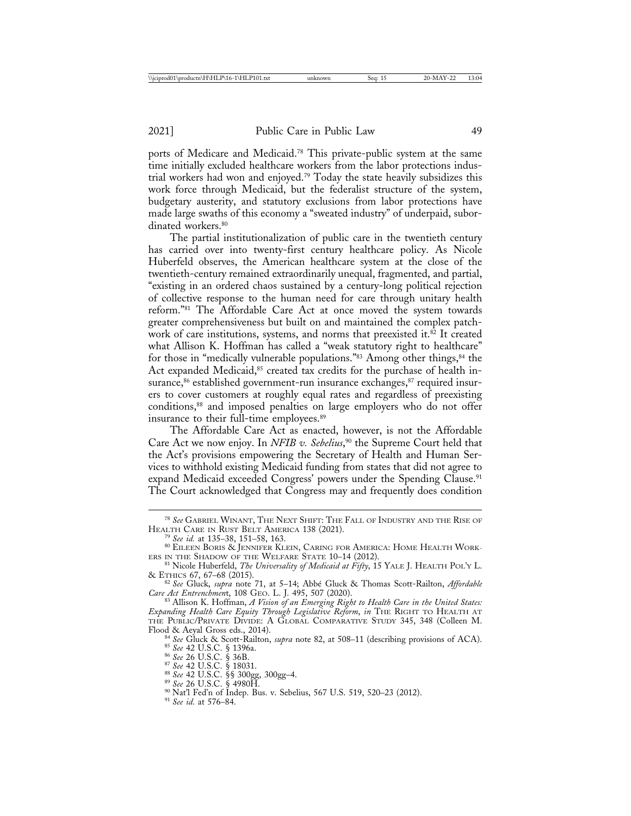ports of Medicare and Medicaid.78 This private-public system at the same time initially excluded healthcare workers from the labor protections industrial workers had won and enjoyed.79 Today the state heavily subsidizes this work force through Medicaid, but the federalist structure of the system, budgetary austerity, and statutory exclusions from labor protections have made large swaths of this economy a "sweated industry" of underpaid, subordinated workers.<sup>80</sup>

The partial institutionalization of public care in the twentieth century has carried over into twenty-first century healthcare policy. As Nicole Huberfeld observes, the American healthcare system at the close of the twentieth-century remained extraordinarily unequal, fragmented, and partial, "existing in an ordered chaos sustained by a century-long political rejection of collective response to the human need for care through unitary health reform."81 The Affordable Care Act at once moved the system towards greater comprehensiveness but built on and maintained the complex patchwork of care institutions, systems, and norms that preexisted it.<sup>82</sup> It created what Allison K. Hoffman has called a "weak statutory right to healthcare" for those in "medically vulnerable populations."<sup>83</sup> Among other things,<sup>84</sup> the Act expanded Medicaid,<sup>85</sup> created tax credits for the purchase of health insurance,<sup>86</sup> established government-run insurance exchanges,<sup>87</sup> required insurers to cover customers at roughly equal rates and regardless of preexisting conditions,<sup>88</sup> and imposed penalties on large employers who do not offer insurance to their full-time employees.<sup>89</sup>

The Affordable Care Act as enacted, however, is not the Affordable Care Act we now enjoy. In *NFIB v. Sebelius*, 90 the Supreme Court held that the Act's provisions empowering the Secretary of Health and Human Services to withhold existing Medicaid funding from states that did not agree to expand Medicaid exceeded Congress' powers under the Spending Clause.<sup>91</sup> The Court acknowledged that Congress may and frequently does condition

- 
- 
- 

 $^{78}$   $\it See$  GABRIEL WINANT, THE NEXT SHIFT: THE FALL OF INDUSTRY AND THE RISE OF HEALTH CARE IN RUST BELT AMERICA 138 (2021).

<sup>&</sup>lt;sup>79</sup> See id. at 135–38, 151–58, 163.<br><sup>80</sup> Eileen Boris & Jennifer Klein, Caring for America: Home Health Work-

ERS IN THE SHADOW OF THE WELFARE STATE 10–14 (2012).<br><sup>81</sup> Nicole Huberfeld, *The Universality of Medicaid at Fifty*, 15 YALE J. HEALTH POL'Y L.<br>& ETHICS 67, 67–68 (2015).

<sup>&</sup>amp; ETHICS 67, 67–68 (2015). <sup>82</sup> *See* Gluck, *supra* note 71, at 5–14; Abb´e Gluck & Thomas Scott-Railton, *Affordable Care Act Entrenchment*, 108 GEO. L. J. 495, 507 (2020).<br><sup>83</sup> Allison K. Hoffman, *A Vision of an Emerging Right to Health Care in the United States:* 

*Expanding Health Care Equity Through Legislative Reform*, *in* THE RIGHT TO HEALTH AT THE PUBLIC/PRIVATE DIVIDE: A GLOBAL COMPARATIVE STUDY 345, 348 (Colleen M. Flood & Aeyal Gross eds., 2014).

<sup>&</sup>lt;sup>84</sup> See Gluck & Scott-Railton, *supra* note 82, at 508–11 (describing provisions of ACA).<br>
<sup>85</sup> See 42 U.S.C. § 1396a.<br>
<sup>86</sup> See 42 U.S.C. § 36B.<br>
<sup>87</sup> See 42 U.S.C. § 18031.<br>
<sup>87</sup> See 42 U.S.C. § 300gg, 300gg–4.<br>
<sup>89</sup> S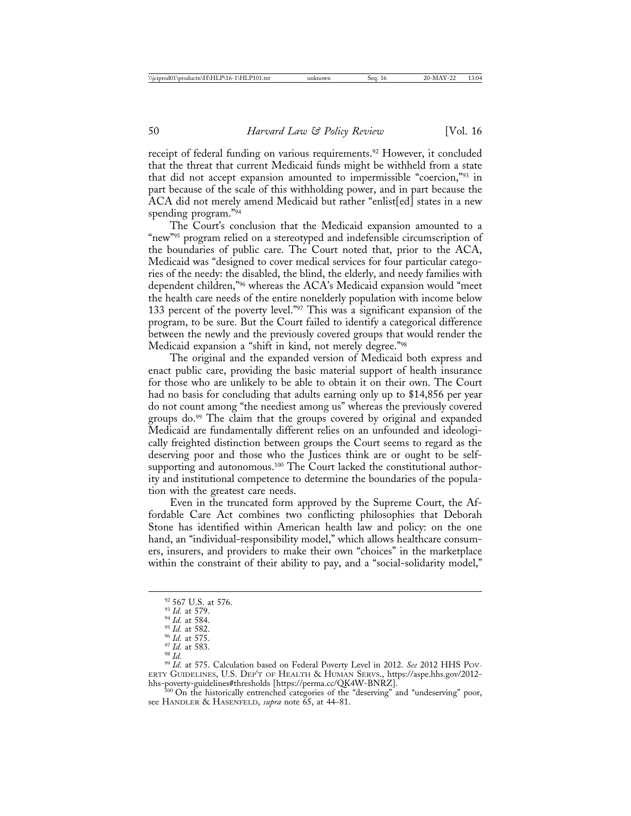receipt of federal funding on various requirements.<sup>92</sup> However, it concluded that the threat that current Medicaid funds might be withheld from a state that did not accept expansion amounted to impermissible "coercion,"93 in part because of the scale of this withholding power, and in part because the ACA did not merely amend Medicaid but rather "enlist[ed] states in a new spending program."94

The Court's conclusion that the Medicaid expansion amounted to a "new"<sup>95</sup> program relied on a stereotyped and indefensible circumscription of the boundaries of public care. The Court noted that, prior to the ACA, Medicaid was "designed to cover medical services for four particular categories of the needy: the disabled, the blind, the elderly, and needy families with dependent children,"96 whereas the ACA's Medicaid expansion would "meet the health care needs of the entire nonelderly population with income below 133 percent of the poverty level."<sup>97</sup> This was a significant expansion of the program, to be sure. But the Court failed to identify a categorical difference between the newly and the previously covered groups that would render the Medicaid expansion a "shift in kind, not merely degree."98

The original and the expanded version of Medicaid both express and enact public care, providing the basic material support of health insurance for those who are unlikely to be able to obtain it on their own. The Court had no basis for concluding that adults earning only up to \$14,856 per year do not count among "the neediest among us" whereas the previously covered groups do.<sup>99</sup> The claim that the groups covered by original and expanded Medicaid are fundamentally different relies on an unfounded and ideologically freighted distinction between groups the Court seems to regard as the deserving poor and those who the Justices think are or ought to be selfsupporting and autonomous.<sup>100</sup> The Court lacked the constitutional authority and institutional competence to determine the boundaries of the population with the greatest care needs.

Even in the truncated form approved by the Supreme Court, the Affordable Care Act combines two conflicting philosophies that Deborah Stone has identified within American health law and policy: on the one hand, an "individual-responsibility model," which allows healthcare consumers, insurers, and providers to make their own "choices" in the marketplace within the constraint of their ability to pay, and a "social-solidarity model,"

see HANDLER & HASENFELD, *supra* note 65, at 44–81.

<sup>&</sup>lt;sup>92</sup> 567 U.S. at 576.<br><sup>93</sup> Id. at 579.<br><sup>94</sup> Id. at 584.<br><sup>96</sup> Id. at 582.<br><sup>96</sup> Id. at 575.<br><sup>97</sup> Id. at 575.<br><sup>98</sup> Id. at 575. Calculation based on Federal Poverty Level in 2012. *See* 2012 HHS Pov-<br><sup>99</sup> Id. at 575. Calculat ERTY GUIDELINES, U.S. DEP'T OF HEALTH & HUMAN SERVS., https://aspe.hhs.gov/2012 hhs-poverty-guidelines#thresholds [https://perma.cc/QK4W-BNRZ]. <sup>100</sup> On the historically entrenched categories of the "deserving" and "undeserving" poor,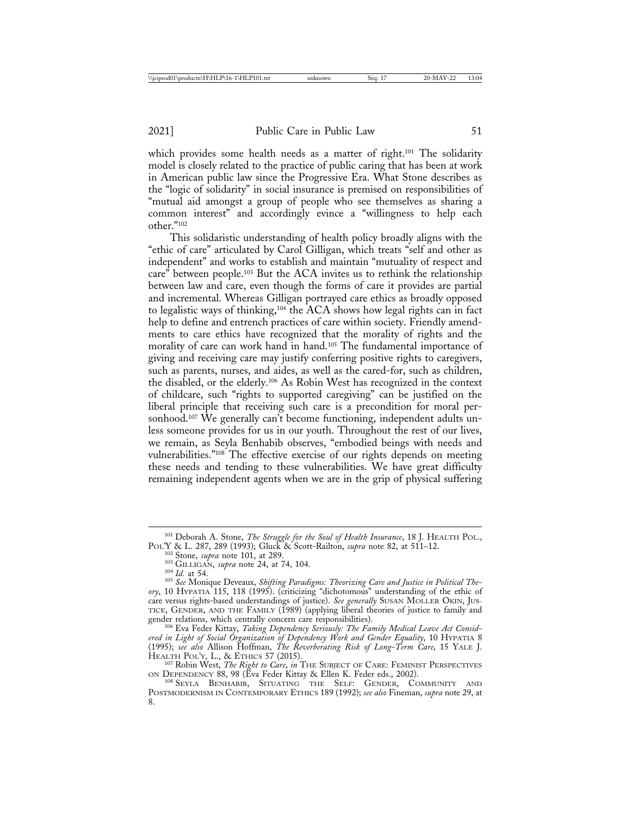which provides some health needs as a matter of right.<sup>101</sup> The solidarity model is closely related to the practice of public caring that has been at work in American public law since the Progressive Era. What Stone describes as the "logic of solidarity" in social insurance is premised on responsibilities of "mutual aid amongst a group of people who see themselves as sharing a common interest" and accordingly evince a "willingness to help each other."102

This solidaristic understanding of health policy broadly aligns with the "ethic of care" articulated by Carol Gilligan, which treats "self and other as independent" and works to establish and maintain "mutuality of respect and care" between people.103 But the ACA invites us to rethink the relationship between law and care, even though the forms of care it provides are partial and incremental. Whereas Gilligan portrayed care ethics as broadly opposed to legalistic ways of thinking,104 the ACA shows how legal rights can in fact help to define and entrench practices of care within society. Friendly amendments to care ethics have recognized that the morality of rights and the morality of care can work hand in hand.105 The fundamental importance of giving and receiving care may justify conferring positive rights to caregivers, such as parents, nurses, and aides, as well as the cared-for, such as children, the disabled, or the elderly.106 As Robin West has recognized in the context of childcare, such "rights to supported caregiving" can be justified on the liberal principle that receiving such care is a precondition for moral personhood.107 We generally can't become functioning, independent adults unless someone provides for us in our youth. Throughout the rest of our lives, we remain, as Seyla Benhabib observes, "embodied beings with needs and vulnerabilities."108 The effective exercise of our rights depends on meeting these needs and tending to these vulnerabilities. We have great difficulty remaining independent agents when we are in the grip of physical suffering

<sup>106</sup> Eva Feder Kittay, Taking Dependency Seriously: The Family Medical Leave Act Consid*ered in Light of Social Organization of Dependency Work and Gender Equality*, 10 HYPATIA 8 (1995); *see also* Allison Hoffman, *The Reverberating Risk of Long-Term Care*, 15 YALE J.

HEALTH POL'Y, L., & ETHICS 57 (2015). <sup>107</sup> Robin West, *The Right to Care*, *in* THE SUBJECT OF CARE: FEMINIST PERSPECTIVES ON DEPENDENCY 88, 98 (Eva Feder Kittay & Ellen K. Feder eds., 2002). <sup>108</sup> SEYLA BENHABIB, SITUATING THE SELF: GENDER, COMMUNITY AND

<sup>101</sup> Deborah A. Stone, *The Struggle for the Soul of Health Insurance*, 18 J. HEALTH POL.,

<sup>&</sup>lt;sup>102</sup> Stone, *supra* note 101, at 289.<br><sup>103</sup> GILLIGAN, *supra* note 24, at 74, 104.<br><sup>104</sup> Id. at 54.<br><sup>105</sup> See Monique Deveaux, *Shifting Paradigms: Theorizing Care and Justice in Political Theory*, 10 HYPATIA 115, 118 (1995). (criticizing "dichotomous" understanding of the ethic of care versus rights-based understandings of justice). *See generally* SUSAN MOLLER OKIN, JUS-TICE, GENDER, AND THE FAMILY (1989) (applying liberal theories of justice to family and gender relations, which centrally concern care responsibilities).

POSTMODERNISM IN CONTEMPORARY ETHICS 189 (1992); *see also* Fineman, *supra* note 29, at 8.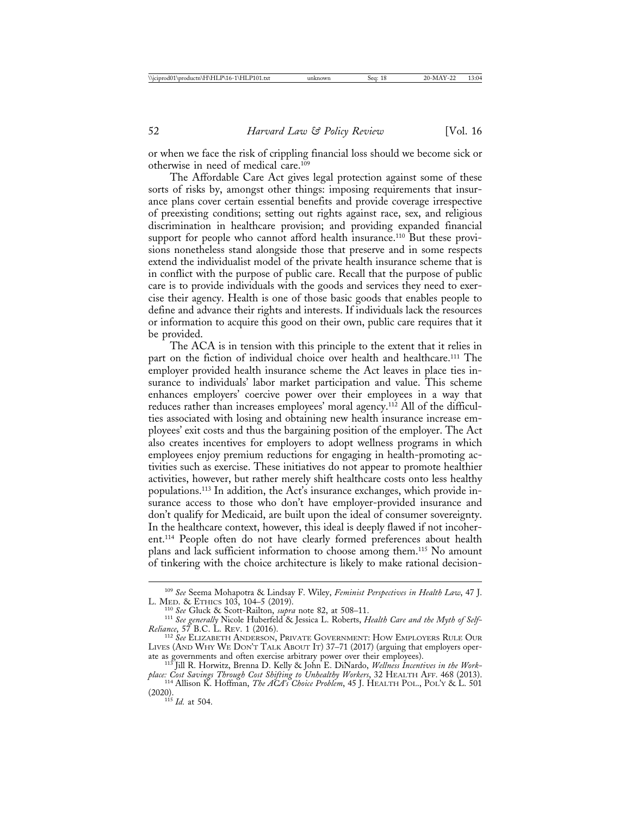or when we face the risk of crippling financial loss should we become sick or otherwise in need of medical care.109

The Affordable Care Act gives legal protection against some of these sorts of risks by, amongst other things: imposing requirements that insurance plans cover certain essential benefits and provide coverage irrespective of preexisting conditions; setting out rights against race, sex, and religious discrimination in healthcare provision; and providing expanded financial support for people who cannot afford health insurance.<sup>110</sup> But these provisions nonetheless stand alongside those that preserve and in some respects extend the individualist model of the private health insurance scheme that is in conflict with the purpose of public care. Recall that the purpose of public care is to provide individuals with the goods and services they need to exercise their agency. Health is one of those basic goods that enables people to define and advance their rights and interests. If individuals lack the resources or information to acquire this good on their own, public care requires that it be provided.

The ACA is in tension with this principle to the extent that it relies in part on the fiction of individual choice over health and healthcare.111 The employer provided health insurance scheme the Act leaves in place ties insurance to individuals' labor market participation and value. This scheme enhances employers' coercive power over their employees in a way that reduces rather than increases employees' moral agency.<sup>112</sup> All of the difficulties associated with losing and obtaining new health insurance increase employees' exit costs and thus the bargaining position of the employer. The Act also creates incentives for employers to adopt wellness programs in which employees enjoy premium reductions for engaging in health-promoting activities such as exercise. These initiatives do not appear to promote healthier activities, however, but rather merely shift healthcare costs onto less healthy populations.113 In addition, the Act's insurance exchanges, which provide insurance access to those who don't have employer-provided insurance and don't qualify for Medicaid, are built upon the ideal of consumer sovereignty. In the healthcare context, however, this ideal is deeply flawed if not incoherent.114 People often do not have clearly formed preferences about health plans and lack sufficient information to choose among them.115 No amount of tinkering with the choice architecture is likely to make rational decision-

<sup>109</sup> *See* Seema Mohapotra & Lindsay F. Wiley, *Feminist Perspectives in Health Law*, 47 J.

<sup>&</sup>lt;sup>110</sup> See Gluck & Scott-Railton, *supra* note 82, at 508–11.<br><sup>111</sup> See generally Nicole Huberfeld & Jessica L. Roberts, *Health Care and the Myth of Self-Reliance*, 57 B.C. L. REV. 1 (2016). <sup>112</sup> *See* ELIZABETH ANDERSON, PRIVATE GOVERNMENT: HOW EMPLOYERS RULE OUR

LIVES (AND WHY WE DON'T TALK ABOUT IT) 37–71 (2017) (arguing that employers operate as governments and often exercise arbitrary power over their employees). <sup>113</sup> Jill R. Horwitz, Brenna D. Kelly & John E. DiNardo, *Wellness Incentives in the Work-*

*place: Cost Savings Through Cost Shifting to Unhealthy Workers*, 32 HEALTH AFF. 468 (2013). <sup>114</sup> Allison K. Hoffman, *The ACA's Choice Problem*, 45 J. HEALTH POL., POL'Y & L. 501

 $115$  *Id.* at 504.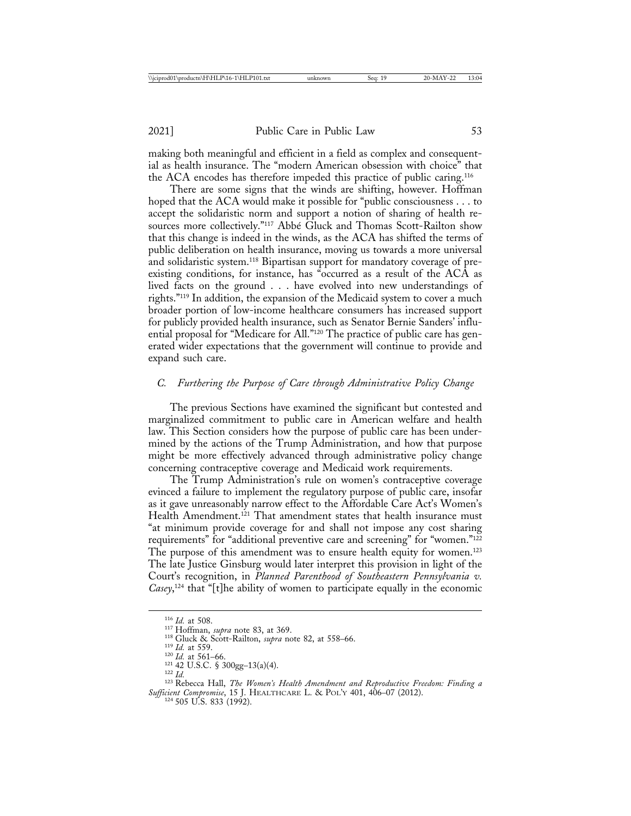making both meaningful and efficient in a field as complex and consequential as health insurance. The "modern American obsession with choice" that the ACA encodes has therefore impeded this practice of public caring.116

There are some signs that the winds are shifting, however. Hoffman hoped that the ACA would make it possible for "public consciousness . . . to accept the solidaristic norm and support a notion of sharing of health resources more collectively."<sup>117</sup> Abbé Gluck and Thomas Scott-Railton show that this change is indeed in the winds, as the ACA has shifted the terms of public deliberation on health insurance, moving us towards a more universal and solidaristic system.118 Bipartisan support for mandatory coverage of preexisting conditions, for instance, has "occurred as a result of the ACA as lived facts on the ground . . . have evolved into new understandings of rights."119 In addition, the expansion of the Medicaid system to cover a much broader portion of low-income healthcare consumers has increased support for publicly provided health insurance, such as Senator Bernie Sanders' influential proposal for "Medicare for All."120 The practice of public care has generated wider expectations that the government will continue to provide and expand such care.

## *C. Furthering the Purpose of Care through Administrative Policy Change*

The previous Sections have examined the significant but contested and marginalized commitment to public care in American welfare and health law. This Section considers how the purpose of public care has been undermined by the actions of the Trump Administration, and how that purpose might be more effectively advanced through administrative policy change concerning contraceptive coverage and Medicaid work requirements.

The Trump Administration's rule on women's contraceptive coverage evinced a failure to implement the regulatory purpose of public care, insofar as it gave unreasonably narrow effect to the Affordable Care Act's Women's Health Amendment.<sup>121</sup> That amendment states that health insurance must "at minimum provide coverage for and shall not impose any cost sharing requirements" for "additional preventive care and screening" for "women."122 The purpose of this amendment was to ensure health equity for women.<sup>123</sup> The late Justice Ginsburg would later interpret this provision in light of the Court's recognition, in *Planned Parenthood of Southeastern Pennsylvania v. Casey*, 124 that "[t]he ability of women to participate equally in the economic

<sup>116</sup> *Id.* at 508.<br><sup>117</sup> Hoffman, *supra* note 83, at 369.<br><sup>117</sup> Id. at 559.<br><sup>119</sup> *Id.* at 559.<br><sup>120</sup> *Id.* at 561–66.<br><sup>121</sup> 42 U.S.C. § 300gg–13(a)(4).<br><sup>122</sup> *Id.* <sup>122</sup> Id. <sup>122</sup> Rebecca Hall, *The Women's Health Amen Sufficient Compromise*, 15 J. HEALTHCARE L. & POL'Y 401, 406–07 (2012). <sup>124</sup> 505 U.S. 833 (1992).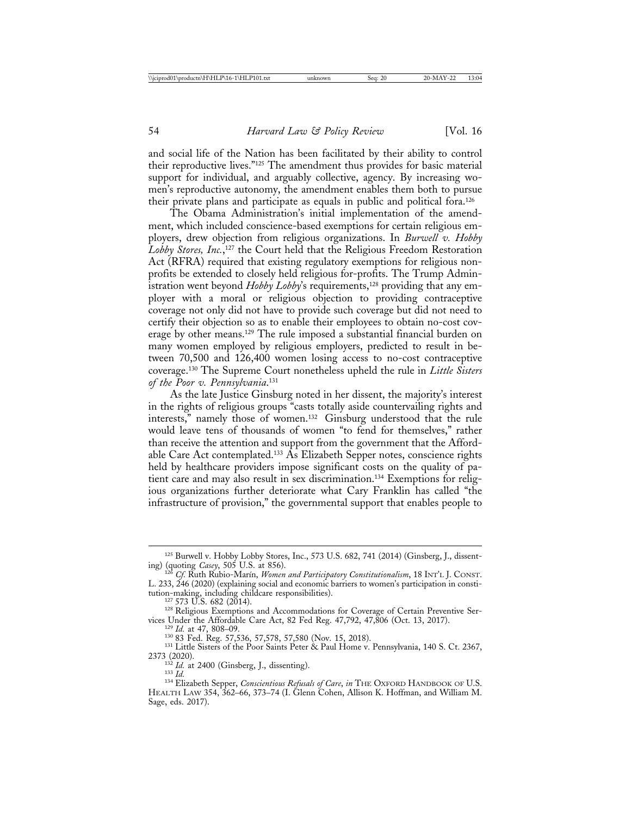and social life of the Nation has been facilitated by their ability to control their reproductive lives."125 The amendment thus provides for basic material support for individual, and arguably collective, agency. By increasing women's reproductive autonomy, the amendment enables them both to pursue their private plans and participate as equals in public and political fora.126

The Obama Administration's initial implementation of the amendment, which included conscience-based exemptions for certain religious employers, drew objection from religious organizations. In *Burwell v. Hobby Lobby Stores, Inc.*, 127 the Court held that the Religious Freedom Restoration Act (RFRA) required that existing regulatory exemptions for religious nonprofits be extended to closely held religious for-profits. The Trump Administration went beyond *Hobby Lobby*'s requirements,128 providing that any employer with a moral or religious objection to providing contraceptive coverage not only did not have to provide such coverage but did not need to certify their objection so as to enable their employees to obtain no-cost coverage by other means.129 The rule imposed a substantial financial burden on many women employed by religious employers, predicted to result in between 70,500 and 126,400 women losing access to no-cost contraceptive coverage.130 The Supreme Court nonetheless upheld the rule in *Little Sisters of the Poor v. Pennsylvania*. 131

As the late Justice Ginsburg noted in her dissent, the majority's interest in the rights of religious groups "casts totally aside countervailing rights and interests," namely those of women.132 Ginsburg understood that the rule would leave tens of thousands of women "to fend for themselves," rather than receive the attention and support from the government that the Affordable Care Act contemplated.<sup>133</sup>  $\overline{As}$  Elizabeth Sepper notes, conscience rights held by healthcare providers impose significant costs on the quality of patient care and may also result in sex discrimination.134 Exemptions for religious organizations further deteriorate what Cary Franklin has called "the infrastructure of provision," the governmental support that enables people to

<sup>125</sup> Burwell v. Hobby Lobby Stores, Inc., 573 U.S. 682, 741 (2014) (Ginsberg, J., dissenting) (quoting *Casey*, 505 U.S. at 856). <sup>126</sup> *Cf.* Ruth Rubio-Mar´ın, *Women and Participatory Constitutionalism*, 18 INT'L J. CONST.

L. 233, 246 (2020) (explaining social and economic barriers to women's participation in consti-

<sup>&</sup>lt;sup>127</sup> 573 U.S. 682 (2014).<br><sup>128</sup> Religious Exemptions and Accommodations for Coverage of Certain Preventive Ser-<br>vices Under the Affordable Care Act, 82 Fed Reg. 47,792, 47,806 (Oct. 13, 2017).

<sup>&</sup>lt;sup>129</sup> *Id.* at 47, 808–09.<br><sup>130</sup> 83 Fed. Reg. 57,536, 57,578, 57,580 (Nov. 15, 2018).<br><sup>131</sup> Little Sisters of the Poor Saints Peter & Paul Home v. Pennsylvania, 140 S. Ct. 2367,<br>2373 (2020).

<sup>&</sup>lt;sup>132</sup> *Id.* at 2400 (Ginsberg, J., dissenting).<br><sup>133</sup> *Id.* 134 Elizabeth Sepper, *Conscientious Refusals of Care*, *in* THE OXFORD HANDBOOK OF U.S. HEALTH LAW 354, 362–66, 373–74 (I. Glenn Cohen, Allison K. Hoffman, and William M. Sage, eds. 2017).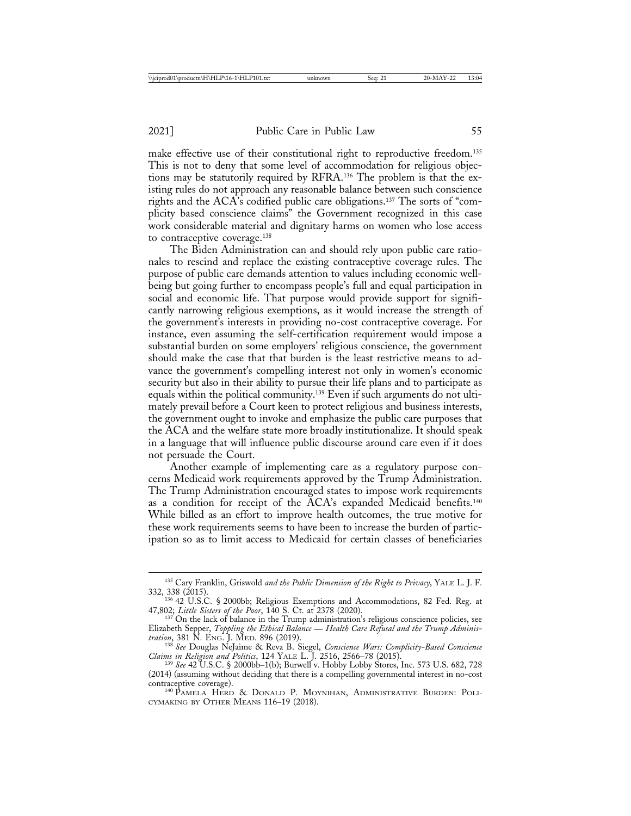make effective use of their constitutional right to reproductive freedom.<sup>135</sup> This is not to deny that some level of accommodation for religious objections may be statutorily required by RFRA.136 The problem is that the existing rules do not approach any reasonable balance between such conscience rights and the ACA's codified public care obligations.137 The sorts of "complicity based conscience claims" the Government recognized in this case work considerable material and dignitary harms on women who lose access to contraceptive coverage.138

The Biden Administration can and should rely upon public care rationales to rescind and replace the existing contraceptive coverage rules. The purpose of public care demands attention to values including economic wellbeing but going further to encompass people's full and equal participation in social and economic life. That purpose would provide support for significantly narrowing religious exemptions, as it would increase the strength of the government's interests in providing no-cost contraceptive coverage. For instance, even assuming the self-certification requirement would impose a substantial burden on some employers' religious conscience, the government should make the case that that burden is the least restrictive means to advance the government's compelling interest not only in women's economic security but also in their ability to pursue their life plans and to participate as equals within the political community.139 Even if such arguments do not ultimately prevail before a Court keen to protect religious and business interests, the government ought to invoke and emphasize the public care purposes that the ACA and the welfare state more broadly institutionalize. It should speak in a language that will influence public discourse around care even if it does not persuade the Court.

Another example of implementing care as a regulatory purpose concerns Medicaid work requirements approved by the Trump Administration. The Trump Administration encouraged states to impose work requirements as a condition for receipt of the ACA's expanded Medicaid benefits.140 While billed as an effort to improve health outcomes, the true motive for these work requirements seems to have been to increase the burden of participation so as to limit access to Medicaid for certain classes of beneficiaries

<sup>&</sup>lt;sup>135</sup> Cary Franklin, Griswold *and the Public Dimension of the Right to Privacy*, YALE L. J. F. 332, 338 (2015).

 $336$  42 U.S.C. § 2000bb; Religious Exemptions and Accommodations, 82 Fed. Reg. at 47,802; Little Sisters of the Poor, 140 S. Ct. at 2378 (2020).

<sup>&</sup>lt;sup>137</sup> On the lack of balance in the Trump administration's religious conscience policies, see Elizabeth Sepper, *Toppling the Ethical Balance* — *Health Care Refusal and the Trump Adminis-*

*tration*, 381 N. ENG. J. MED. 896 (2019). <sup>138</sup> *See* Douglas NeJaime & Reva B. Siegel, *Conscience Wars: Complicity-Based Conscience Claims in Religion and Politics*, 124 YALE L. J. 2516, 2566–78 (2015). <sup>139</sup> *See* 42 U.S.C. § 2000bb–1(b); Burwell v. Hobby Lobby Stores, Inc. 573 U.S. 682, 728

<sup>(2014) (</sup>assuming without deciding that there is a compelling governmental interest in no-cost

<sup>&</sup>lt;sup>140</sup> PAMELA HERD & DONALD P. MOYNIHAN, ADMINISTRATIVE BURDEN: POLI-CYMAKING BY OTHER MEANS 116–19 (2018).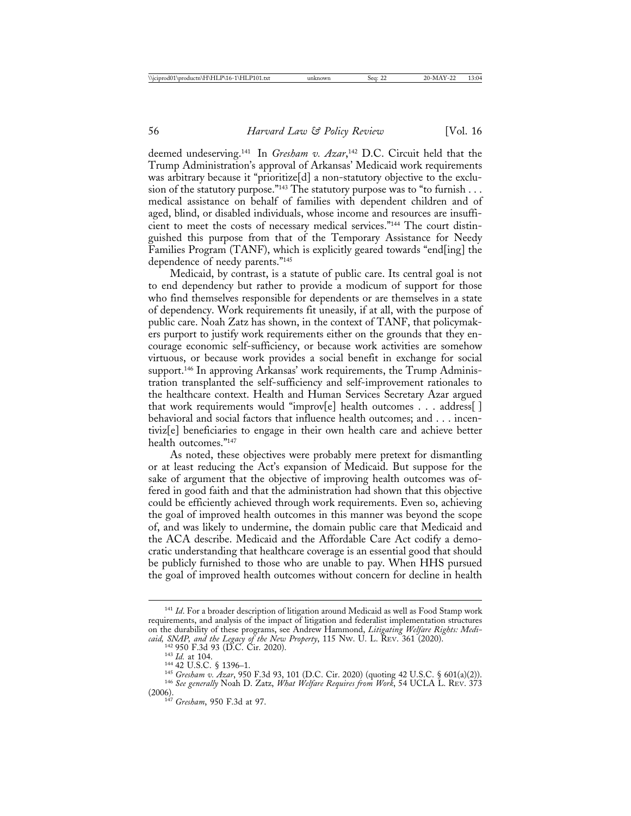deemed undeserving.141 In *Gresham v. Azar*, 142 D.C. Circuit held that the Trump Administration's approval of Arkansas' Medicaid work requirements was arbitrary because it "prioritize[d] a non-statutory objective to the exclusion of the statutory purpose."<sup>143</sup> The statutory purpose was to "to furnish . . . medical assistance on behalf of families with dependent children and of aged, blind, or disabled individuals, whose income and resources are insufficient to meet the costs of necessary medical services."144 The court distinguished this purpose from that of the Temporary Assistance for Needy Families Program (TANF), which is explicitly geared towards "end[ing] the dependence of needy parents."145

Medicaid, by contrast, is a statute of public care. Its central goal is not to end dependency but rather to provide a modicum of support for those who find themselves responsible for dependents or are themselves in a state of dependency. Work requirements fit uneasily, if at all, with the purpose of public care. Noah Zatz has shown, in the context of TANF, that policymakers purport to justify work requirements either on the grounds that they encourage economic self-sufficiency, or because work activities are somehow virtuous, or because work provides a social benefit in exchange for social support.146 In approving Arkansas' work requirements, the Trump Administration transplanted the self-sufficiency and self-improvement rationales to the healthcare context. Health and Human Services Secretary Azar argued that work requirements would "improv[e] health outcomes . . . address[ ] behavioral and social factors that influence health outcomes; and . . . incentiviz[e] beneficiaries to engage in their own health care and achieve better health outcomes."147

As noted, these objectives were probably mere pretext for dismantling or at least reducing the Act's expansion of Medicaid. But suppose for the sake of argument that the objective of improving health outcomes was offered in good faith and that the administration had shown that this objective could be efficiently achieved through work requirements. Even so, achieving the goal of improved health outcomes in this manner was beyond the scope of, and was likely to undermine, the domain public care that Medicaid and the ACA describe. Medicaid and the Affordable Care Act codify a democratic understanding that healthcare coverage is an essential good that should be publicly furnished to those who are unable to pay. When HHS pursued the goal of improved health outcomes without concern for decline in health

<sup>&</sup>lt;sup>141</sup> *Id*. For a broader description of litigation around Medicaid as well as Food Stamp work requirements, and analysis of the impact of litigation and federalist implementation structures on the durability of these programs, see Andrew Hammond, *Litigating Welfare Rights: Medicaid, SNAP, and the Legacy of the New Property*, 115 Nw. U. L. REV. 361 (2020).<br><sup>142</sup> 950 F.3d 93 (D.C. Cir. 2020).

<sup>&</sup>lt;sup>143</sup> Id. at 104.<br>
<sup>143</sup> Id. at 104.<br>
<sup>144</sup> 42 U.S.C. § 1396–1.<br>
<sup>145</sup> Gresham v. Azar, 950 F.3d 93, 101 (D.C. Cir. 2020) (quoting 42 U.S.C. § 601(a)(2)).<br>
<sup>146</sup> See generally Noah D. Zatz, *What Welfare Requires from Work* 

<sup>(2006).</sup> <sup>147</sup> *Gresham*, 950 F.3d at 97.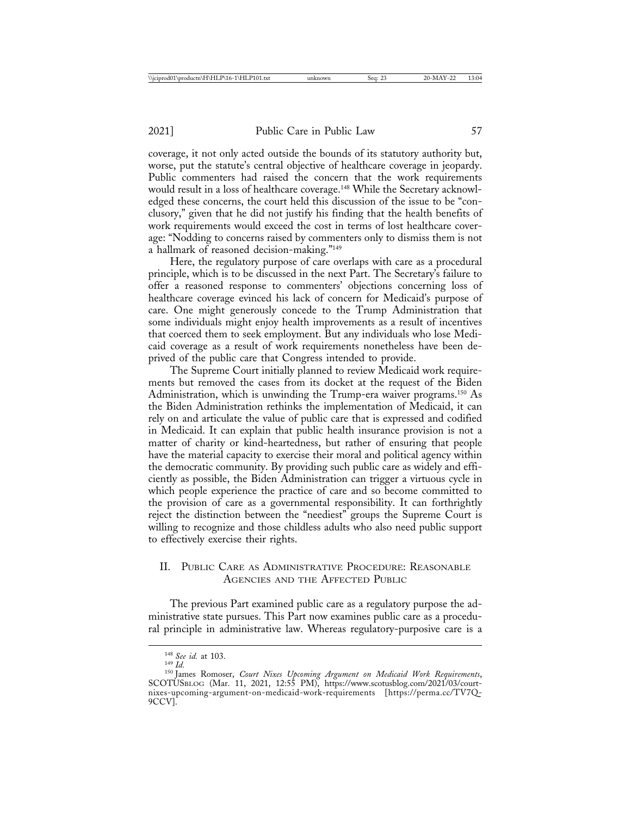coverage, it not only acted outside the bounds of its statutory authority but, worse, put the statute's central objective of healthcare coverage in jeopardy. Public commenters had raised the concern that the work requirements would result in a loss of healthcare coverage.<sup>148</sup> While the Secretary acknowledged these concerns, the court held this discussion of the issue to be "conclusory," given that he did not justify his finding that the health benefits of work requirements would exceed the cost in terms of lost healthcare coverage: "Nodding to concerns raised by commenters only to dismiss them is not a hallmark of reasoned decision-making."149

Here, the regulatory purpose of care overlaps with care as a procedural principle, which is to be discussed in the next Part. The Secretary's failure to offer a reasoned response to commenters' objections concerning loss of healthcare coverage evinced his lack of concern for Medicaid's purpose of care. One might generously concede to the Trump Administration that some individuals might enjoy health improvements as a result of incentives that coerced them to seek employment. But any individuals who lose Medicaid coverage as a result of work requirements nonetheless have been deprived of the public care that Congress intended to provide.

The Supreme Court initially planned to review Medicaid work requirements but removed the cases from its docket at the request of the Biden Administration, which is unwinding the Trump-era waiver programs.<sup>150</sup> As the Biden Administration rethinks the implementation of Medicaid, it can rely on and articulate the value of public care that is expressed and codified in Medicaid. It can explain that public health insurance provision is not a matter of charity or kind-heartedness, but rather of ensuring that people have the material capacity to exercise their moral and political agency within the democratic community. By providing such public care as widely and efficiently as possible, the Biden Administration can trigger a virtuous cycle in which people experience the practice of care and so become committed to the provision of care as a governmental responsibility. It can forthrightly reject the distinction between the "neediest" groups the Supreme Court is willing to recognize and those childless adults who also need public support to effectively exercise their rights.

## II. PUBLIC CARE AS ADMINISTRATIVE PROCEDURE: REASONABLE AGENCIES AND THE AFFECTED PUBLIC

The previous Part examined public care as a regulatory purpose the administrative state pursues. This Part now examines public care as a procedural principle in administrative law. Whereas regulatory-purposive care is a

<sup>&</sup>lt;sup>148</sup> See id. at 103.<br><sup>149</sup> Id.<br><sup>150</sup> James Romoser, *Court Nixes Upcoming Argument on Medicaid Work Requirements*, SCOTUSBLOG (Mar. 11, 2021, 12:55 PM), https://www.scotusblog.com/2021/03/courtnixes-upcoming-argument-on-medicaid-work-requirements [https://perma.cc/TV7Q-9CCV].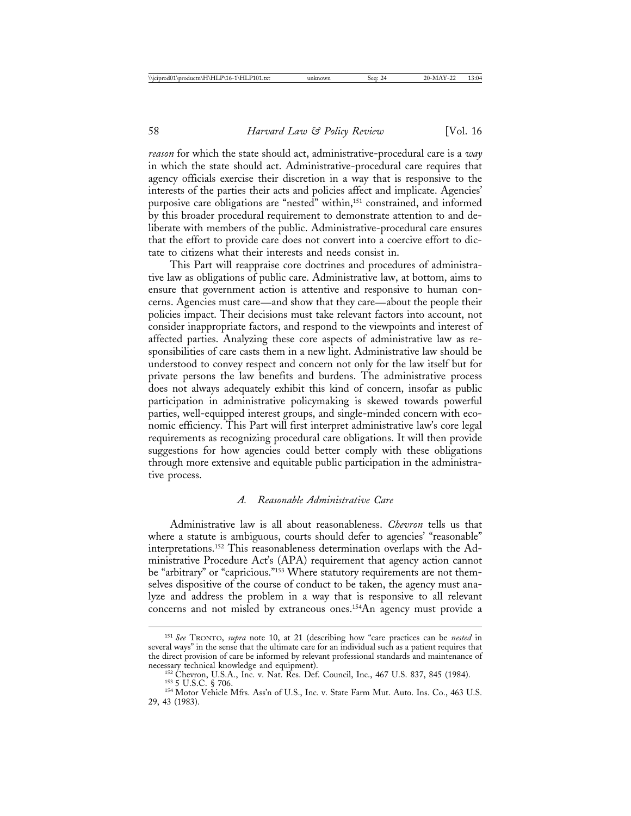*reason* for which the state should act, administrative-procedural care is a *way* in which the state should act. Administrative-procedural care requires that agency officials exercise their discretion in a way that is responsive to the interests of the parties their acts and policies affect and implicate. Agencies' purposive care obligations are "nested" within,<sup>151</sup> constrained, and informed by this broader procedural requirement to demonstrate attention to and deliberate with members of the public. Administrative-procedural care ensures that the effort to provide care does not convert into a coercive effort to dictate to citizens what their interests and needs consist in.

This Part will reappraise core doctrines and procedures of administrative law as obligations of public care. Administrative law, at bottom, aims to ensure that government action is attentive and responsive to human concerns. Agencies must care—and show that they care—about the people their policies impact. Their decisions must take relevant factors into account, not consider inappropriate factors, and respond to the viewpoints and interest of affected parties. Analyzing these core aspects of administrative law as responsibilities of care casts them in a new light. Administrative law should be understood to convey respect and concern not only for the law itself but for private persons the law benefits and burdens. The administrative process does not always adequately exhibit this kind of concern, insofar as public participation in administrative policymaking is skewed towards powerful parties, well-equipped interest groups, and single-minded concern with economic efficiency. This Part will first interpret administrative law's core legal requirements as recognizing procedural care obligations. It will then provide suggestions for how agencies could better comply with these obligations through more extensive and equitable public participation in the administrative process.

## *A. Reasonable Administrative Care*

Administrative law is all about reasonableness. *Chevron* tells us that where a statute is ambiguous, courts should defer to agencies' "reasonable" interpretations.152 This reasonableness determination overlaps with the Administrative Procedure Act's (APA) requirement that agency action cannot be "arbitrary" or "capricious."153 Where statutory requirements are not themselves dispositive of the course of conduct to be taken, the agency must analyze and address the problem in a way that is responsive to all relevant concerns and not misled by extraneous ones.154An agency must provide a

<sup>151</sup> *See* TRONTO, *supra* note 10, at 21 (describing how "care practices can be *nested* in several ways" in the sense that the ultimate care for an individual such as a patient requires that the direct provision of care be informed by relevant professional standards and maintenance of necessary technical knowledge and equipment).

<sup>&</sup>lt;sup>152</sup> Chevron, U.S.A., Inc. v. Nat. Res. Def. Council, Inc., 467 U.S. 837, 845 (1984).<br><sup>153</sup> 5 U.S.C. § 706.<br><sup>154</sup> Motor Vehicle Mfrs. Ass'n of U.S., Inc. v. State Farm Mut. Auto. Ins. Co., 463 U.S. 29, 43 (1983).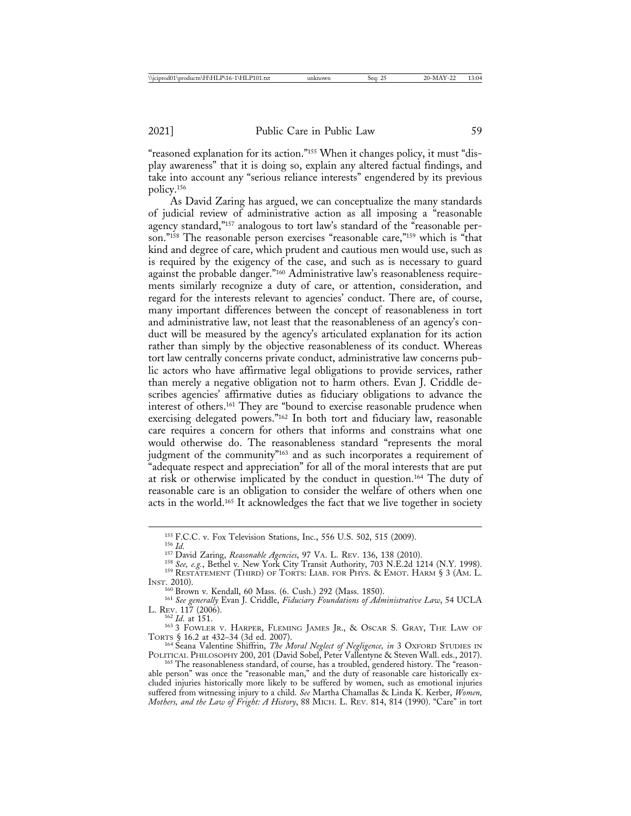"reasoned explanation for its action."155 When it changes policy, it must "display awareness" that it is doing so, explain any altered factual findings, and take into account any "serious reliance interests" engendered by its previous policy.156

As David Zaring has argued, we can conceptualize the many standards of judicial review of administrative action as all imposing a "reasonable agency standard,"<sup>157</sup> analogous to tort law's standard of the "reasonable person."158 The reasonable person exercises "reasonable care,"159 which is "that kind and degree of care, which prudent and cautious men would use, such as is required by the exigency of the case, and such as is necessary to guard against the probable danger."160 Administrative law's reasonableness requirements similarly recognize a duty of care, or attention, consideration, and regard for the interests relevant to agencies' conduct. There are, of course, many important differences between the concept of reasonableness in tort and administrative law, not least that the reasonableness of an agency's conduct will be measured by the agency's articulated explanation for its action rather than simply by the objective reasonableness of its conduct. Whereas tort law centrally concerns private conduct, administrative law concerns public actors who have affirmative legal obligations to provide services, rather than merely a negative obligation not to harm others. Evan J. Criddle describes agencies' affirmative duties as fiduciary obligations to advance the interest of others.161 They are "bound to exercise reasonable prudence when exercising delegated powers."162 In both tort and fiduciary law, reasonable care requires a concern for others that informs and constrains what one would otherwise do. The reasonableness standard "represents the moral judgment of the community"<sup>163</sup> and as such incorporates a requirement of "adequate respect and appreciation" for all of the moral interests that are put at risk or otherwise implicated by the conduct in question.164 The duty of reasonable care is an obligation to consider the welfare of others when one acts in the world.165 It acknowledges the fact that we live together in society

<sup>155</sup> F.C.C. v. Fox Television Stations, Inc., 556 U.S. 502, 515 (2009).<br><sup>156</sup> *Id.*<br><sup>157</sup> David Zaring, *Reasonable Agencies*, 97 VA. L. REV. 136, 138 (2010).<br><sup>158</sup> *See*, *e.g.*, Bethel v. New York City Transit Authorit

INST. 2010).<br><sup>160</sup> Brown v. Kendall, 60 Mass. (6. Cush.) 292 (Mass. 1850).

<sup>&</sup>lt;sup>161</sup> See generally Evan J. Criddle, *Fiduciary Foundations of Administrative Law*, 54 UCLA<br>L. Rev. 117 (2006).<br><sup>162</sup> Id. at 151.

<sup>&</sup>lt;sup>163</sup> 3 FOWLER V. HARPER, FLEMING JAMES JR., & OSCAR S. GRAY, THE LAW OF TORTS § 16.2 at 432–34 (3d ed. 2007).

<sup>&</sup>lt;sup>164</sup> Seana Valentine Shiffrin, *The Moral Neglect of Negligence, in* 3 OXFORD STUDIES IN<br>POLITICAL PHILOSOPHY 200, 201 (David Sobel, Peter Vallentyne & Steven Wall. eds., 2017).

<sup>&</sup>lt;sup>165</sup> The reasonableness standard, of course, has a troubled, gendered history. The "reasonable person" was once the "reasonable man," and the duty of reasonable care historically excluded injuries historically more likely to be suffered by women, such as emotional injuries suffered from witnessing injury to a child. *See* Martha Chamallas & Linda K. Kerber, *Women, Mothers, and the Law of Fright: A History*, 88 MICH. L. REV. 814, 814 (1990). "Care" in tort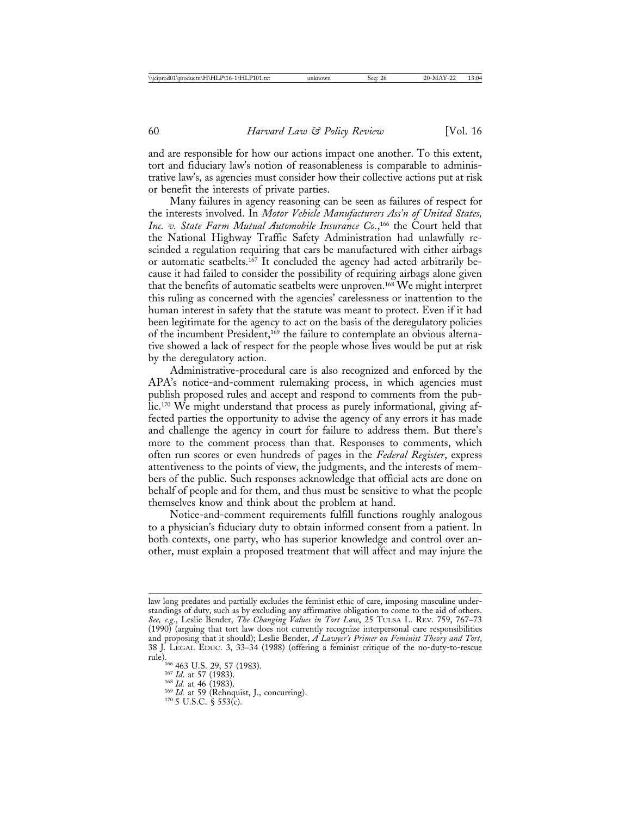and are responsible for how our actions impact one another. To this extent, tort and fiduciary law's notion of reasonableness is comparable to administrative law's, as agencies must consider how their collective actions put at risk or benefit the interests of private parties.

Many failures in agency reasoning can be seen as failures of respect for the interests involved. In *Motor Vehicle Manufacturers Ass'n of United States, Inc. v. State Farm Mutual Automobile Insurance Co.*, 166 the Court held that the National Highway Traffic Safety Administration had unlawfully rescinded a regulation requiring that cars be manufactured with either airbags or automatic seatbelts.<sup>167</sup> It concluded the agency had acted arbitrarily because it had failed to consider the possibility of requiring airbags alone given that the benefits of automatic seatbelts were unproven.168 We might interpret this ruling as concerned with the agencies' carelessness or inattention to the human interest in safety that the statute was meant to protect. Even if it had been legitimate for the agency to act on the basis of the deregulatory policies of the incumbent President,<sup>169</sup> the failure to contemplate an obvious alternative showed a lack of respect for the people whose lives would be put at risk by the deregulatory action.

Administrative-procedural care is also recognized and enforced by the APA's notice-and-comment rulemaking process, in which agencies must publish proposed rules and accept and respond to comments from the public.170 We might understand that process as purely informational, giving affected parties the opportunity to advise the agency of any errors it has made and challenge the agency in court for failure to address them. But there's more to the comment process than that. Responses to comments, which often run scores or even hundreds of pages in the *Federal Register*, express attentiveness to the points of view, the judgments, and the interests of members of the public. Such responses acknowledge that official acts are done on behalf of people and for them, and thus must be sensitive to what the people themselves know and think about the problem at hand.

Notice-and-comment requirements fulfill functions roughly analogous to a physician's fiduciary duty to obtain informed consent from a patient. In both contexts, one party, who has superior knowledge and control over another, must explain a proposed treatment that will affect and may injure the

law long predates and partially excludes the feminist ethic of care, imposing masculine understandings of duty, such as by excluding any affirmative obligation to come to the aid of others. *See, e.g*., Leslie Bender, *The Changing Values in Tort Law*, 25 TULSA L. REV. 759, 767–73 (1990) (arguing that tort law does not currently recognize interpersonal care responsibilities and proposing that it should); Leslie Bender, *A Lawyer's Primer on Feminist Theory and Tort*, 38 J. LEGAL EDUC. 3, 33–34 (1988) (offering a feminist critique of the no-duty-to-rescue rule).<br><sup>166</sup> 463 U.S. 29, 57 (1983).<br><sup>167</sup> *Id.* at 57 (1983).<br><sup>168</sup> *Id.* at 46 (1983).<br><sup>169</sup> *Id.* at 59 (Rehnquist, J., concurring).<br><sup>170</sup> 5 U.S.C. § 553(c).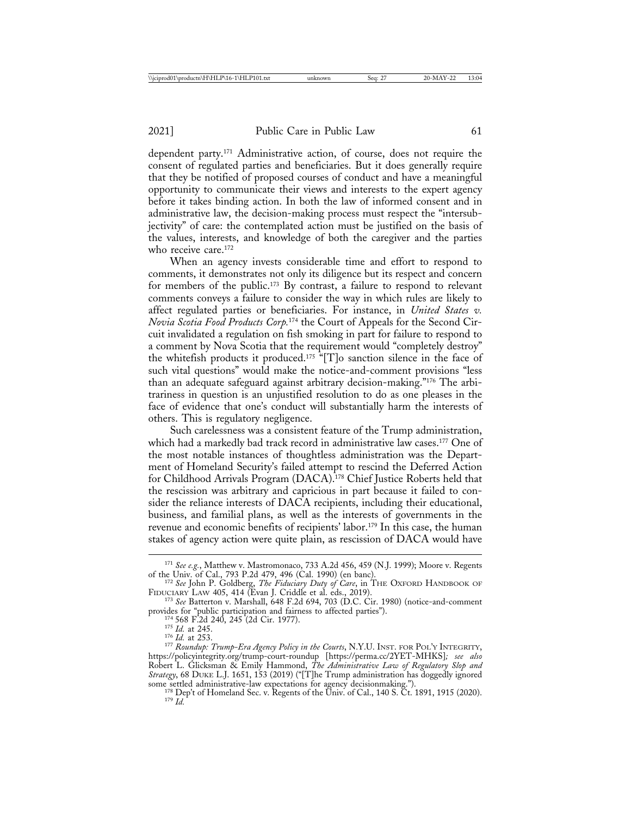dependent party.171 Administrative action, of course, does not require the consent of regulated parties and beneficiaries. But it does generally require that they be notified of proposed courses of conduct and have a meaningful opportunity to communicate their views and interests to the expert agency before it takes binding action. In both the law of informed consent and in administrative law, the decision-making process must respect the "intersubjectivity" of care: the contemplated action must be justified on the basis of the values, interests, and knowledge of both the caregiver and the parties who receive care.<sup>172</sup>

When an agency invests considerable time and effort to respond to comments, it demonstrates not only its diligence but its respect and concern for members of the public.173 By contrast, a failure to respond to relevant comments conveys a failure to consider the way in which rules are likely to affect regulated parties or beneficiaries. For instance, in *United States v. Novia Scotia Food Products Corp.*174 the Court of Appeals for the Second Circuit invalidated a regulation on fish smoking in part for failure to respond to a comment by Nova Scotia that the requirement would "completely destroy" the whitefish products it produced.175 "[T]o sanction silence in the face of such vital questions" would make the notice-and-comment provisions "less than an adequate safeguard against arbitrary decision-making."176 The arbitrariness in question is an unjustified resolution to do as one pleases in the face of evidence that one's conduct will substantially harm the interests of others. This is regulatory negligence.

Such carelessness was a consistent feature of the Trump administration, which had a markedly bad track record in administrative law cases.<sup>177</sup> One of the most notable instances of thoughtless administration was the Department of Homeland Security's failed attempt to rescind the Deferred Action for Childhood Arrivals Program (DACA).178 Chief Justice Roberts held that the rescission was arbitrary and capricious in part because it failed to consider the reliance interests of DACA recipients, including their educational, business, and familial plans, as well as the interests of governments in the revenue and economic benefits of recipients' labor.<sup>179</sup> In this case, the human stakes of agency action were quite plain, as rescission of DACA would have

<sup>&</sup>lt;sup>171</sup> *See e.g.*, Matthew v. Mastromonaco, 733 A.2d 456, 459 (N.J. 1999); Moore v. Regents of the Univ. of Cal., 793 P.2d 479, 496 (Cal. 1990) (en banc).

<sup>&</sup>lt;sup>172</sup> See John P. Goldberg, *The Fiduciary Duty of Care*, in THE OXFORD HANDBOOK OF

FIDUCIARY LAW 405, 414 (Evan J. Criddle et al. eds., 2019).<br><sup>173</sup> *See* Batterton v. Marshall, 648 F.2d 694, 703 (D.C. Cir. 1980) (notice-and-comment<br>provides for "public participation and fairness to affected parties").

<sup>&</sup>lt;sup>174</sup> 568 F.2d 240, 245 (2d Cir. 1977).<br><sup>175</sup> Id. at 245.<br><sup>176</sup> Id. at 253.<br><sup>176</sup> Roundup: Trump-Era Agency Policy in the Courts, N.Y.U. INST. FOR POL'Y INTEGRITY, https://policyintegrity.org/trump-court-roundup [https://perma.cc/2YET-MHKS]*; see also* Robert L. Glicksman & Emily Hammond, *The Administrative Law of Regulatory Slop and Strategy*, 68 DUKE L.J. 1651, 153 (2019) ("[T]he Trump administration has doggedly ignored

some settled administrative-law expectations for agency decisionmaking.").<br><sup>178</sup> Dep't of Homeland Sec. v. Regents of the Univ. of Cal., 140 S. Ct. 1891, 1915 (2020).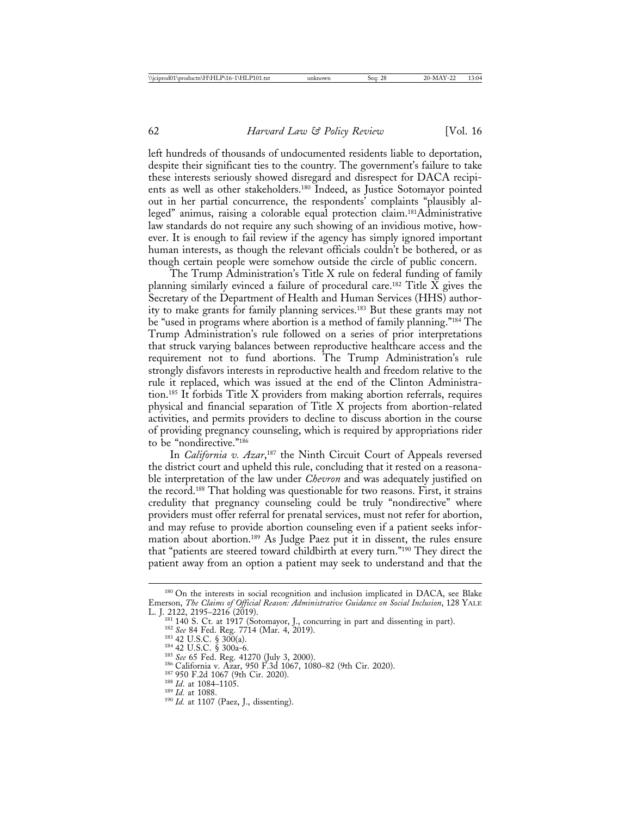left hundreds of thousands of undocumented residents liable to deportation, despite their significant ties to the country. The government's failure to take these interests seriously showed disregard and disrespect for DACA recipients as well as other stakeholders.180 Indeed, as Justice Sotomayor pointed out in her partial concurrence, the respondents' complaints "plausibly alleged" animus, raising a colorable equal protection claim.181Administrative law standards do not require any such showing of an invidious motive, however. It is enough to fail review if the agency has simply ignored important human interests, as though the relevant officials couldn't be bothered, or as though certain people were somehow outside the circle of public concern.

The Trump Administration's Title X rule on federal funding of family planning similarly evinced a failure of procedural care.<sup>182</sup> Title  $\bar{X}$  gives the Secretary of the Department of Health and Human Services (HHS) authority to make grants for family planning services.183 But these grants may not be "used in programs where abortion is a method of family planning."184 The Trump Administration's rule followed on a series of prior interpretations that struck varying balances between reproductive healthcare access and the requirement not to fund abortions. The Trump Administration's rule strongly disfavors interests in reproductive health and freedom relative to the rule it replaced, which was issued at the end of the Clinton Administration.185 It forbids Title X providers from making abortion referrals, requires physical and financial separation of Title X projects from abortion-related activities, and permits providers to decline to discuss abortion in the course of providing pregnancy counseling, which is required by appropriations rider to be "nondirective."186

In *California v. Azar*,<sup>187</sup> the Ninth Circuit Court of Appeals reversed the district court and upheld this rule, concluding that it rested on a reasonable interpretation of the law under *Chevron* and was adequately justified on the record.188 That holding was questionable for two reasons. First, it strains credulity that pregnancy counseling could be truly "nondirective" where providers must offer referral for prenatal services, must not refer for abortion, and may refuse to provide abortion counseling even if a patient seeks information about abortion.189 As Judge Paez put it in dissent, the rules ensure that "patients are steered toward childbirth at every turn."190 They direct the patient away from an option a patient may seek to understand and that the

<sup>&</sup>lt;sup>180</sup> On the interests in social recognition and inclusion implicated in DACA, see Blake Emerson, *The Claims of Official Reason: Administrative Guidance on Social Inclusion*, 128 YALE

<sup>&</sup>lt;sup>181</sup> 140 S. Ct. at 1917 (Sotomayor, J., concurring in part and dissenting in part).<br><sup>182</sup> *See* 84 Fed. Reg. 7714 (Mar. 4, 2019).<br><sup>183</sup> 42 U.S.C. § 300(a).<br><sup>183</sup> 42 U.S.C. § 300(a).<br><sup>185</sup> *See* 65 Fed. Reg. 41270 (July 3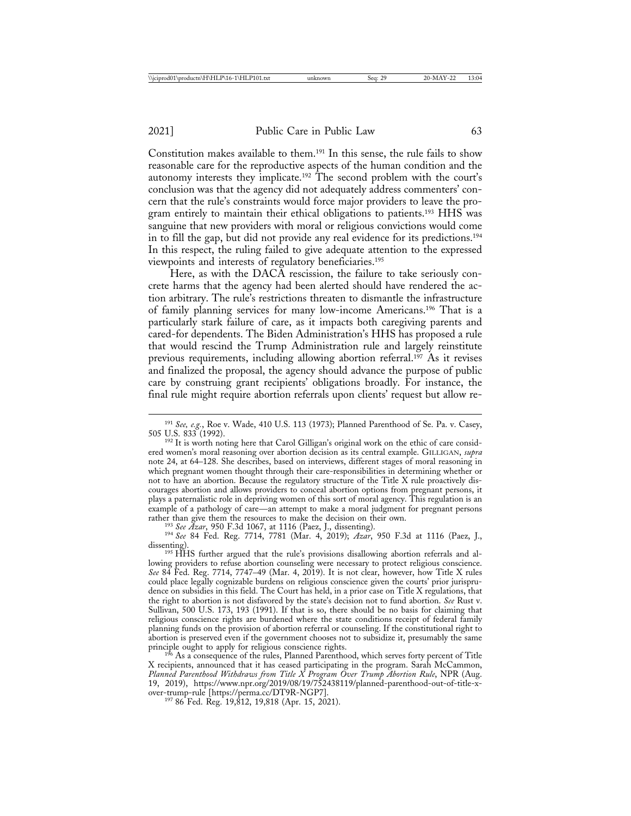Constitution makes available to them.191 In this sense, the rule fails to show reasonable care for the reproductive aspects of the human condition and the autonomy interests they implicate.<sup>192</sup> The second problem with the court's conclusion was that the agency did not adequately address commenters' concern that the rule's constraints would force major providers to leave the program entirely to maintain their ethical obligations to patients.193 HHS was sanguine that new providers with moral or religious convictions would come in to fill the gap, but did not provide any real evidence for its predictions.194 In this respect, the ruling failed to give adequate attention to the expressed viewpoints and interests of regulatory beneficiaries.195

Here, as with the DACA rescission, the failure to take seriously concrete harms that the agency had been alerted should have rendered the action arbitrary. The rule's restrictions threaten to dismantle the infrastructure of family planning services for many low-income Americans.196 That is a particularly stark failure of care, as it impacts both caregiving parents and cared-for dependents. The Biden Administration's HHS has proposed a rule that would rescind the Trump Administration rule and largely reinstitute previous requirements, including allowing abortion referral.197 As it revises and finalized the proposal, the agency should advance the purpose of public care by construing grant recipients' obligations broadly. For instance, the final rule might require abortion referrals upon clients' request but allow re-

<sup>193</sup> See Azar, 950 F.3d 1067, at 1116 (Paez, J., dissenting).<br><sup>194</sup> See 84 Fed. Reg. 7714, 7781 (Mar. 4, 2019); Azar, 950 F.3d at 1116 (Paez, J., dissenting).<br><sup>195</sup> HHS further argued that the rule's provisions disallowing abortion referrals and al-

lowing providers to refuse abortion counseling were necessary to protect religious conscience. *See* 84 Fed. Reg. 7714, 7747–49 (Mar. 4, 2019). It is not clear, however, how Title X rules could place legally cognizable burdens on religious conscience given the courts' prior jurisprudence on subsidies in this field. The Court has held, in a prior case on Title X regulations, that the right to abortion is not disfavored by the state's decision not to fund abortion. *See* Rust v. Sullivan, 500 U.S. 173, 193 (1991). If that is so, there should be no basis for claiming that religious conscience rights are burdened where the state conditions receipt of federal family planning funds on the provision of abortion referral or counseling. If the constitutional right to abortion is preserved even if the government chooses not to subsidize it, presumably the same principle ought to apply for religious conscience rights.<br><sup>196</sup> As a consequence of the rules, Planned Parenthood, which serves forty percent of Title

X recipients, announced that it has ceased participating in the program. Sarah McCammon, *Planned Parenthood Withdraws from Title X Program Over Trump Abortion Rule*, NPR (Aug. 19, 2019), https://www.npr.org/2019/08/19/752438119/planned-parenthood-out-of-title-x-

 $19786$  Fed. Reg. 19,812, 19,818 (Apr. 15, 2021).

<sup>&</sup>lt;sup>191</sup> *See, e.g.*, Roe v. Wade, 410 U.S. 113 (1973); Planned Parenthood of Se. Pa. v. Casey, 505 U.S. 833 (1992).

<sup>&</sup>lt;sup>192</sup> It is worth noting here that Carol Gilligan's original work on the ethic of care considered women's moral reasoning over abortion decision as its central example. GILLIGAN, *supra* note 24, at 64–128. She describes, based on interviews, different stages of moral reasoning in which pregnant women thought through their care-responsibilities in determining whether or not to have an abortion. Because the regulatory structure of the Title X rule proactively discourages abortion and allows providers to conceal abortion options from pregnant persons, it plays a paternalistic role in depriving women of this sort of moral agency. This regulation is an example of a pathology of care—an attempt to make a moral judgment for pregnant persons rather than give them the resources to make the decision on their own.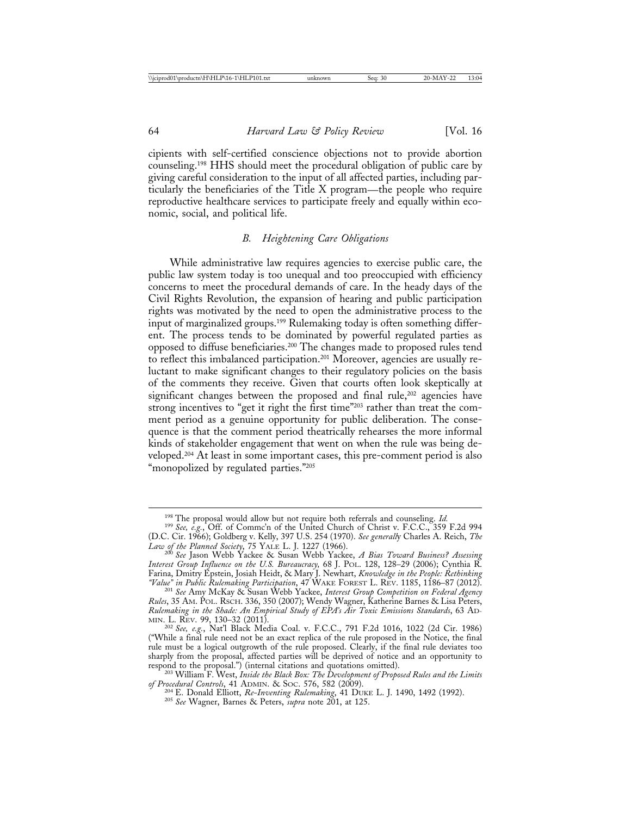cipients with self-certified conscience objections not to provide abortion counseling.198 HHS should meet the procedural obligation of public care by giving careful consideration to the input of all affected parties, including particularly the beneficiaries of the Title X program—the people who require reproductive healthcare services to participate freely and equally within economic, social, and political life.

#### *B. Heightening Care Obligations*

While administrative law requires agencies to exercise public care, the public law system today is too unequal and too preoccupied with efficiency concerns to meet the procedural demands of care. In the heady days of the Civil Rights Revolution, the expansion of hearing and public participation rights was motivated by the need to open the administrative process to the input of marginalized groups.199 Rulemaking today is often something different. The process tends to be dominated by powerful regulated parties as opposed to diffuse beneficiaries.200 The changes made to proposed rules tend to reflect this imbalanced participation.201 Moreover, agencies are usually reluctant to make significant changes to their regulatory policies on the basis of the comments they receive. Given that courts often look skeptically at significant changes between the proposed and final rule,<sup>202</sup> agencies have strong incentives to "get it right the first time"203 rather than treat the comment period as a genuine opportunity for public deliberation. The consequence is that the comment period theatrically rehearses the more informal kinds of stakeholder engagement that went on when the rule was being developed.204 At least in some important cases, this pre-comment period is also "monopolized by regulated parties."<sup>205</sup>

<sup>198</sup> The proposal would allow but not require both referrals and counseling. *Id.* <sup>199</sup> *See, e.g.*, Off. of Commc'n of the United Church of Christ v. F.C.C., 359 F.2d 994

<sup>(</sup>D.C. Cir. 1966); Goldberg v. Kelly, 397 U.S. 254 (1970). *See generall*y Charles A. Reich, *The*

*Law of the Planned Society*, 75 YALE L. J. 1227 (1966). <sup>200</sup> *See* Jason Webb Yackee & Susan Webb Yackee, *A Bias Toward Business? Assessing Interest Group Influence on the U.S. Bureaucracy,* 68 J. POL. 128, 128–29 (2006); Cynthia R. Farina, Dmitry Epstein, Josiah Heidt, & Mary J. Newhart, *Knowledge in the People: Rethinking*

<sup>&</sup>lt;sup>201</sup> See Amy McKay & Susan Webb Yackee, Interest Group Competition on Federal Agency *Rules*, 35 AM. POL. RSCH. 336, 350 (2007); Wendy Wagner, Katherine Barnes & Lisa Peters, *Rulemaking in the Shade: An Empirical Study of EPA's Air Toxic Emissions Standards*, 63 AD-MIN. L. REV. 99, 130–32 (2011).<br>
<sup>202</sup> *See, e.g.*, Nat'l Black Media Coal. v. F.C.C., 791 F.2d 1016, 1022 (2d Cir. 1986)

<sup>(&</sup>quot;While a final rule need not be an exact replica of the rule proposed in the Notice, the final rule must be a logical outgrowth of the rule proposed. Clearly, if the final rule deviates too sharply from the proposal, affected parties will be deprived of notice and an opportunity to

respond to the proposal.") (internal citations and quotations omitted). <sup>203</sup> William F. West, *Inside the Black Box: The Development of Proposed Rules and the Limits*

*of Procedural Controls*, 41 ADMIN. & SOC. 576, 582 (2009). <sup>204</sup> E. Donald Elliott, *Re-Inventing Rulemaking*, 41 DUKE L. J. 1490, 1492 (1992). <sup>205</sup> *See* Wagner, Barnes & Peters, *supra* note 201, at 125.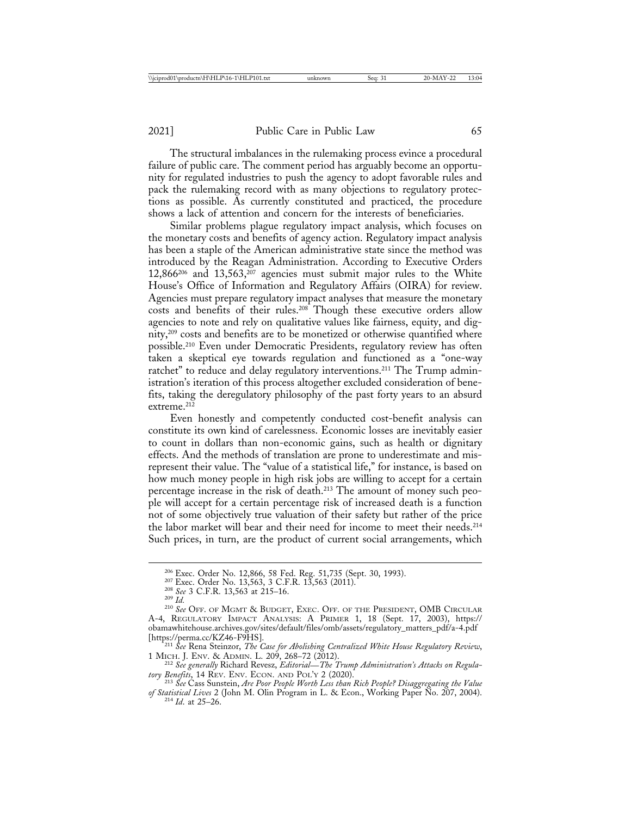The structural imbalances in the rulemaking process evince a procedural failure of public care. The comment period has arguably become an opportunity for regulated industries to push the agency to adopt favorable rules and pack the rulemaking record with as many objections to regulatory protections as possible. As currently constituted and practiced, the procedure shows a lack of attention and concern for the interests of beneficiaries.

Similar problems plague regulatory impact analysis, which focuses on the monetary costs and benefits of agency action. Regulatory impact analysis has been a staple of the American administrative state since the method was introduced by the Reagan Administration. According to Executive Orders  $12,866^{206}$  and  $13,563$ ,  $2^{07}$  agencies must submit major rules to the White House's Office of Information and Regulatory Affairs (OIRA) for review. Agencies must prepare regulatory impact analyses that measure the monetary costs and benefits of their rules.208 Though these executive orders allow agencies to note and rely on qualitative values like fairness, equity, and dignity,209 costs and benefits are to be monetized or otherwise quantified where possible.210 Even under Democratic Presidents, regulatory review has often taken a skeptical eye towards regulation and functioned as a "one-way ratchet" to reduce and delay regulatory interventions.<sup>211</sup> The Trump administration's iteration of this process altogether excluded consideration of benefits, taking the deregulatory philosophy of the past forty years to an absurd extreme.<sup>212</sup>

Even honestly and competently conducted cost-benefit analysis can constitute its own kind of carelessness. Economic losses are inevitably easier to count in dollars than non-economic gains, such as health or dignitary effects. And the methods of translation are prone to underestimate and misrepresent their value. The "value of a statistical life," for instance, is based on how much money people in high risk jobs are willing to accept for a certain percentage increase in the risk of death.213 The amount of money such people will accept for a certain percentage risk of increased death is a function not of some objectively true valuation of their safety but rather of the price the labor market will bear and their need for income to meet their needs.214 Such prices, in turn, are the product of current social arrangements, which

<sup>&</sup>lt;sup>206</sup> Exec. Order No. 12,866, 58 Fed. Reg. 51,735 (Sept. 30, 1993).<br><sup>207</sup> Exec. Order No. 13,563, 3 C.F.R. 13,563 (2011).<br><sup>208</sup> *See* 3 C.F.R. 13,563 at 215–16.<br><sup>209</sup> *Id. 209 Id. 209 Id. 209 C*FF. OF MGMT & BUDGET, A-4, REGULATORY IMPACT ANALYSIS: A PRIMER 1, 18 (Sept. 17, 2003), https:// obamawhitehouse.archives.gov/sites/default/files/omb/assets/regulatory\_matters\_pdf/a-4.pdf [https://perma.cc/KZ46-F9HS]. <sup>211</sup> *See* Rena Steinzor, *The Case for Abolishing Centralized White House Regulatory Review*,

<sup>1</sup> MICH. J. ENV. & ADMIN. L. 209, 268–72 (2012). <sup>212</sup> *See generally* Richard Revesz, *Editorial*—*The Trump Administration's Attacks on Regula-*

*tory Benefits*, 14 REV. ENV. ECON. AND POL'Y 2 (2020). <sup>213</sup> *See* Cass Sunstein, *Are Poor People Worth Less than Rich People? Disaggregating the Value*

*of Statistical Lives* 2 (John M. Olin Program in L. & Econ., Working Paper No. 207, 2004). <sup>214</sup> *Id*. at 25–26.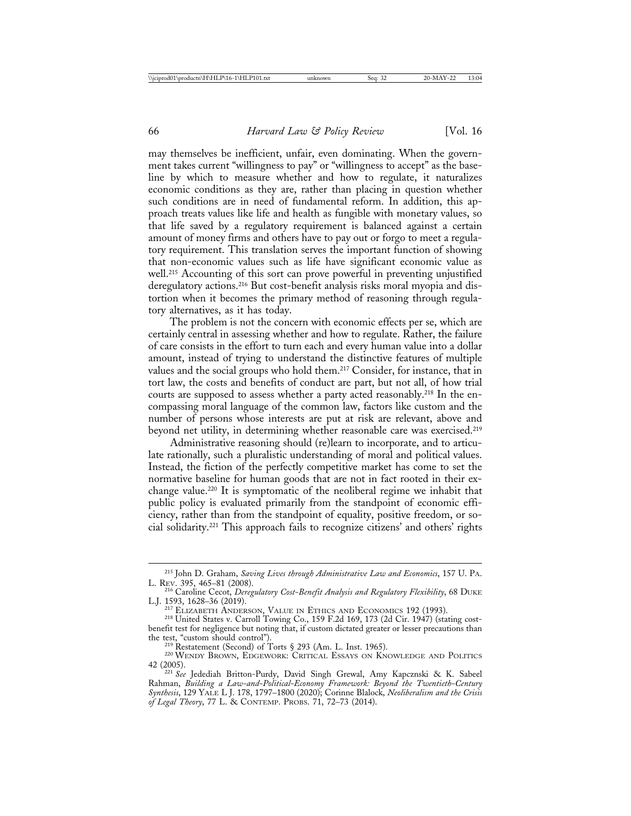may themselves be inefficient, unfair, even dominating. When the government takes current "willingness to pay" or "willingness to accept" as the baseline by which to measure whether and how to regulate, it naturalizes economic conditions as they are, rather than placing in question whether such conditions are in need of fundamental reform. In addition, this approach treats values like life and health as fungible with monetary values, so that life saved by a regulatory requirement is balanced against a certain amount of money firms and others have to pay out or forgo to meet a regulatory requirement. This translation serves the important function of showing that non-economic values such as life have significant economic value as well.<sup>215</sup> Accounting of this sort can prove powerful in preventing unjustified deregulatory actions.<sup>216</sup> But cost-benefit analysis risks moral myopia and distortion when it becomes the primary method of reasoning through regulatory alternatives, as it has today.

The problem is not the concern with economic effects per se, which are certainly central in assessing whether and how to regulate. Rather, the failure of care consists in the effort to turn each and every human value into a dollar amount, instead of trying to understand the distinctive features of multiple values and the social groups who hold them.<sup>217</sup> Consider, for instance, that in tort law, the costs and benefits of conduct are part, but not all, of how trial courts are supposed to assess whether a party acted reasonably.<sup>218</sup> In the encompassing moral language of the common law, factors like custom and the number of persons whose interests are put at risk are relevant, above and beyond net utility, in determining whether reasonable care was exercised.<sup>219</sup>

Administrative reasoning should (re)learn to incorporate, and to articulate rationally, such a pluralistic understanding of moral and political values. Instead, the fiction of the perfectly competitive market has come to set the normative baseline for human goods that are not in fact rooted in their exchange value.220 It is symptomatic of the neoliberal regime we inhabit that public policy is evaluated primarily from the standpoint of economic efficiency, rather than from the standpoint of equality, positive freedom, or social solidarity.221 This approach fails to recognize citizens' and others' rights

<sup>&</sup>lt;sup>215</sup> John D. Graham, *Saving Lives through Administrative Law and Economics*, 157 U. PA. L. Rev. 395, 465–81 (2008).

<sup>&</sup>lt;sup>216</sup> Caroline Cecot, *Deregulatory Cost-Benefit Analysis and Regulatory Flexibility*, 68 DUKE L.J. 1593, 1628–36 (2019).

<sup>&</sup>lt;sup>217</sup> ELIZABETH ANDERSON, VALUE IN ETHICS AND ECONOMICS 192 (1993). <sup>218</sup> United States v. Carroll Towing Co., 159 F.2d 169, 173 (2d Cir. 1947) (stating costbenefit test for negligence but noting that, if custom dictated greater or lesser precautions than

<sup>&</sup>lt;sup>219</sup> Restatement (Second) of Torts § 293 (Am. L. Inst. 1965). <sup>220</sup> WENDY BROWN, EDGEWORK: CRITICAL ESSAYS ON KNOWLEDGE AND POLITICS 42 (2005). <sup>221</sup> *See* Jedediah Britton-Purdy, David Singh Grewal, Amy Kapcznski & K. Sabeel

Rahman, *Building a Law-and-Political-Economy Framework: Beyond the Twentieth-Century Synthesis*, 129 YALE L J. 178, 1797–1800 (2020); Corinne Blalock, *Neoliberalism and the Crisis of Legal Theory*, 77 L. & CONTEMP. PROBS. 71, 72–73 (2014).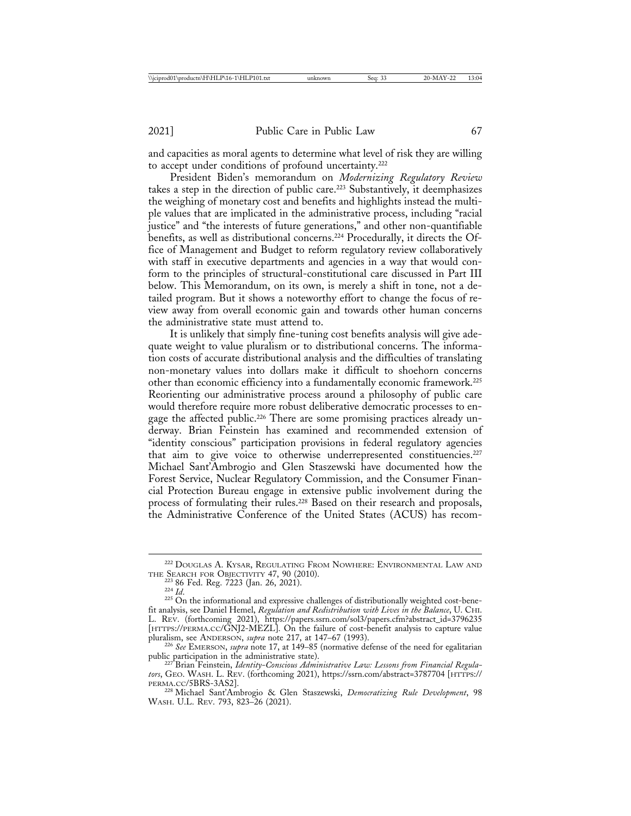and capacities as moral agents to determine what level of risk they are willing to accept under conditions of profound uncertainty.<sup>222</sup>

President Biden's memorandum on *Modernizing Regulatory Review* takes a step in the direction of public care.<sup>223</sup> Substantively, it deemphasizes the weighing of monetary cost and benefits and highlights instead the multiple values that are implicated in the administrative process, including "racial justice" and "the interests of future generations," and other non-quantifiable benefits, as well as distributional concerns.224 Procedurally, it directs the Office of Management and Budget to reform regulatory review collaboratively with staff in executive departments and agencies in a way that would conform to the principles of structural-constitutional care discussed in Part III below. This Memorandum, on its own, is merely a shift in tone, not a detailed program. But it shows a noteworthy effort to change the focus of review away from overall economic gain and towards other human concerns the administrative state must attend to.

It is unlikely that simply fine-tuning cost benefits analysis will give adequate weight to value pluralism or to distributional concerns. The information costs of accurate distributional analysis and the difficulties of translating non-monetary values into dollars make it difficult to shoehorn concerns other than economic efficiency into a fundamentally economic framework.225 Reorienting our administrative process around a philosophy of public care would therefore require more robust deliberative democratic processes to engage the affected public.<sup>226</sup> There are some promising practices already underway. Brian Feinstein has examined and recommended extension of "identity conscious" participation provisions in federal regulatory agencies that aim to give voice to otherwise underrepresented constituencies.<sup>227</sup> Michael Sant'Ambrogio and Glen Staszewski have documented how the Forest Service, Nuclear Regulatory Commission, and the Consumer Financial Protection Bureau engage in extensive public involvement during the process of formulating their rules.<sup>228</sup> Based on their research and proposals, the Administrative Conference of the United States (ACUS) has recom-

 $^{222}$ DOUGLAS A. KYSAR, REGULATING FROM NOWHERE: ENVIRONMENTAL LAW AND THE SEARCH FOR OBJECTIVITY 47, 90 (2010).

<sup>&</sup>lt;sup>223</sup> 86 Fed. Reg. 7223 (Jan. 26, 2021).<br><sup>224</sup> *Id.* 225 On the informational and expressive challenges of distributionally weighted cost-bene-<br><sup>225</sup> On the informational and expressive challenges of distributionally weigh fit analysis, see Daniel Hemel, *Regulation and Redistribution with Lives in the Balance*, U. CHI. L. REV. (forthcoming 2021), https://papers.ssrn.com/sol3/papers.cfm?abstract\_id=3796235 [HTTPS://PERMA.CC/GNJ2-MEZL]. On the failure of cost-benefit analysis to capture value

pluralism, see ANDERSON, *supra* note 217, at 147–67 (1993).<br><sup>226</sup> *See* EMERSON, *supra* note 17, at 149–85 (normative defense of the need for egalitarian public participation in the administrative state).<br><sup>227</sup> Brian Feinstein, *Identity-Conscious Administrative Law: Lessons from Financial Regula*-

*tors*, GEO. WASH. L. REV. (forthcoming 2021), https://ssrn.com/abstract=3787704 [HTTPS://

<sup>&</sup>lt;sup>228</sup> Michael Sant'Ambrogio & Glen Staszewski, Democratizing Rule Development, 98 WASH. U.L. REV. 793, 823–26 (2021).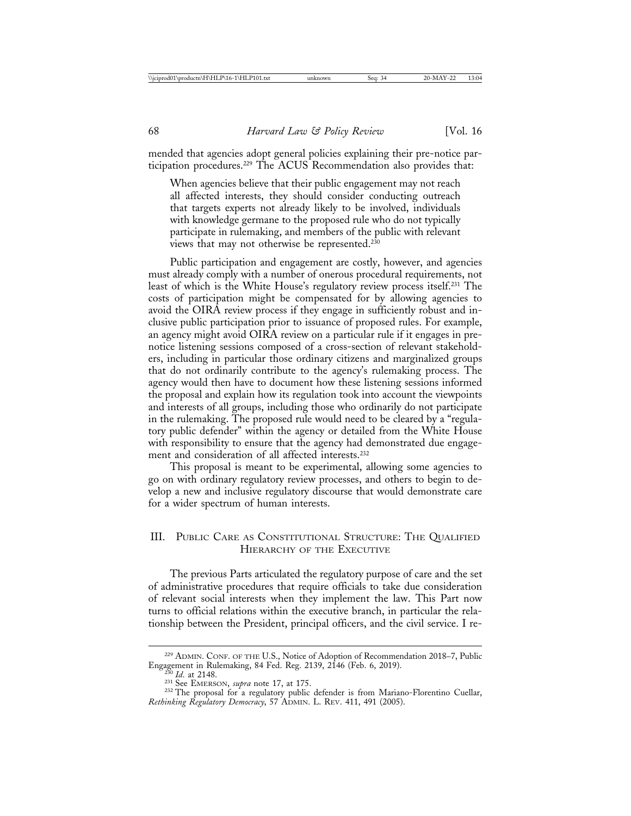mended that agencies adopt general policies explaining their pre-notice participation procedures.229 The ACUS Recommendation also provides that:

When agencies believe that their public engagement may not reach all affected interests, they should consider conducting outreach that targets experts not already likely to be involved, individuals with knowledge germane to the proposed rule who do not typically participate in rulemaking, and members of the public with relevant views that may not otherwise be represented.230

Public participation and engagement are costly, however, and agencies must already comply with a number of onerous procedural requirements, not least of which is the White House's regulatory review process itself.231 The costs of participation might be compensated for by allowing agencies to avoid the OIRA review process if they engage in sufficiently robust and inclusive public participation prior to issuance of proposed rules. For example, an agency might avoid OIRA review on a particular rule if it engages in prenotice listening sessions composed of a cross-section of relevant stakeholders, including in particular those ordinary citizens and marginalized groups that do not ordinarily contribute to the agency's rulemaking process. The agency would then have to document how these listening sessions informed the proposal and explain how its regulation took into account the viewpoints and interests of all groups, including those who ordinarily do not participate in the rulemaking. The proposed rule would need to be cleared by a "regulatory public defender" within the agency or detailed from the White House with responsibility to ensure that the agency had demonstrated due engagement and consideration of all affected interests.232

This proposal is meant to be experimental, allowing some agencies to go on with ordinary regulatory review processes, and others to begin to develop a new and inclusive regulatory discourse that would demonstrate care for a wider spectrum of human interests.

## III. PUBLIC CARE AS CONSTITUTIONAL STRUCTURE: THE QUALIFIED HIERARCHY OF THE EXECUTIVE

The previous Parts articulated the regulatory purpose of care and the set of administrative procedures that require officials to take due consideration of relevant social interests when they implement the law. This Part now turns to official relations within the executive branch, in particular the relationship between the President, principal officers, and the civil service. I re-

<sup>229</sup> ADMIN. CONF. OF THE U.S., Notice of Adoption of Recommendation 2018–7, Public Engagement in Rulemaking, 84 Fed. Reg. 2139, 2146 (Feb. 6, 2019).<br><sup>230</sup> *Id.* at 2148.<br><sup>231</sup> See EMERSON, *supra* note 17, at 175.<br><sup>232</sup> The proposal for a regulatory public defender is from Mariano-Florentino Cuellar,

*Rethinking Regulatory Democracy*, 57 ADMIN. L. REV. 411, 491 (2005).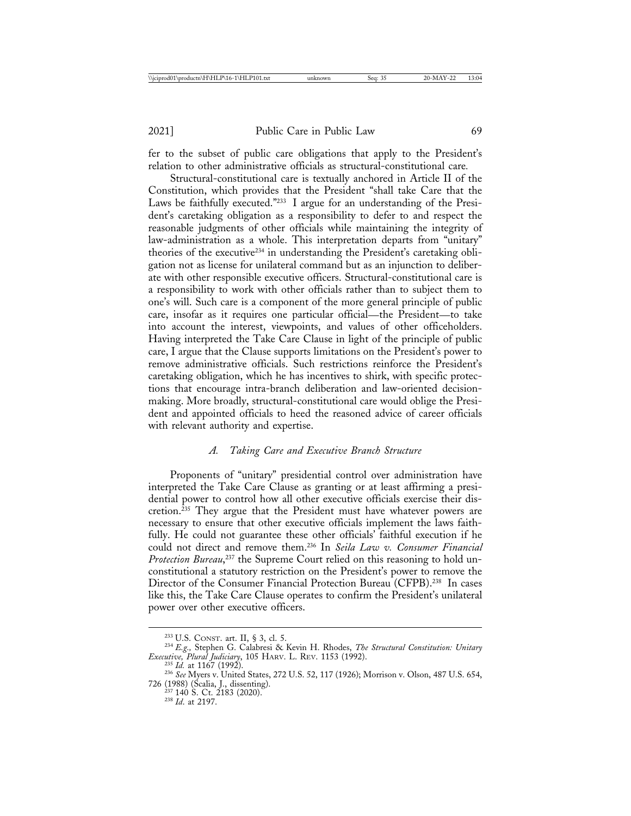fer to the subset of public care obligations that apply to the President's relation to other administrative officials as structural-constitutional care*.*

Structural-constitutional care is textually anchored in Article II of the Constitution, which provides that the President "shall take Care that the Laws be faithfully executed."233 I argue for an understanding of the President's caretaking obligation as a responsibility to defer to and respect the reasonable judgments of other officials while maintaining the integrity of law-administration as a whole. This interpretation departs from "unitary" theories of the executive234 in understanding the President's caretaking obligation not as license for unilateral command but as an injunction to deliberate with other responsible executive officers. Structural-constitutional care is a responsibility to work with other officials rather than to subject them to one's will. Such care is a component of the more general principle of public care, insofar as it requires one particular official—the President—to take into account the interest, viewpoints, and values of other officeholders. Having interpreted the Take Care Clause in light of the principle of public care, I argue that the Clause supports limitations on the President's power to remove administrative officials. Such restrictions reinforce the President's caretaking obligation, which he has incentives to shirk, with specific protections that encourage intra-branch deliberation and law-oriented decisionmaking. More broadly, structural-constitutional care would oblige the President and appointed officials to heed the reasoned advice of career officials with relevant authority and expertise.

#### *A. Taking Care and Executive Branch Structure*

Proponents of "unitary" presidential control over administration have interpreted the Take Care Clause as granting or at least affirming a presidential power to control how all other executive officials exercise their discretion.235 They argue that the President must have whatever powers are necessary to ensure that other executive officials implement the laws faithfully. He could not guarantee these other officials' faithful execution if he could not direct and remove them.236 In *Seila Law v. Consumer Financial Protection Bureau*, 237 the Supreme Court relied on this reasoning to hold unconstitutional a statutory restriction on the President's power to remove the Director of the Consumer Financial Protection Bureau (CFPB).238 In cases like this, the Take Care Clause operates to confirm the President's unilateral power over other executive officers.

<sup>233</sup> U.S. CONST. art. II, § 3, cl. 5. <sup>234</sup> *E.g.,* Stephen G. Calabresi & Kevin H. Rhodes, *The Structural Constitution: Unitary Executive, Plural Judiciary*, 105 HARV. L. REV. 1153 (1992).<br><sup>235</sup> *Id.* at 1167 (1992).<br><sup>236</sup> *See* Myers v. United States, 272 U.S. 52, 117 (1926); Morrison v. Olson, 487 U.S. 654,

<sup>726 (1988) (</sup>Scalia, J., dissenting). <sup>237</sup> 140 S. Ct. 2183 (2020). <sup>238</sup> *Id*. at 2197.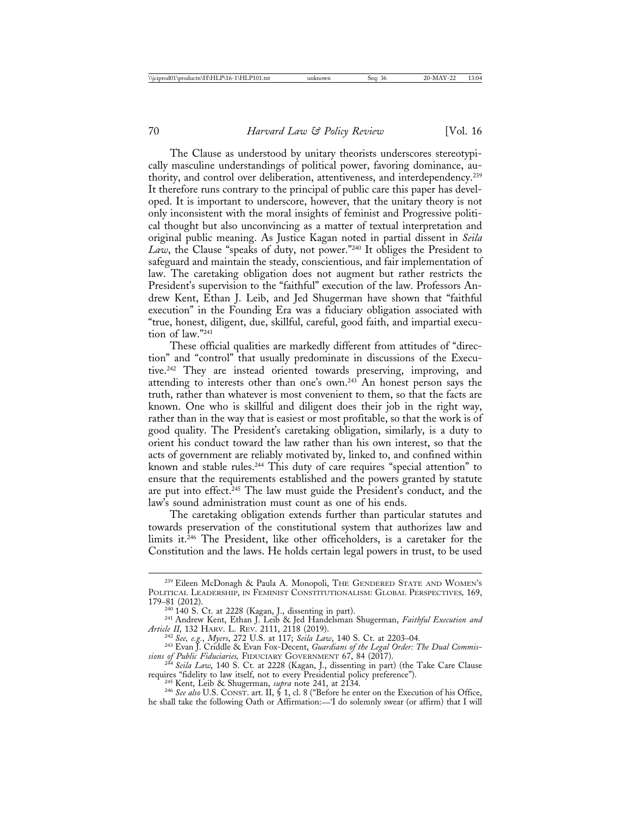The Clause as understood by unitary theorists underscores stereotypically masculine understandings of political power, favoring dominance, authority, and control over deliberation, attentiveness, and interdependency.239 It therefore runs contrary to the principal of public care this paper has developed. It is important to underscore, however, that the unitary theory is not only inconsistent with the moral insights of feminist and Progressive political thought but also unconvincing as a matter of textual interpretation and original public meaning. As Justice Kagan noted in partial dissent in *Seila Law*, the Clause "speaks of duty, not power."240 It obliges the President to safeguard and maintain the steady, conscientious, and fair implementation of law. The caretaking obligation does not augment but rather restricts the President's supervision to the "faithful" execution of the law. Professors Andrew Kent, Ethan J. Leib, and Jed Shugerman have shown that "faithful execution" in the Founding Era was a fiduciary obligation associated with "true, honest, diligent, due, skillful, careful, good faith, and impartial execution of law."241

These official qualities are markedly different from attitudes of "direction" and "control" that usually predominate in discussions of the Executive.242 They are instead oriented towards preserving, improving, and attending to interests other than one's own.243 An honest person says the truth, rather than whatever is most convenient to them, so that the facts are known. One who is skillful and diligent does their job in the right way, rather than in the way that is easiest or most profitable, so that the work is of good quality. The President's caretaking obligation, similarly, is a duty to orient his conduct toward the law rather than his own interest, so that the acts of government are reliably motivated by, linked to, and confined within known and stable rules.244 This duty of care requires "special attention" to ensure that the requirements established and the powers granted by statute are put into effect.<sup>245</sup> The law must guide the President's conduct, and the law's sound administration must count as one of his ends.

The caretaking obligation extends further than particular statutes and towards preservation of the constitutional system that authorizes law and limits it.<sup>246</sup> The President, like other officeholders, is a caretaker for the Constitution and the laws. He holds certain legal powers in trust, to be used

he shall take the following Oath or Affirmation:—'I do solemnly swear (or affirm) that I will

<sup>&</sup>lt;sup>239</sup> Eileen McDonagh & Paula A. Monopoli, THE GENDERED STATE AND WOMEN's POLITICAL LEADERSHIP, IN FEMINIST CONSTITUTIONALISM: GLOBAL PERSPECTIVES*,* 169, 179–81 (2012).<br><sup>240</sup> 140 S. Ct. at 2228 (Kagan, J., dissenting in part).

<sup>&</sup>lt;sup>241</sup> Andrew Kent, Ethan J. Leib & Jed Handelsman Shugerman, *Faithful Execution and Article II*, 132 HARV. L. REV. 2111, 2118 (2019).

<sup>242</sup> See, e.g., Myers, 272 U.S. at 117; Seila Law, 140 S. Ct. at 2203–04.<br><sup>242</sup> See, e.g., Myers, 272 U.S. at 117; Seila Law, 140 S. Ct. at 2203–04.<br><sup>243</sup> Evan J. Criddle & Evan Fox-Decent, *Guardians of the Legal Order: Th* 

*sions of Public Fiduciaries,* FIDUCIARY GOVERNMENT 67, 84 (2017). <sup>244</sup> *Seila Law*, 140 S. Ct. at 2228 (Kagan, J., dissenting in part) (the Take Care Clause requires "fidelity to law itself, not to every Presidential policy preference").<br><sup>245</sup> Kent, Leib & Shugerman, *supra* note 241, at 2134.<br><sup>246</sup> See also U.S. CONST. art. II, § 1, cl. 8 ("Before he enter on the Execution of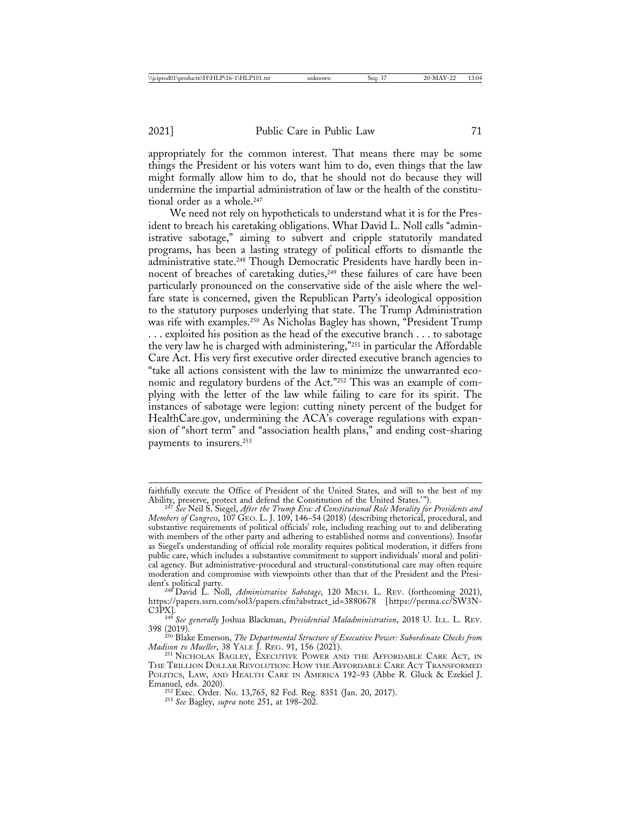appropriately for the common interest. That means there may be some things the President or his voters want him to do, even things that the law might formally allow him to do, that he should not do because they will undermine the impartial administration of law or the health of the constitutional order as a whole.<sup>247</sup>

We need not rely on hypotheticals to understand what it is for the President to breach his caretaking obligations. What David L. Noll calls "administrative sabotage," aiming to subvert and cripple statutorily mandated programs, has been a lasting strategy of political efforts to dismantle the administrative state.<sup>248</sup> Though Democratic Presidents have hardly been innocent of breaches of caretaking duties,<sup>249</sup> these failures of care have been particularly pronounced on the conservative side of the aisle where the welfare state is concerned, given the Republican Party's ideological opposition to the statutory purposes underlying that state. The Trump Administration was rife with examples.250 As Nicholas Bagley has shown, "President Trump . . . exploited his position as the head of the executive branch . . . to sabotage the very law he is charged with administering,"251 in particular the Affordable Care Act. His very first executive order directed executive branch agencies to "take all actions consistent with the law to minimize the unwarranted economic and regulatory burdens of the Act."252 This was an example of complying with the letter of the law while failing to care for its spirit. The instances of sabotage were legion: cutting ninety percent of the budget for HealthCare.gov, undermining the ACA's coverage regulations with expansion of "short term" and "association health plans," and ending cost-sharing payments to insurers.253

Emanuel, eds. 2020). <sup>252</sup> Exec. Order. No. 13,765, 82 Fed. Reg. 8351 (Jan. 20, 2017). <sup>253</sup> *See* Bagley, *supra* note 251, at 198–202.

faithfully execute the Office of President of the United States, and will to the best of my Ability, preserve, protect and defend the Constitution of the United States.'"). <sup>247</sup> *See* Neil S. Siegel, *After the Trump Era: A Constitutional Role Morality for Presidents and*

*Members of Congress*, 107 GEO. L. J. 109, 146–54 (2018) (describing rhetorical, procedural, and substantive requirements of political officials' role, including reaching out to and deliberating with members of the other party and adhering to established norms and conventions). Insofar as Siegel's understanding of official role morality requires political moderation, it differs from public care, which includes a substantive commitment to support individuals' moral and political agency. But administrative-procedural and structural-constitutional care may often require moderation and compromise with viewpoints other than that of the President and the Presi-

<sup>&</sup>lt;sup>248</sup> David L. Noll, *Administrative Sabotage*, 120 MICH. L. REV. (forthcoming 2021), https://papers.ssrn.com/sol3/papers.cfm?abstract\_id=3880678 [https://perma.cc/SW3N-

<sup>&</sup>lt;sup>249</sup> See generally Joshua Blackman, Presidential Maladministration, 2018 U. ILL. L. REV. 398 (2019). <sup>250</sup> Blake Emerson, *The Departmental Structure of Executive Power: Subordinate Checks from*

*Madison to Mueller*, 38 YALE J. REG. 91, 156 (2021). <sup>251</sup> NICHOLAS BAGLEY, EXECUTIVE POWER AND THE AFFORDABLE CARE ACT, IN

THE TRILLION DOLLAR REVOLUTION: HOW THE AFFORDABLE CARE ACT TRANSFORMED POLITICS, LAW, AND HEALTH CARE IN AMERICA 192–93 (Abbe R. Gluck & Ezekiel J. Emanuel, eds. 2020).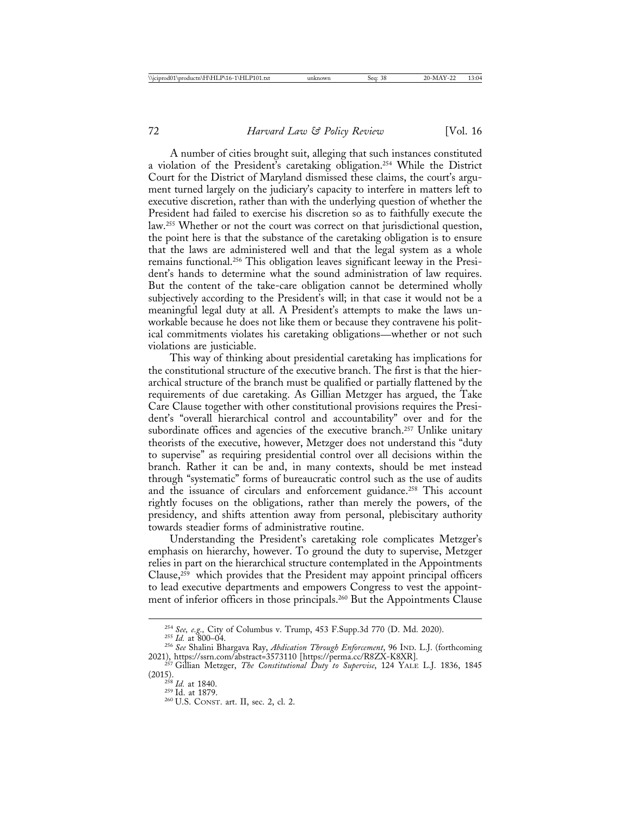A number of cities brought suit, alleging that such instances constituted a violation of the President's caretaking obligation.254 While the District Court for the District of Maryland dismissed these claims, the court's argument turned largely on the judiciary's capacity to interfere in matters left to executive discretion, rather than with the underlying question of whether the President had failed to exercise his discretion so as to faithfully execute the law.255 Whether or not the court was correct on that jurisdictional question, the point here is that the substance of the caretaking obligation is to ensure that the laws are administered well and that the legal system as a whole remains functional.256 This obligation leaves significant leeway in the President's hands to determine what the sound administration of law requires. But the content of the take-care obligation cannot be determined wholly subjectively according to the President's will; in that case it would not be a meaningful legal duty at all. A President's attempts to make the laws unworkable because he does not like them or because they contravene his political commitments violates his caretaking obligations—whether or not such violations are justiciable.

This way of thinking about presidential caretaking has implications for the constitutional structure of the executive branch. The first is that the hierarchical structure of the branch must be qualified or partially flattened by the requirements of due caretaking. As Gillian Metzger has argued, the Take Care Clause together with other constitutional provisions requires the President's "overall hierarchical control and accountability" over and for the subordinate offices and agencies of the executive branch.<sup>257</sup> Unlike unitary theorists of the executive, however, Metzger does not understand this "duty to supervise" as requiring presidential control over all decisions within the branch. Rather it can be and, in many contexts, should be met instead through "systematic" forms of bureaucratic control such as the use of audits and the issuance of circulars and enforcement guidance.<sup>258</sup> This account rightly focuses on the obligations, rather than merely the powers, of the presidency, and shifts attention away from personal, plebiscitary authority towards steadier forms of administrative routine.

Understanding the President's caretaking role complicates Metzger's emphasis on hierarchy, however. To ground the duty to supervise, Metzger relies in part on the hierarchical structure contemplated in the Appointments Clause, $259$  which provides that the President may appoint principal officers to lead executive departments and empowers Congress to vest the appointment of inferior officers in those principals.260 But the Appointments Clause

<sup>254</sup> *See, e.g.,* City of Columbus v. Trump, 453 F.Supp.3d 770 (D. Md. 2020). <sup>255</sup> *Id.* at 800–04. <sup>256</sup> *See* Shalini Bhargava Ray, *Abdication Through Enforcement*, 96 IND. L.J. (forthcoming

<sup>2021),</sup> https://ssrn.com/abstract=3573110 [https://perma.cc/R8ZX-K8XR]. <sup>257</sup> Gillian Metzger, *The Constitutional Duty to Supervise*, 124 YALE L.J. 1836, 1845

<sup>&</sup>lt;sup>258</sup> *Id.* at 1840.<br><sup>259</sup> Id. at 1879.<br><sup>260</sup> U.S. CONST. art. II, sec. 2, cl. 2.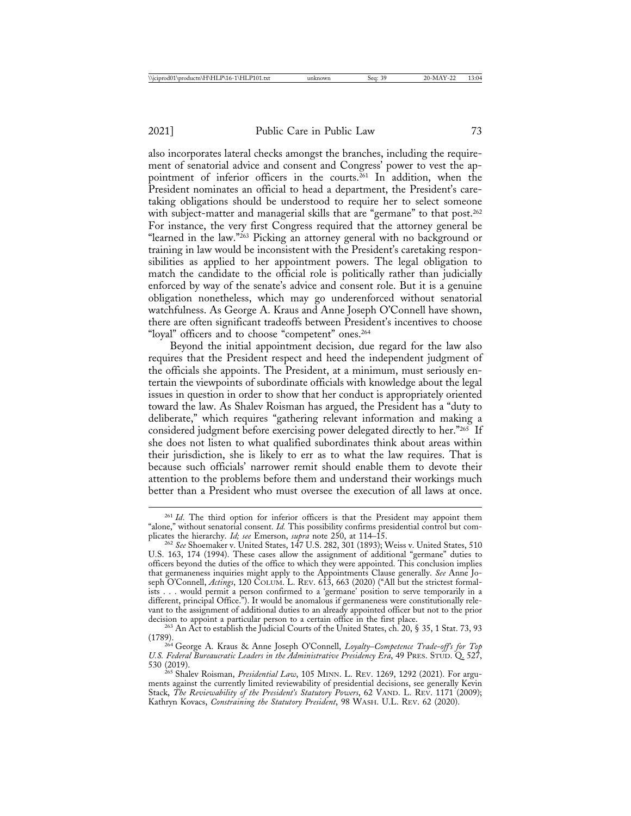also incorporates lateral checks amongst the branches, including the requirement of senatorial advice and consent and Congress' power to vest the appointment of inferior officers in the courts.<sup>261</sup> In addition, when the President nominates an official to head a department, the President's caretaking obligations should be understood to require her to select someone with subject-matter and managerial skills that are "germane" to that post.<sup>262</sup> For instance, the very first Congress required that the attorney general be "learned in the law."263 Picking an attorney general with no background or training in law would be inconsistent with the President's caretaking responsibilities as applied to her appointment powers. The legal obligation to match the candidate to the official role is politically rather than judicially enforced by way of the senate's advice and consent role. But it is a genuine obligation nonetheless, which may go underenforced without senatorial watchfulness. As George A. Kraus and Anne Joseph O'Connell have shown, there are often significant tradeoffs between President's incentives to choose "loyal" officers and to choose "competent" ones.<sup>264</sup>

Beyond the initial appointment decision, due regard for the law also requires that the President respect and heed the independent judgment of the officials she appoints. The President, at a minimum, must seriously entertain the viewpoints of subordinate officials with knowledge about the legal issues in question in order to show that her conduct is appropriately oriented toward the law. As Shalev Roisman has argued, the President has a "duty to deliberate," which requires "gathering relevant information and making a considered judgment before exercising power delegated directly to her."265 If she does not listen to what qualified subordinates think about areas within their jurisdiction, she is likely to err as to what the law requires. That is because such officials' narrower remit should enable them to devote their attention to the problems before them and understand their workings much better than a President who must oversee the execution of all laws at once.

<sup>&</sup>lt;sup>261</sup> *Id*. The third option for inferior officers is that the President may appoint them "alone," without senatorial consent. *Id.* This possibility confirms presidential control but complicates the hierarchy. *Id; see* Emerson, *supra* note 250, at 114–15.<br><sup>262</sup> *See* Shoemaker v. United States, 147 U.S. 282, 301 (1893); Weiss v. United States, 510

U.S. 163, 174 (1994). These cases allow the assignment of additional "germane" duties to officers beyond the duties of the office to which they were appointed. This conclusion implies that germaneness inquiries might apply to the Appointments Clause generally. *See* Anne Joseph O'Connell, *Actings*, 120 COLUM. L. REV. 613, 663 (2020) ("All but the strictest formalists . . . would permit a person confirmed to a 'germane' position to serve temporarily in a different, principal Office."). It would be anomalous if germaneness were constitutionally relevant to the assignment of additional duties to an already appointed officer but not to the prior

<sup>&</sup>lt;sup>263</sup> An Act to establish the Judicial Courts of the United States, ch. 20, § 35, 1 Stat. 73, 93

<sup>(1789).</sup> <sup>264</sup> George A. Kraus & Anne Joseph O'Connell, *Loyalty*–*Competence Trade-off's for Top U.S. Federal Bureaucratic Leaders in the Administrative Presidency Era*, 49 PRES. STUD. Q. 527,<br>530 (2019).

<sup>&</sup>lt;sup>265</sup> Shalev Roisman, *Presidential Law*, 105 MINN. L. REV. 1269, 1292 (2021). For arguments against the currently limited reviewability of presidential decisions, see generally Kevin Stack, *The Reviewability of the President's Statutory Powers*, 62 VAND. L. REV. 1171 (2009); Kathryn Kovacs, *Constraining the Statutory President*, 98 WASH. U.L. REV. 62 (2020).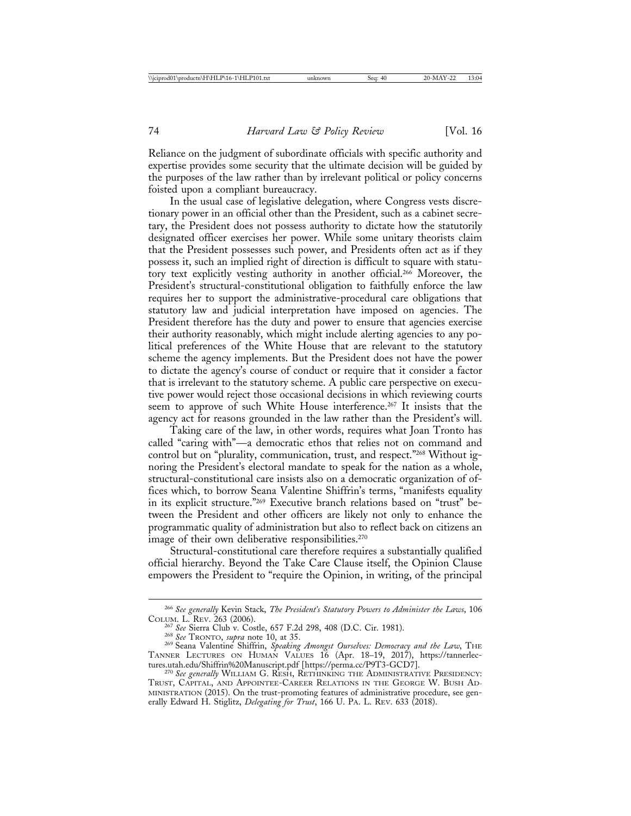Reliance on the judgment of subordinate officials with specific authority and expertise provides some security that the ultimate decision will be guided by the purposes of the law rather than by irrelevant political or policy concerns foisted upon a compliant bureaucracy.

In the usual case of legislative delegation, where Congress vests discretionary power in an official other than the President, such as a cabinet secretary, the President does not possess authority to dictate how the statutorily designated officer exercises her power. While some unitary theorists claim that the President possesses such power, and Presidents often act as if they possess it, such an implied right of direction is difficult to square with statutory text explicitly vesting authority in another official.266 Moreover, the President's structural-constitutional obligation to faithfully enforce the law requires her to support the administrative-procedural care obligations that statutory law and judicial interpretation have imposed on agencies. The President therefore has the duty and power to ensure that agencies exercise their authority reasonably, which might include alerting agencies to any political preferences of the White House that are relevant to the statutory scheme the agency implements. But the President does not have the power to dictate the agency's course of conduct or require that it consider a factor that is irrelevant to the statutory scheme. A public care perspective on executive power would reject those occasional decisions in which reviewing courts seem to approve of such White House interference.<sup>267</sup> It insists that the agency act for reasons grounded in the law rather than the President's will.

Taking care of the law, in other words, requires what Joan Tronto has called "caring with"—a democratic ethos that relies not on command and control but on "plurality, communication, trust, and respect."268 Without ignoring the President's electoral mandate to speak for the nation as a whole, structural-constitutional care insists also on a democratic organization of offices which, to borrow Seana Valentine Shiffrin's terms, "manifests equality in its explicit structure."269 Executive branch relations based on "trust" between the President and other officers are likely not only to enhance the programmatic quality of administration but also to reflect back on citizens an image of their own deliberative responsibilities.<sup>270</sup>

Structural-constitutional care therefore requires a substantially qualified official hierarchy. Beyond the Take Care Clause itself, the Opinion Clause empowers the President to "require the Opinion, in writing, of the principal

<sup>266</sup> *See generally* Kevin Stack, *The President's Statutory Powers to Administer the Laws*, 106 COLUM. L. REV. 263 (2006).<br><sup>267</sup> See Sierra Club v. Costle, 657 F.2d 298, 408 (D.C. Cir. 1981).<br><sup>268</sup> See TRONTO, *supra* note 10, at 35.<br><sup>269</sup> Seana Valentine Shiffrin, *Speaking Amongst Ourselves: Democracy and the Law*,

TANNER LECTURES ON HUMAN VALUES 16 (Apr. 18–19, 2017), https://tannerlec-

<sup>&</sup>lt;sup>270</sup> See generally WILLIAM G. RESH, RETHINKING THE ADMINISTRATIVE PRESIDENCY: TRUST, CAPITAL, AND APPOINTEE-CAREER RELATIONS IN THE GEORGE W. BUSH AD-MINISTRATION (2015). On the trust-promoting features of administrative procedure, see generally Edward H. Stiglitz, *Delegating for Trust*, 166 U. PA. L. REV. 633 (2018).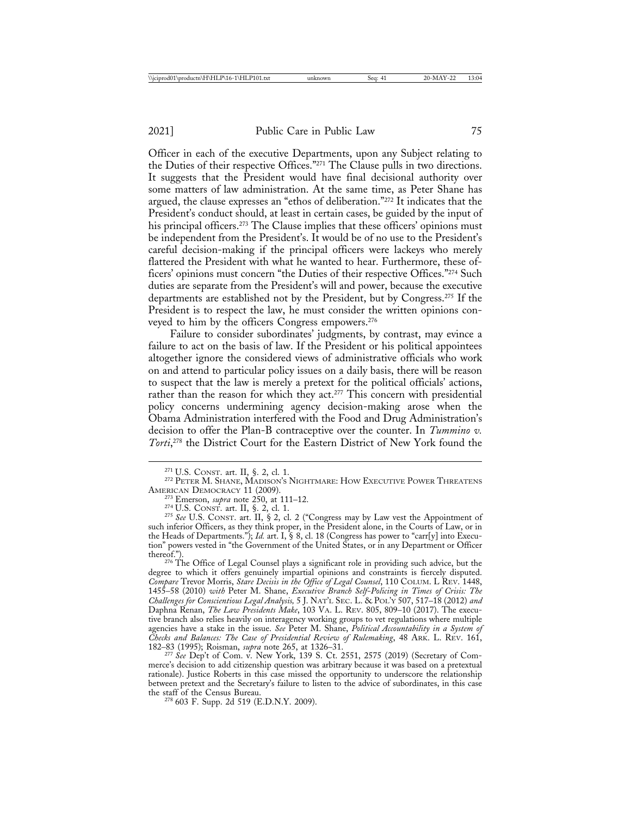Officer in each of the executive Departments, upon any Subject relating to the Duties of their respective Offices."271 The Clause pulls in two directions. It suggests that the President would have final decisional authority over some matters of law administration. At the same time, as Peter Shane has argued, the clause expresses an "ethos of deliberation."272 It indicates that the President's conduct should, at least in certain cases, be guided by the input of his principal officers.<sup>273</sup> The Clause implies that these officers' opinions must be independent from the President's. It would be of no use to the President's careful decision-making if the principal officers were lackeys who merely flattered the President with what he wanted to hear. Furthermore, these officers' opinions must concern "the Duties of their respective Offices."274 Such duties are separate from the President's will and power, because the executive departments are established not by the President, but by Congress.275 If the President is to respect the law, he must consider the written opinions conveyed to him by the officers Congress empowers.276

Failure to consider subordinates' judgments, by contrast, may evince a failure to act on the basis of law. If the President or his political appointees altogether ignore the considered views of administrative officials who work on and attend to particular policy issues on a daily basis, there will be reason to suspect that the law is merely a pretext for the political officials' actions, rather than the reason for which they act.<sup>277</sup> This concern with presidential policy concerns undermining agency decision-making arose when the Obama Administration interfered with the Food and Drug Administration's decision to offer the Plan-B contraceptive over the counter. In *Tummino v. Torti*, 278 the District Court for the Eastern District of New York found the

<sup>276</sup> The Office of Legal Counsel plays a significant role in providing such advice, but the degree to which it offers genuinely impartial opinions and constraints is fiercely disputed. *Compare* Trevor Morris, *Stare Decisis in the Office of Legal Counsel*, 110 COLUM. L REV. 1448, 1455–58 (2010) *with* Peter M. Shane, *Executive Branch Self-Policing in Times of Crisis: The Challenges for Conscientious Legal Analysis,* 5 J. NAT'L SEC. L. & POL'Y 507, 517–18 (2012) *and* Daphna Renan, *The Law Presidents Make*, 103 VA. L. REV. 805, 809–10 (2017). The executive branch also relies heavily on interagency working groups to vet regulations where multiple agencies have a stake in the issue. *See* Peter M. Shane, *Political Accountability in a System of Checks and Balances: The Case of Presidential Review of Rulemaking*, 48 ARK. L. REV. 161, <sup>182</sup>–83 (1995); Roisman, *supra* note 265, at 1326–31. <sup>277</sup> *See* Dep't of Com. v. New York, 139 S. Ct. 2551, 2575 (2019) (Secretary of Com-

merce's decision to add citizenship question was arbitrary because it was based on a pretextual rationale). Justice Roberts in this case missed the opportunity to underscore the relationship between pretext and the Secretary's failure to listen to the advice of subordinates, in this case

<sup>278</sup> 603 F. Supp. 2d 519 (E.D.N.Y. 2009).

<sup>&</sup>lt;sup>271</sup> U.S. CONST. art. II, §. 2, cl. 1.<br><sup>272</sup> PETER M. SHANE, MADISON'S NIGHTMARE: HOW EXECUTIVE POWER THREATENS<br>AMERICAN DEMOCRACY 11 (2009).

<sup>&</sup>lt;sup>273</sup> Emerson, *supra* note 250, at 111–12.<br><sup>274</sup> U.S. CONST. art. II, §. 2, cl. 1. 275 *See* U.S. CONST. art. II, § 2, cl. 2 ("Congress may by Law vest the Appointment of such inferior Officers, as they think proper, in the President alone, in the Courts of Law, or in the Heads of Departments."); *Id.* art. I, § 8, cl. 18 (Congress has power to "carr[y] into Execution" powers vested in "the Government of the United States, or in any Department or Officer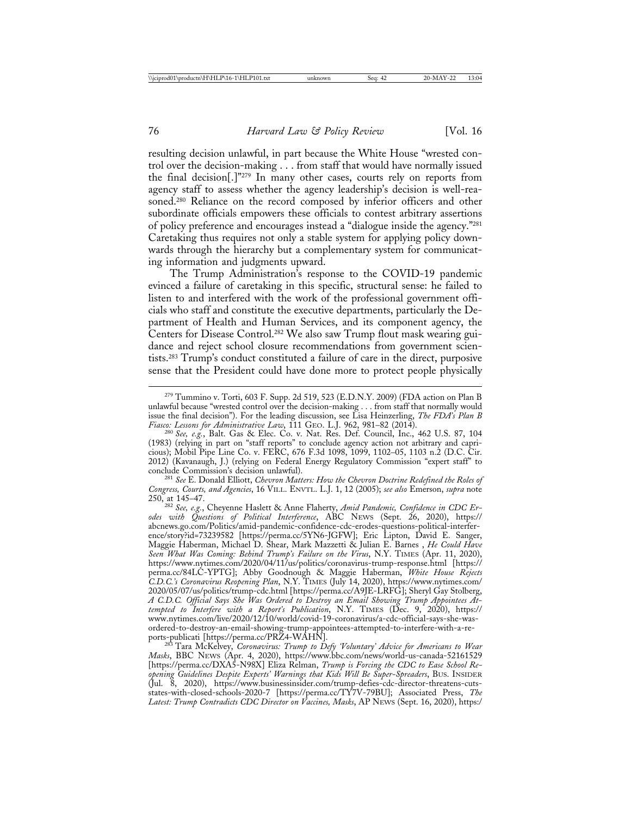resulting decision unlawful, in part because the White House "wrested control over the decision-making . . . from staff that would have normally issued the final decision[.]"279 In many other cases, courts rely on reports from agency staff to assess whether the agency leadership's decision is well-reasoned.<sup>280</sup> Reliance on the record composed by inferior officers and other subordinate officials empowers these officials to contest arbitrary assertions of policy preference and encourages instead a "dialogue inside the agency."281 Caretaking thus requires not only a stable system for applying policy downwards through the hierarchy but a complementary system for communicating information and judgments upward.

The Trump Administration's response to the COVID-19 pandemic evinced a failure of caretaking in this specific, structural sense: he failed to listen to and interfered with the work of the professional government officials who staff and constitute the executive departments, particularly the Department of Health and Human Services, and its component agency, the Centers for Disease Control.<sup>282</sup> We also saw Trump flout mask wearing guidance and reject school closure recommendations from government scientists.283 Trump's conduct constituted a failure of care in the direct, purposive sense that the President could have done more to protect people physically

<sup>279</sup> Tummino v. Torti, 603 F. Supp. 2d 519, 523 (E.D.N.Y. 2009) (FDA action on Plan B unlawful because "wrested control over the decision-making . . . from staff that normally would issue the final decision"). For the leading discussion, see Lisa Heinzerling, *The FDA's Plan B*

*Fiasco: Lessons for Administrative Law*, 111 GEO. L.J. 962, 981–82 (2014). <sup>280</sup> *See, e.g.*, Balt. Gas & Elec. Co. v. Nat. Res. Def. Council, Inc., 462 U.S. 87, 104 (1983) (relying in part on "staff reports" to conclude agency action not arbitrary and capricious); Mobil Pipe Line Co. v. FERC, 676 F.3d 1098, 1099, 1102–05, 1103 n.2 (D.C. Cir. 2012) (Kavanaugh, J.) (relying on Federal Energy Regulatory Commission "expert staff" to

<sup>&</sup>lt;sup>281</sup> See E. Donald Elliott, *Chevron Matters: How the Chevron Doctrine Redefined the Roles of Congress, Courts, and Agencies*, 16 VILL. ENVTL. L.J. 1, 12 (2005); *see also* Emerson, *supra* note 250, at 145–47. <sup>282</sup> *See, e.g.*, Cheyenne Haslett & Anne Flaherty, *Amid Pandemic, Confidence in CDC Er-*

*odes with Questions of Political Interference*, ABC NEWS (Sept. 26, 2020), https:// abcnews.go.com/Politics/amid-pandemic-confidence-cdc-erodes-questions-political-interference/story?id=73239582 [https://perma.cc/5YN6-JGFW]; Eric Lipton, David E. Sanger, Maggie Haberman, Michael D. Shear, Mark Mazzetti & Julian E. Barnes , *He Could Have Seen What Was Coming: Behind Trump's Failure on the Virus*, N.Y. TIMES (Apr. 11, 2020), https://www.nytimes.com/2020/04/11/us/politics/coronavirus-trump-response.html [https:// perma.cc/84LC-YPTG]; Abby Goodnough & Maggie Haberman, *White House Rejects C.D.C.'s Coronavirus Reopening Plan*, N.Y. TIMES (July 14, 2020), https://www.nytimes.com/ 2020/05/07/us/politics/trump-cdc.html [https://perma.cc/A9JE-LRFG]; Sheryl Gay Stolberg, *A C.D.C. Official Says She Was Ordered to Destroy an Email Showing Trump Appointees Attempted to Interfere with a Report's Publication*, N.Y. TIMES (Dec. 9, 2020), https:// www.nytimes.com/live/2020/12/10/world/covid-19-coronavirus/a-cdc-official-says-she-wasordered-to-destroy-an-email-showing-trump-appointees-attempted-to-interfere-with-a-re-

ports-publicati [https://perma.cc/PRZ4-WAHN]. <sup>283</sup> Tara McKelvey, *Coronavirus: Trump to Defy 'Voluntary' Advice for Americans to Wear Masks*, BBC NEWS (Apr. 4, 2020), https://www.bbc.com/news/world-us-canada-52161529 [https://perma.cc/DXA5-N98X] Eliza Relman, *Trump is Forcing the CDC to Ease School Reopening Guidelines Despite Experts' Warnings that Kids Will Be Super-Spreaders*, BUS. INSIDER (Jul. 8, 2020), https://www.businessinsider.com/trump-defies-cdc-director-threatens-cutsstates-with-closed-schools-2020-7 [https://perma.cc/TY7V-79BU]; Associated Press, *The Latest: Trump Contradicts CDC Director on Vaccines, Masks*, AP NEWS (Sept. 16, 2020), https:/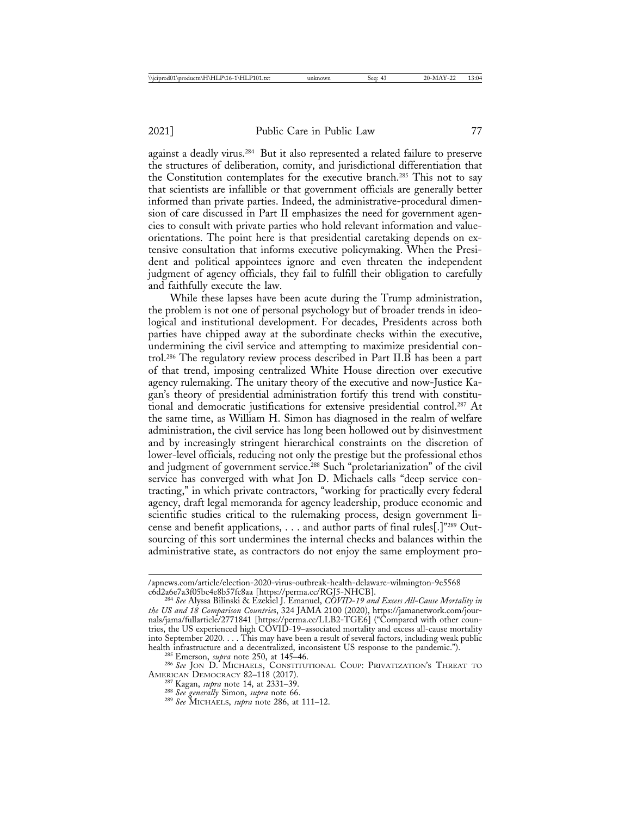against a deadly virus.284 But it also represented a related failure to preserve the structures of deliberation, comity, and jurisdictional differentiation that the Constitution contemplates for the executive branch.285 This not to say that scientists are infallible or that government officials are generally better informed than private parties. Indeed, the administrative-procedural dimension of care discussed in Part II emphasizes the need for government agencies to consult with private parties who hold relevant information and valueorientations. The point here is that presidential caretaking depends on extensive consultation that informs executive policymaking. When the President and political appointees ignore and even threaten the independent judgment of agency officials, they fail to fulfill their obligation to carefully and faithfully execute the law.

While these lapses have been acute during the Trump administration, the problem is not one of personal psychology but of broader trends in ideological and institutional development. For decades, Presidents across both parties have chipped away at the subordinate checks within the executive, undermining the civil service and attempting to maximize presidential control.286 The regulatory review process described in Part II.B has been a part of that trend, imposing centralized White House direction over executive agency rulemaking. The unitary theory of the executive and now-Justice Kagan's theory of presidential administration fortify this trend with constitutional and democratic justifications for extensive presidential control.287 At the same time, as William H. Simon has diagnosed in the realm of welfare administration, the civil service has long been hollowed out by disinvestment and by increasingly stringent hierarchical constraints on the discretion of lower-level officials, reducing not only the prestige but the professional ethos and judgment of government service.<sup>288</sup> Such "proletarianization" of the civil service has converged with what Jon D. Michaels calls "deep service contracting," in which private contractors, "working for practically every federal agency, draft legal memoranda for agency leadership, produce economic and scientific studies critical to the rulemaking process, design government license and benefit applications, . . . and author parts of final rules[.]"289 Outsourcing of this sort undermines the internal checks and balances within the administrative state, as contractors do not enjoy the same employment pro-

<sup>/</sup>apnews.com/article/election-2020-virus-outbreak-health-delaware-wilmington-9e5568

c6d2a6e7a3f05bc4e8b57fc8aa [https://perma.cc/RGJ5-NHCB]. <sup>284</sup> *See* Alyssa Bilinski & Ezekiel J. Emanuel, *COVID-19 and Excess All-Cause Mortality in the US and 18 Comparison Countrie*s, 324 JAMA 2100 (2020), https://jamanetwork.com/journals/jama/fullarticle/2771841 [https://perma.cc/LLB2-TGE6] ("Compared with other countries, the US experienced high COVID-19–associated mortality and excess all-cause mortality into September 2020. . . . This may have been a result of several factors, including weak public

health infrastructure and a decentralized and a decentralized and the panel of the panel of the pandemic of the pandemic 256 *See* Jon D. MICHAELS, CONSTITUTIONAL COUP: PRIVATIZATION'S THREAT TO AMERICAN DEMOCRACY 82–118 (

AMERICAN DEMOCRACY 82–118 (2017). <sup>287</sup> Kagan, *supra* note 14, at 2331–39. <sup>288</sup> *See generally* Simon, *supra* note 66. <sup>289</sup> *See* MICHAELS, *supra* note 286, at 111–12.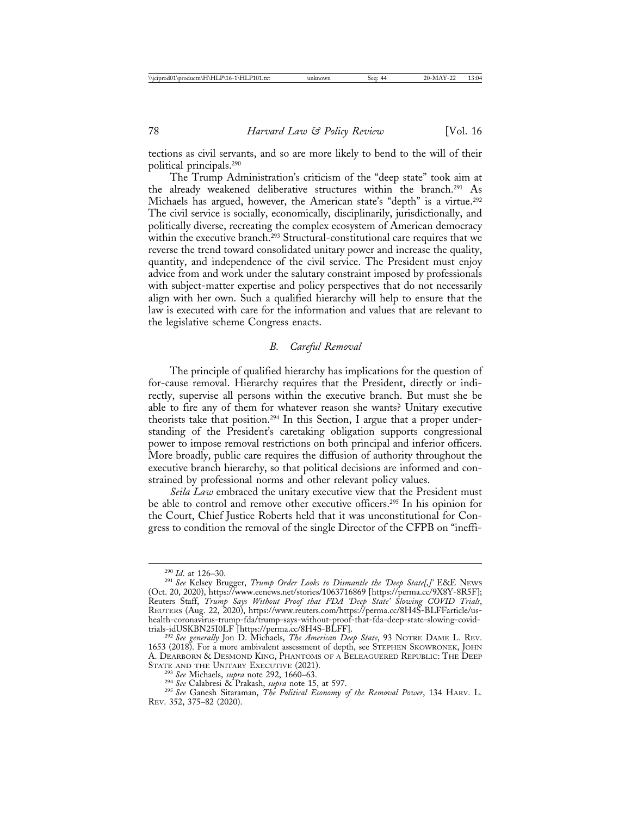tections as civil servants, and so are more likely to bend to the will of their political principals.290

The Trump Administration's criticism of the "deep state" took aim at the already weakened deliberative structures within the branch.291 As Michaels has argued, however, the American state's "depth" is a virtue.<sup>292</sup> The civil service is socially, economically, disciplinarily, jurisdictionally, and politically diverse, recreating the complex ecosystem of American democracy within the executive branch.<sup>293</sup> Structural-constitutional care requires that we reverse the trend toward consolidated unitary power and increase the quality, quantity, and independence of the civil service. The President must enjoy advice from and work under the salutary constraint imposed by professionals with subject-matter expertise and policy perspectives that do not necessarily align with her own. Such a qualified hierarchy will help to ensure that the law is executed with care for the information and values that are relevant to the legislative scheme Congress enacts.

#### *B. Careful Removal*

The principle of qualified hierarchy has implications for the question of for-cause removal. Hierarchy requires that the President, directly or indirectly, supervise all persons within the executive branch. But must she be able to fire any of them for whatever reason she wants? Unitary executive theorists take that position.294 In this Section, I argue that a proper understanding of the President's caretaking obligation supports congressional power to impose removal restrictions on both principal and inferior officers. More broadly, public care requires the diffusion of authority throughout the executive branch hierarchy, so that political decisions are informed and constrained by professional norms and other relevant policy values.

*Seila Law* embraced the unitary executive view that the President must be able to control and remove other executive officers.295 In his opinion for the Court, Chief Justice Roberts held that it was unconstitutional for Congress to condition the removal of the single Director of the CFPB on "ineffi-

<sup>&</sup>lt;sup>290</sup> *Id.* at 126–30.<br><sup>291</sup> See Kelsey Brugger, *Trump Order Looks to Dismantle the 'Deep State[,]'* E&E NEWS (Oct. 20, 2020), https://www.eenews.net/stories/1063716869 [https://perma.cc/9X8Y-8R5F]; Reuters Staff, *Trump Says Without Proof that FDA 'Deep State' Slowing COVID Trials*, REUTERS (Aug. 22, 2020), https://www.reuters.com/https://perma.cc/8H4S-BLFFarticle/ushealth-coronavirus-trump-fda/trump-says-without-proof-that-fda-deep-state-slowing-covid-

trials-idUSKBN25I0LF [https://perma.cc/8H4S-BLFF]. <sup>292</sup> *See generally* Jon D. Michaels, *The American Deep State*, 93 NOTRE DAME L. REV. 1653 (2018). For a more ambivalent assessment of depth, see STEPHEN SKOWRONEK, JOHN A. DEARBORN & DESMOND KING, PHANTOMS OF A BELEAGUERED REPUBLIC: THE DEEP

<sup>&</sup>lt;sup>295</sup> See Michaels, *supra* note 292, 1660–63.<br><sup>294</sup> See Michaels, *supra* note 292, 1660–63.<br><sup>295</sup> See Ganesh Sitaraman, *The Political Economy of the Removal Power*, 134 HARV. L. REV. 352, 375–82 (2020).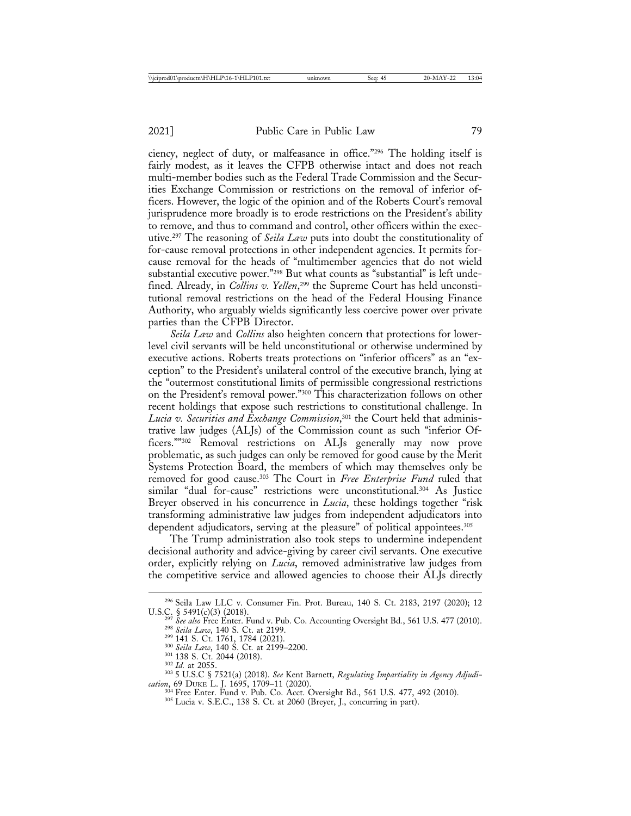ciency, neglect of duty, or malfeasance in office."296 The holding itself is fairly modest, as it leaves the CFPB otherwise intact and does not reach multi-member bodies such as the Federal Trade Commission and the Securities Exchange Commission or restrictions on the removal of inferior officers. However, the logic of the opinion and of the Roberts Court's removal jurisprudence more broadly is to erode restrictions on the President's ability to remove, and thus to command and control, other officers within the executive.297 The reasoning of *Seila Law* puts into doubt the constitutionality of for-cause removal protections in other independent agencies. It permits forcause removal for the heads of "multimember agencies that do not wield substantial executive power."298 But what counts as "substantial" is left undefined. Already, in *Collins v. Yellen*, 299 the Supreme Court has held unconstitutional removal restrictions on the head of the Federal Housing Finance Authority, who arguably wields significantly less coercive power over private parties than the CFPB Director.

*Seila Law* and *Collins* also heighten concern that protections for lowerlevel civil servants will be held unconstitutional or otherwise undermined by executive actions. Roberts treats protections on "inferior officers" as an "exception" to the President's unilateral control of the executive branch, lying at the "outermost constitutional limits of permissible congressional restrictions on the President's removal power."300 This characterization follows on other recent holdings that expose such restrictions to constitutional challenge. In *Lucia v. Securities and Exchange Commission*, 301 the Court held that administrative law judges (ALJs) of the Commission count as such "inferior Officers.""<sup>302</sup> Removal restrictions on ALJs generally may now prove problematic, as such judges can only be removed for good cause by the Merit Systems Protection Board, the members of which may themselves only be removed for good cause.303 The Court in *Free Enterprise Fund* ruled that similar "dual for-cause" restrictions were unconstitutional.304 As Justice Breyer observed in his concurrence in *Lucia*, these holdings together "risk" transforming administrative law judges from independent adjudicators into dependent adjudicators, serving at the pleasure" of political appointees.<sup>305</sup>

The Trump administration also took steps to undermine independent decisional authority and advice-giving by career civil servants. One executive order, explicitly relying on *Lucia*, removed administrative law judges from the competitive service and allowed agencies to choose their ALJs directly

<sup>296</sup> Seila Law LLC v. Consumer Fin. Prot. Bureau, 140 S. Ct. 2183, 2197 (2020); 12

U.S.C. § 5491(c)(3) (2018).<br>
<sup>297</sup> See also Free Enter. Fund v. Pub. Co. Accounting Oversight Bd., 561 U.S. 477 (2010).<br>
<sup>298</sup> Seila Law, 140 S. Ct. at 2199.<br>
<sup>299</sup> 141 S. Ct. 1761, 1784 (2021).<br>
<sup>300</sup> Seila Law, 140 S. C

*cation*, 69 DUKE L. J. 1695, 1709–11 (2020).<br><sup>304</sup> Free Enter. Fund v. Pub. Co. Acct. Oversight Bd., 561 U.S. 477, 492 (2010).<br><sup>305</sup> Lucia v. S.E.C., 138 S. Ct. at 2060 (Breyer, J., concurring in part).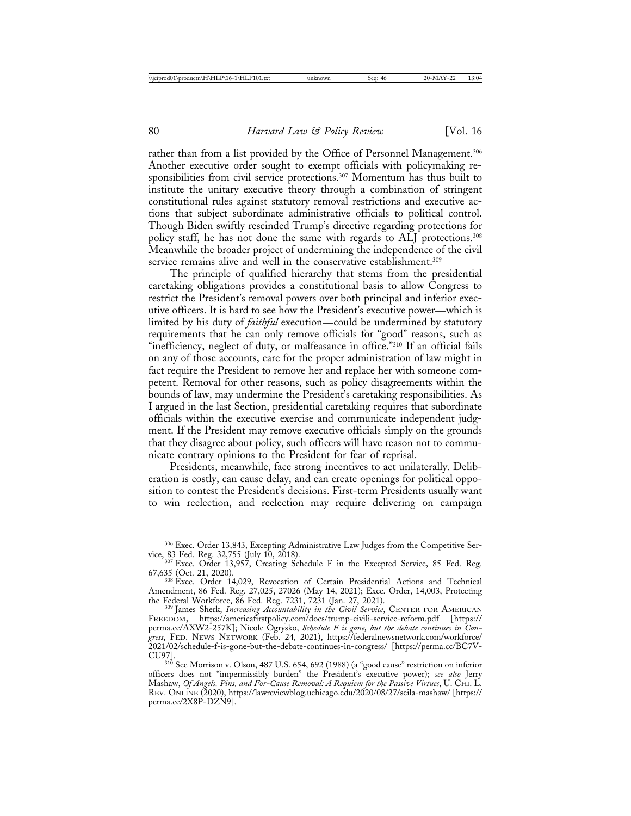rather than from a list provided by the Office of Personnel Management.<sup>306</sup> Another executive order sought to exempt officials with policymaking responsibilities from civil service protections.307 Momentum has thus built to institute the unitary executive theory through a combination of stringent constitutional rules against statutory removal restrictions and executive actions that subject subordinate administrative officials to political control. Though Biden swiftly rescinded Trump's directive regarding protections for policy staff, he has not done the same with regards to ALJ protections.<sup>308</sup> Meanwhile the broader project of undermining the independence of the civil service remains alive and well in the conservative establishment.<sup>309</sup>

The principle of qualified hierarchy that stems from the presidential caretaking obligations provides a constitutional basis to allow Congress to restrict the President's removal powers over both principal and inferior executive officers. It is hard to see how the President's executive power—which is limited by his duty of *faithful* execution—could be undermined by statutory requirements that he can only remove officials for "good" reasons, such as "inefficiency, neglect of duty, or malfeasance in office."310 If an official fails on any of those accounts, care for the proper administration of law might in fact require the President to remove her and replace her with someone competent. Removal for other reasons, such as policy disagreements within the bounds of law, may undermine the President's caretaking responsibilities. As I argued in the last Section, presidential caretaking requires that subordinate officials within the executive exercise and communicate independent judgment. If the President may remove executive officials simply on the grounds that they disagree about policy, such officers will have reason not to communicate contrary opinions to the President for fear of reprisal.

Presidents, meanwhile, face strong incentives to act unilaterally. Deliberation is costly, can cause delay, and can create openings for political opposition to contest the President's decisions. First-term Presidents usually want to win reelection, and reelection may require delivering on campaign

<sup>306</sup> Exec. Order 13,843, Excepting Administrative Law Judges from the Competitive Ser-

vice, 83 Fed. Reg. 32,755 (July 10, 2018). 307 Exec. Order 13,957, Creating Schedule F in the Excepted Service, 85 Fed. Reg. 67,635 (Oct. 21, 2020).

<sup>&</sup>lt;sup>308</sup> Exec. Order 14,029, Revocation of Certain Presidential Actions and Technical Amendment, 86 Fed. Reg. 27,025, 27026 (May 14, 2021); Exec. Order, 14,003, Protecting the Federal Workforce, 86 Fed. Reg. 7231, 7231 (Jan. 27, 2021).<br><sup>309</sup> James Sherk, *Increasing Accountability in the Civil Service*, CENTER FOR AMERICAN

FREEDOM, https://americafirstpolicy.com/docs/trump-civili-service-reform.pdf [https:// perma.cc/AXW2-257K]; Nicole Ogrysko, *Schedule F is gone, but the debate continues in Congress*, FED. NEWS NETWORK (Feb. 24, 2021), https://federalnewsnetwork.com/workforce/ 2021/02/schedule-f-is-gone-but-the-debate-continues-in-congress/ [https://perma.cc/BC7V-CU97]. <sup>310</sup> See Morrison v. Olson, 487 U.S. 654, 692 (1988) (a "good cause" restriction on inferior

officers does not "impermissibly burden" the President's executive power); *see also* Jerry Mashaw, *Of Angels, Pins, and For-Cause Removal: A Requiem for the Passive Virtues*, U. CHI. L. REV. ONLINE (2020), https://lawreviewblog.uchicago.edu/2020/08/27/seila-mashaw/ [https:// perma.cc/2X8P-DZN9].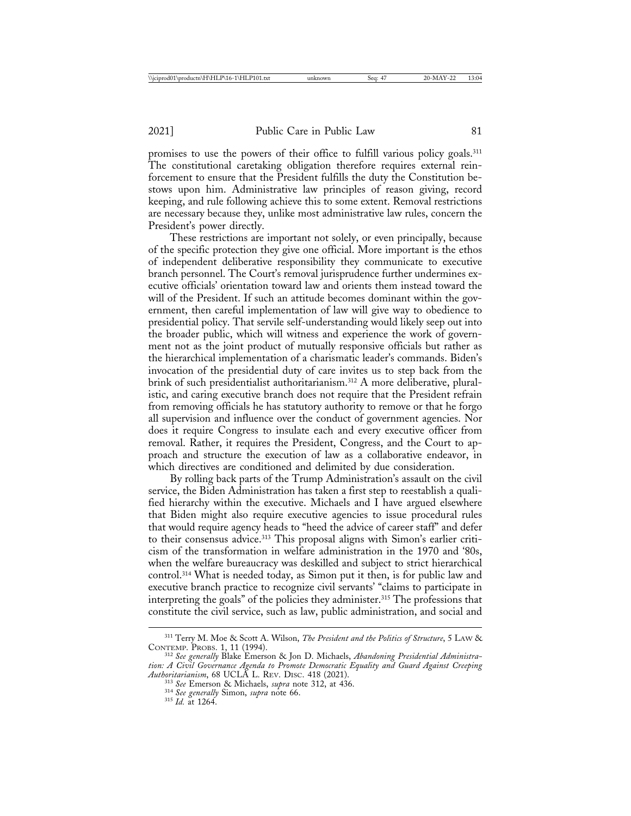promises to use the powers of their office to fulfill various policy goals.<sup>311</sup> The constitutional caretaking obligation therefore requires external reinforcement to ensure that the President fulfills the duty the Constitution bestows upon him. Administrative law principles of reason giving, record keeping, and rule following achieve this to some extent. Removal restrictions are necessary because they, unlike most administrative law rules, concern the President's power directly.

These restrictions are important not solely, or even principally, because of the specific protection they give one official. More important is the ethos of independent deliberative responsibility they communicate to executive branch personnel. The Court's removal jurisprudence further undermines executive officials' orientation toward law and orients them instead toward the will of the President. If such an attitude becomes dominant within the government, then careful implementation of law will give way to obedience to presidential policy. That servile self-understanding would likely seep out into the broader public, which will witness and experience the work of government not as the joint product of mutually responsive officials but rather as the hierarchical implementation of a charismatic leader's commands. Biden's invocation of the presidential duty of care invites us to step back from the brink of such presidentialist authoritarianism.<sup>312</sup> A more deliberative, pluralistic, and caring executive branch does not require that the President refrain from removing officials he has statutory authority to remove or that he forgo all supervision and influence over the conduct of government agencies. Nor does it require Congress to insulate each and every executive officer from removal. Rather, it requires the President, Congress, and the Court to approach and structure the execution of law as a collaborative endeavor, in which directives are conditioned and delimited by due consideration.

By rolling back parts of the Trump Administration's assault on the civil service, the Biden Administration has taken a first step to reestablish a qualified hierarchy within the executive. Michaels and I have argued elsewhere that Biden might also require executive agencies to issue procedural rules that would require agency heads to "heed the advice of career staff" and defer to their consensus advice.313 This proposal aligns with Simon's earlier criticism of the transformation in welfare administration in the 1970 and '80s, when the welfare bureaucracy was deskilled and subject to strict hierarchical control.314 What is needed today, as Simon put it then, is for public law and executive branch practice to recognize civil servants' "claims to participate in interpreting the goals" of the policies they administer.315 The professions that constitute the civil service, such as law, public administration, and social and

<sup>&</sup>lt;sup>311</sup> Terry M. Moe & Scott A. Wilson, *The President and the Politics of Structure*, 5 LAW & CONTEMP. PROBS. 1, 11 (1994).

<sup>&</sup>lt;sup>312</sup> See generally Blake Emerson & Jon D. Michaels, *Abandoning Presidential Administration: A Civil Governance Agenda to Promote Democratic Equality and Guard Against Creeping*

*Authoritarianism*, 68 UCLA L. REV. DISC. 418 (2021). <sup>313</sup> *See* Emerson & Michaels, *supra* note 312, at 436. <sup>314</sup> *See generally* Simon, *supra* note 66. <sup>315</sup> *Id.* at 1264.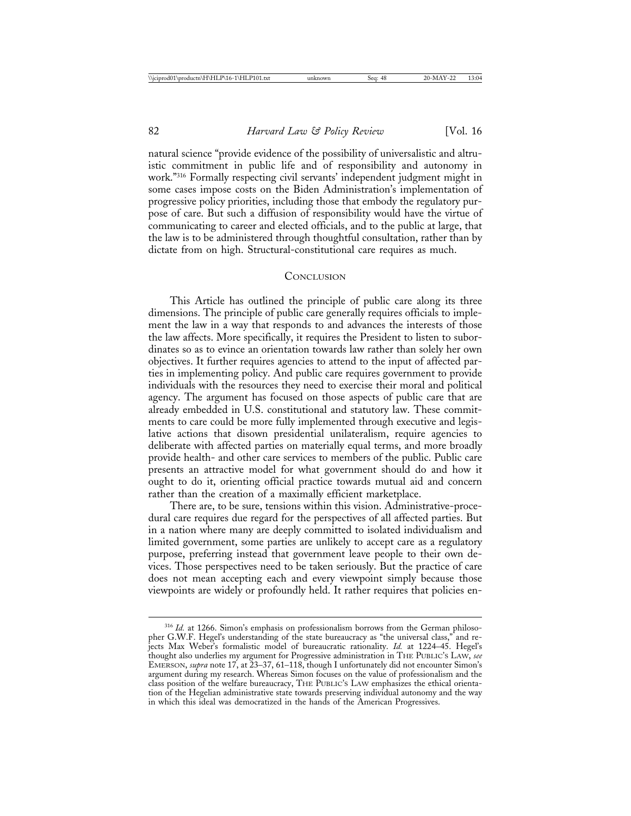natural science "provide evidence of the possibility of universalistic and altruistic commitment in public life and of responsibility and autonomy in work."316 Formally respecting civil servants' independent judgment might in some cases impose costs on the Biden Administration's implementation of progressive policy priorities, including those that embody the regulatory purpose of care. But such a diffusion of responsibility would have the virtue of communicating to career and elected officials, and to the public at large, that the law is to be administered through thoughtful consultation, rather than by dictate from on high. Structural-constitutional care requires as much.

#### **CONCLUSION**

This Article has outlined the principle of public care along its three dimensions. The principle of public care generally requires officials to implement the law in a way that responds to and advances the interests of those the law affects. More specifically, it requires the President to listen to subordinates so as to evince an orientation towards law rather than solely her own objectives. It further requires agencies to attend to the input of affected parties in implementing policy. And public care requires government to provide individuals with the resources they need to exercise their moral and political agency. The argument has focused on those aspects of public care that are already embedded in U.S. constitutional and statutory law. These commitments to care could be more fully implemented through executive and legislative actions that disown presidential unilateralism, require agencies to deliberate with affected parties on materially equal terms, and more broadly provide health- and other care services to members of the public. Public care presents an attractive model for what government should do and how it ought to do it, orienting official practice towards mutual aid and concern rather than the creation of a maximally efficient marketplace.

There are, to be sure, tensions within this vision. Administrative-procedural care requires due regard for the perspectives of all affected parties. But in a nation where many are deeply committed to isolated individualism and limited government, some parties are unlikely to accept care as a regulatory purpose, preferring instead that government leave people to their own devices. Those perspectives need to be taken seriously. But the practice of care does not mean accepting each and every viewpoint simply because those viewpoints are widely or profoundly held. It rather requires that policies en-

<sup>&</sup>lt;sup>316</sup> Id. at 1266. Simon's emphasis on professionalism borrows from the German philosopher G.W.F. Hegel's understanding of the state bureaucracy as "the universal class," and rejects Max Weber's formalistic model of bureaucratic rationality. *Id.* at 1224–45. Hegel's thought also underlies my argument for Progressive administration in THE PUBLIC'S LAW, *see* EMERSON, *supra* note 17, at 23–37, 61–118, though I unfortunately did not encounter Simon's argument during my research. Whereas Simon focuses on the value of professionalism and the class position of the welfare bureaucracy, THE PUBLIC'S LAW emphasizes the ethical orientation of the Hegelian administrative state towards preserving individual autonomy and the way in which this ideal was democratized in the hands of the American Progressives.